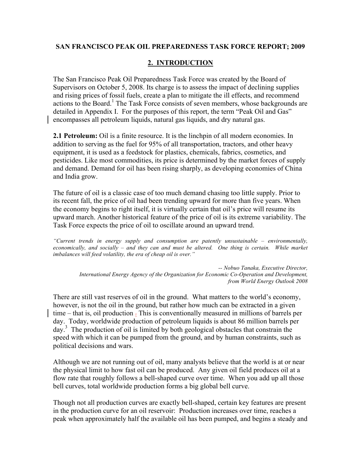### **SAN FRANCISCO PEAK OIL PREPAREDNESS TASK FORCE REPORT; 2009**

# **2. INTRODUCTION**

The San Francisco Peak Oil Preparedness Task Force was created by the Board of Supervisors on October 5, 2008. Its charge is to assess the impact of declining supplies and rising prices of fossil fuels, create a plan to mitigate the ill effects, and recommend actions to the Board.<sup>1</sup> The Task Force consists of seven members, whose backgrounds are detailed in Appendix I. For the purposes of this report, the term "Peak Oil and Gas" encompasses all petroleum liquids, natural gas liquids, and dry natural gas.

**2.1 Petroleum:** Oil is a finite resource. It is the linchpin of all modern economies. In addition to serving as the fuel for 95% of all transportation, tractors, and other heavy equipment, it is used as a feedstock for plastics, chemicals, fabrics, cosmetics, and pesticides. Like most commodities, its price is determined by the market forces of supply and demand. Demand for oil has been rising sharply, as developing economies of China and India grow.

The future of oil is a classic case of too much demand chasing too little supply. Prior to its recent fall, the price of oil had been trending upward for more than five years. When the economy begins to right itself, it is virtually certain that oil's price will resume its upward march. Another historical feature of the price of oil is its extreme variability. The Task Force expects the price of oil to oscillate around an upward trend.

*"Current trends in energy supply and consumption are patently unsustainable – environmentally,*  economically, and socially – and they can and must be altered. One thing is certain. While market *imbalances will feed volatility, the era of cheap oil is over."*

*-- Nobuo Tanaka, Executive Director, International Energy Agency of the Organization for Economic Co-Operation and Development, from World Energy Outlook 2008*

There are still vast reserves of oil in the ground. What matters to the world's economy, however, is not the oil in the ground, but rather how much can be extracted in a given time – that is, oil production . This is conventionally measured in millions of barrels per day. Today, worldwide production of petroleum liquids is about 86 million barrels per day.<sup>3</sup> The production of oil is limited by both geological obstacles that constrain the speed with which it can be pumped from the ground, and by human constraints, such as political decisions and wars.

Although we are not running out of oil, many analysts believe that the world is at or near the physical limit to how fast oil can be produced. Any given oil field produces oil at a flow rate that roughly follows a bell-shaped curve over time. When you add up all those bell curves, total worldwide production forms a big global bell curve.

Though not all production curves are exactly bell-shaped, certain key features are present in the production curve for an oil reservoir: Production increases over time, reaches a peak when approximately half the available oil has been pumped, and begins a steady and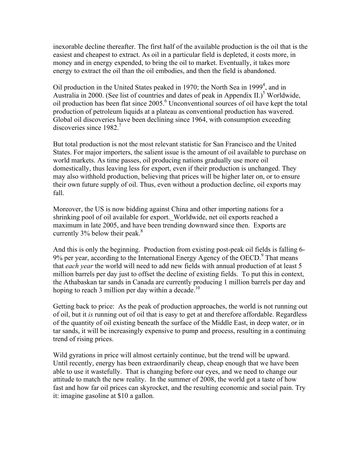inexorable decline thereafter. The first half of the available production is the oil that is the easiest and cheapest to extract. As oil in a particular field is depleted, it costs more, in money and in energy expended, to bring the oil to market. Eventually, it takes more energy to extract the oil than the oil embodies, and then the field is abandoned.

Oil production in the United States peaked in 1970; the North Sea in 1999<sup>4</sup>, and in Australia in 2000. (See list of countries and dates of peak in Appendix II.)<sup>5</sup> Worldwide, oil production has been flat since  $2005.^6$  Unconventional sources of oil have kept the total production of petroleum liquids at a plateau as conventional production has wavered. Global oil discoveries have been declining since 1964, with consumption exceeding discoveries since  $1982<sup>7</sup>$ 

But total production is not the most relevant statistic for San Francisco and the United States. For major importers, the salient issue is the amount of oil available to purchase on world markets. As time passes, oil producing nations gradually use more oil domestically, thus leaving less for export, even if their production is unchanged. They may also withhold production, believing that prices will be higher later on, or to ensure their own future supply of oil. Thus, even without a production decline, oil exports may fall.

Moreover, the US is now bidding against China and other importing nations for a shrinking pool of oil available for export. Worldwide, net oil exports reached a maximum in late 2005, and have been trending downward since then. Exports are currently  $3\%$  below their peak.<sup>8</sup>

And this is only the beginning. Production from existing post-peak oil fields is falling 6- 9% per year, according to the International Energy Agency of the OECD.<sup>9</sup> That means that *each year* the world will need to add new fields with annual production of at least 5 million barrels per day just to offset the decline of existing fields. To put this in context, the Athabaskan tar sands in Canada are currently producing 1 million barrels per day and hoping to reach 3 million per day within a decade.<sup>10</sup>

Getting back to price: As the peak of production approaches, the world is not running out of oil, but it *is* running out of oil that is easy to get at and therefore affordable. Regardless of the quantity of oil existing beneath the surface of the Middle East, in deep water, or in tar sands, it will be increasingly expensive to pump and process, resulting in a continuing trend of rising prices.

Wild gyrations in price will almost certainly continue, but the trend will be upward. Until recently, energy has been extraordinarily cheap, cheap enough that we have been able to use it wastefully. That is changing before our eyes, and we need to change our attitude to match the new reality. In the summer of 2008, the world got a taste of how fast and how far oil prices can skyrocket, and the resulting economic and social pain. Try it: imagine gasoline at \$10 a gallon.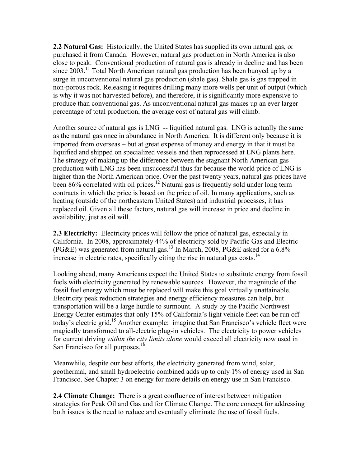**2.2 Natural Gas:** Historically, the United States has supplied its own natural gas, or purchased it from Canada. However, natural gas production in North America is also close to peak. Conventional production of natural gas is already in decline and has been since  $2003$ .<sup>11</sup> Total North American natural gas production has been buoyed up by a surge in unconventional natural gas production (shale gas). Shale gas is gas trapped in non-porous rock. Releasing it requires drilling many more wells per unit of output (which is why it was not harvested before), and therefore, it is significantly more expensive to produce than conventional gas. As unconventional natural gas makes up an ever larger percentage of total production, the average cost of natural gas will climb.

Another source of natural gas is LNG -- liquified natural gas. LNG is actually the same as the natural gas once in abundance in North America. It is different only because it is imported from overseas – but at great expense of money and energy in that it must be liquified and shipped on specialized vessels and then reprocessed at LNG plants here. The strategy of making up the difference between the stagnant North American gas production with LNG has been unsuccessful thus far because the world price of LNG is higher than the North American price. Over the past twenty years, natural gas prices have been 86% correlated with oil prices.<sup>12</sup> Natural gas is frequently sold under long term contracts in which the price is based on the price of oil. In many applications, such as heating (outside of the northeastern United States) and industrial processes, it has replaced oil. Given all these factors, natural gas will increase in price and decline in availability, just as oil will.

**2.3 Electricity:** Electricity prices will follow the price of natural gas, especially in California. In 2008, approximately 44% of electricity sold by Pacific Gas and Electric (PG&E) was generated from natural gas.<sup>13</sup> In March, 2008, PG&E asked for a 6.8% increase in electric rates, specifically citing the rise in natural gas costs.<sup>14</sup>

Looking ahead, many Americans expect the United States to substitute energy from fossil fuels with electricity generated by renewable sources. However, the magnitude of the fossil fuel energy which must be replaced will make this goal virtually unattainable. Electricity peak reduction strategies and energy efficiency measures can help, but transportation will be a large hurdle to surmount. A study by the Pacific Northwest Energy Center estimates that only 15% of California's light vehicle fleet can be run off today's electric grid.15 Another example: imagine that San Francisco's vehicle fleet were magically transformed to all-electric plug-in vehicles. The electricity to power vehicles for current driving *within the city limits alone* would exceed all electricity now used in San Francisco for all purposes.<sup>16</sup>

Meanwhile, despite our best efforts, the electricity generated from wind, solar, geothermal, and small hydroelectric combined adds up to only 1% of energy used in San Francisco. See Chapter 3 on energy for more details on energy use in San Francisco.

**2.4 Climate Change:** There is a great confluence of interest between mitigation strategies for Peak Oil and Gas and for Climate Change. The core concept for addressing both issues is the need to reduce and eventually eliminate the use of fossil fuels.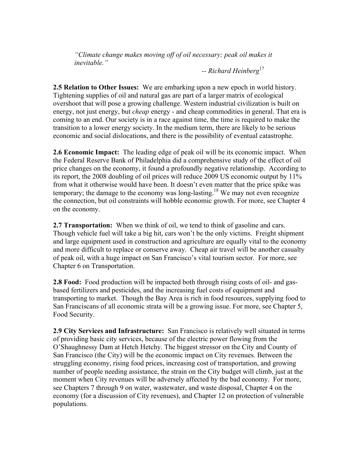*"Climate change makes moving off of oil necessary; peak oil makes it inevitable."*

*-- Richard Heinberg*<sup>17</sup>

**2.5 Relation to Other Issues:** We are embarking upon a new epoch in world history. Tightening supplies of oil and natural gas are part of a larger matrix of ecological overshoot that will pose a growing challenge. Western industrial civilization is built on energy, not just energy, but *cheap* energy - and cheap commodities in general. That era is coming to an end. Our society is in a race against time, the time is required to make the transition to a lower energy society. In the medium term, there are likely to be serious economic and social dislocations, and there is the possibility of eventual catastrophe.

**2.6 Economic Impact:** The leading edge of peak oil will be its economic impact. When the Federal Reserve Bank of Philadelphia did a comprehensive study of the effect of oil price changes on the economy, it found a profoundly negative relationship. According to its report, the 2008 doubling of oil prices will reduce 2009 US economic output by 11% from what it otherwise would have been. It doesn't even matter that the price spike was temporary; the damage to the economy was long-lasting.<sup>18</sup> We may not even recognize the connection, but oil constraints will hobble economic growth. For more, see Chapter 4 on the economy.

**2.7 Transportation:** When we think of oil, we tend to think of gasoline and cars. Though vehicle fuel will take a big hit, cars won't be the only victims. Freight shipment and large equipment used in construction and agriculture are equally vital to the economy and more difficult to replace or conserve away. Cheap air travel will be another casualty of peak oil, with a huge impact on San Francisco's vital tourism sector. For more, see Chapter 6 on Transportation.

**2.8 Food:** Food production will be impacted both through rising costs of oil- and gasbased fertilizers and pesticides, and the increasing fuel costs of equipment and transporting to market. Though the Bay Area is rich in food resources, supplying food to San Franciscans of all economic strata will be a growing issue. For more, see Chapter 5, Food Security.

**2.9 City Services and Infrastructure:** San Francisco is relatively well situated in terms of providing basic city services, because of the electric power flowing from the O'Shaughnessy Dam at Hetch Hetchy. The biggest stressor on the City and County of San Francisco (the City) will be the economic impact on City revenues. Between the struggling economy, rising food prices, increasing cost of transportation, and growing number of people needing assistance, the strain on the City budget will climb, just at the moment when City revenues will be adversely affected by the bad economy. For more, see Chapters 7 through 9 on water, wastewater, and waste disposal, Chapter 4 on the economy (for a discussion of City revenues), and Chapter 12 on protection of vulnerable populations.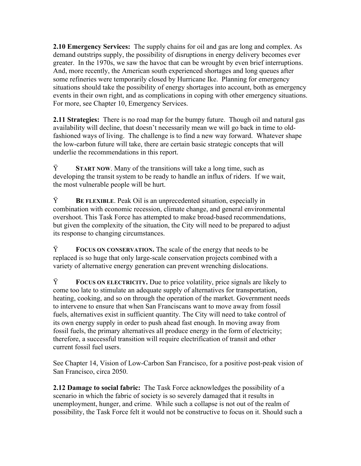**2.10 Emergency Services:** The supply chains for oil and gas are long and complex. As demand outstrips supply, the possibility of disruptions in energy delivery becomes ever greater. In the 1970s, we saw the havoc that can be wrought by even brief interruptions. And, more recently, the American south experienced shortages and long queues after some refineries were temporarily closed by Hurricane Ike. Planning for emergency situations should take the possibility of energy shortages into account, both as emergency events in their own right, and as complications in coping with other emergency situations. For more, see Chapter 10, Emergency Services.

**2.11 Strategies:** There is no road map for the bumpy future. Though oil and natural gas availability will decline, that doesn't necessarily mean we will go back in time to oldfashioned ways of living. The challenge is to find a new way forward. Whatever shape the low-carbon future will take, there are certain basic strategic concepts that will underlie the recommendations in this report.

Ÿ **START NOW**. Many of the transitions will take a long time, such as developing the transit system to be ready to handle an influx of riders. If we wait, the most vulnerable people will be hurt.

Ÿ **BE FLEXIBLE**. Peak Oil is an unprecedented situation, especially in combination with economic recession, climate change, and general environmental overshoot. This Task Force has attempted to make broad-based recommendations, but given the complexity of the situation, the City will need to be prepared to adjust its response to changing circumstances.

Ÿ **FOCUS ON CONSERVATION.** The scale of the energy that needs to be replaced is so huge that only large-scale conservation projects combined with a variety of alternative energy generation can prevent wrenching dislocations.

Ÿ **FOCUS ON ELECTRICITY.** Due to price volatility, price signals are likely to come too late to stimulate an adequate supply of alternatives for transportation, heating, cooking, and so on through the operation of the market. Government needs to intervene to ensure that when San Franciscans want to move away from fossil fuels, alternatives exist in sufficient quantity. The City will need to take control of its own energy supply in order to push ahead fast enough. In moving away from fossil fuels, the primary alternatives all produce energy in the form of electricity; therefore, a successful transition will require electrification of transit and other current fossil fuel users.

See Chapter 14, Vision of Low-Carbon San Francisco, for a positive post-peak vision of San Francisco, circa 2050.

**2.12 Damage to social fabric:** The Task Force acknowledges the possibility of a scenario in which the fabric of society is so severely damaged that it results in unemployment, hunger, and crime. While such a collapse is not out of the realm of possibility, the Task Force felt it would not be constructive to focus on it. Should such a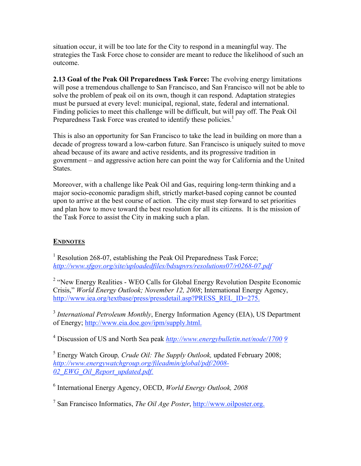situation occur, it will be too late for the City to respond in a meaningful way. The strategies the Task Force chose to consider are meant to reduce the likelihood of such an outcome.

**2.13 Goal of the Peak Oil Preparedness Task Force:** The evolving energy limitations will pose a tremendous challenge to San Francisco, and San Francisco will not be able to solve the problem of peak oil on its own, though it can respond. Adaptation strategies must be pursued at every level: municipal, regional, state, federal and international. Finding policies to meet this challenge will be difficult, but will pay off. The Peak Oil Preparedness Task Force was created to identify these policies.<sup>1</sup>

This is also an opportunity for San Francisco to take the lead in building on more than a decade of progress toward a low-carbon future. San Francisco is uniquely suited to move ahead because of its aware and active residents, and its progressive tradition in government – and aggressive action here can point the way for California and the United States.

Moreover, with a challenge like Peak Oil and Gas, requiring long-term thinking and a major socio-economic paradigm shift, strictly market-based coping cannot be counted upon to arrive at the best course of action. The city must step forward to set priorities and plan how to move toward the best resolution for all its citizens. It is the mission of the Task Force to assist the City in making such a plan.

# **ENDNOTES**

<sup>1</sup> Resolution 268-07, establishing the Peak Oil Preparedness Task Force; *http://www.sfgov.org/site/uploadedfiles/bdsupvrs/resolutions07/r0268-07.pdf*

<sup>2</sup> "New Energy Realities - WEO Calls for Global Energy Revolution Despite Economic Crisis," *World Energy Outlook; November 12, 2008*; International Energy Agency, http://www.iea.org/textbase/press/pressdetail.asp?PRESS\_REL\_ID=275.

<sup>3</sup> *International Petroleum Monthly*, Energy Information Agency (EIA), US Department of Energy; http://www.eia.doe.gov/ipm/supply.html.

4 Discussion of US and North Sea peak *http://www.energybulletin.net/node/1700 9*

<sup>5</sup> Energy Watch Group*, Crude Oil: The Supply Outlook,* updated February 2008; *http://www.energywatchgroup.org/fileadmin/global/pdf/2008- 02\_EWG\_Oil\_Report\_updated.pdf.*

6 International Energy Agency, OECD, *World Energy Outlook, 2008*

7 San Francisco Informatics, *The Oil Age Poster*, http://www.oilposter.org.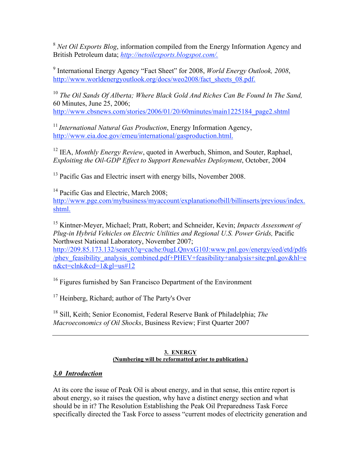<sup>8</sup> *Net Oil Exports Blog*, information compiled from the Energy Information Agency and British Petroleum data; *http://netoilexports.blogspot.com/.*

9 International Energy Agency "Fact Sheet" for 2008, *World Energy Outlook, 2008*, http://www.worldenergyoutlook.org/docs/weo2008/fact\_sheets\_08.pdf.

<sup>10</sup> *The Oil Sands Of Alberta; Where Black Gold And Riches Can Be Found In The Sand,* 60 Minutes, June 25, 2006; http://www.cbsnews.com/stories/2006/01/20/60minutes/main1225184\_page2.shtml

<sup>11</sup> International Natural Gas Production, Energy Information Agency, http://www.eia.doe.gov/emeu/international/gasproduction.html.

<sup>12</sup> IEA, *Monthly Energy Review*, quoted in Awerbuch, Shimon, and Souter, Raphael, *Exploiting the Oil-GDP Effect to Support Renewables Deployment*, October, 2004

<sup>13</sup> Pacific Gas and Electric insert with energy bills. November 2008.

<sup>14</sup> Pacific Gas and Electric, March 2008; http://www.pge.com/mybusiness/myaccount/explanationofbill/billinserts/previous/index. shtml.

15 Kintner-Meyer, Michael; Pratt, Robert; and Schneider, Kevin; *Impacts Assessment of Plug-in Hybrid Vehicles on Electric Utilities and Regional U.S. Power Grids,* Pacific Northwest National Laboratory, November 2007; http://209.85.173.132/search?q=cache:0ugLQnvxG10J:www.pnl.gov/energy/eed/etd/pdfs

/phev\_feasibility\_analysis\_combined.pdf+PHEV+feasibility+analysis+site:pnl.gov&hl=e n&ct=clnk&cd=1&gl=us#12

<sup>16</sup> Figures furnished by San Francisco Department of the Environment

<sup>17</sup> Heinberg, Richard; author of The Party's Over

18 Sill, Keith; Senior Economist, Federal Reserve Bank of Philadelphia; *The Macroeconomics of Oil Shocks*, Business Review; First Quarter 2007

#### **3. ENERGY (Numbering will be reformatted prior to publication.)**

# *3.0 Introduction*

At its core the issue of Peak Oil is about energy, and in that sense, this entire report is about energy, so it raises the question, why have a distinct energy section and what should be in it? The Resolution Establishing the Peak Oil Preparedness Task Force specifically directed the Task Force to assess "current modes of electricity generation and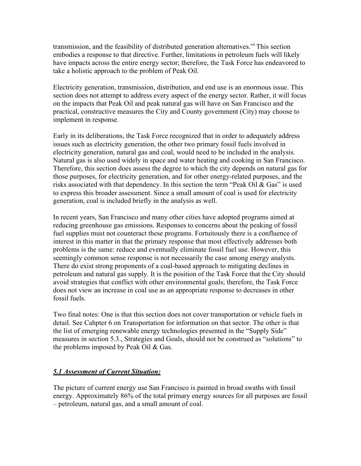transmission, and the feasibility of distributed generation alternatives."<sup>i</sup> This section embodies a response to that directive. Further, limitations in petroleum fuels will likely have impacts across the entire energy sector; therefore, the Task Force has endeavored to take a holistic approach to the problem of Peak Oil.

Electricity generation, transmission, distribution, and end use is an enormous issue. This section does not attempt to address every aspect of the energy sector. Rather, it will focus on the impacts that Peak Oil and peak natural gas will have on San Francisco and the practical, constructive measures the City and County government (City) may choose to implement in response.

Early in its deliberations, the Task Force recognized that in order to adequately address issues such as electricity generation, the other two primary fossil fuels involved in electricity generation, natural gas and coal, would need to be included in the analysis. Natural gas is also used widely in space and water heating and cooking in San Francisco. Therefore, this section does assess the degree to which the city depends on natural gas for those purposes, for electricity generation, and for other energy-related purposes, and the risks associated with that dependency. In this section the term "Peak Oil & Gas" is used to express this broader assessment. Since a small amount of coal is used for electricity generation, coal is included briefly in the analysis as well.

In recent years, San Francisco and many other cities have adopted programs aimed at reducing greenhouse gas emissions. Responses to concerns about the peaking of fossil fuel supplies must not counteract these programs. Fortuitously there is a confluence of interest in this matter in that the primary response that most effectively addresses both problems is the same: reduce and eventually eliminate fossil fuel use. However, this seemingly common sense response is not necessarily the case among energy analysts. There do exist strong proponents of a coal-based approach to mitigating declines in petroleum and natural gas supply. It is the position of the Task Force that the City should avoid strategies that conflict with other environmental goals; therefore, the Task Force does not view an increase in coal use as an appropriate response to decreases in other fossil fuels.

Two final notes: One is that this section does not cover transportation or vehicle fuels in detail. See Cahpter 6 on Transportation for information on that sector. The other is that the list of emerging renewable energy technologies presented in the "Supply Side" measures in section 5.3., Strategies and Goals, should not be construed as "solutions" to the problems imposed by Peak Oil & Gas.

# *5.1 Assessment of Current Situation:*

The picture of current energy use San Francisco is painted in broad swaths with fossil energy. Approximately 86% of the total primary energy sources for all purposes are fossil – petroleum, natural gas, and a small amount of coal.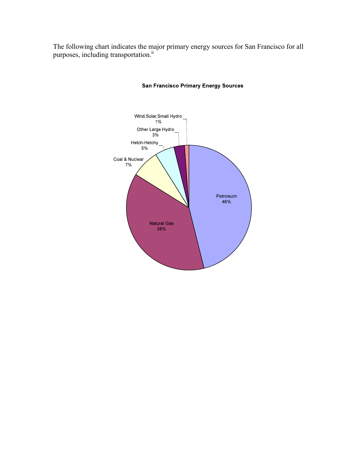The following chart indicates the major primary energy sources for San Francisco for all purposes, including transportation.<sup>ii</sup>



### **San Francisco Primary Energy Sources**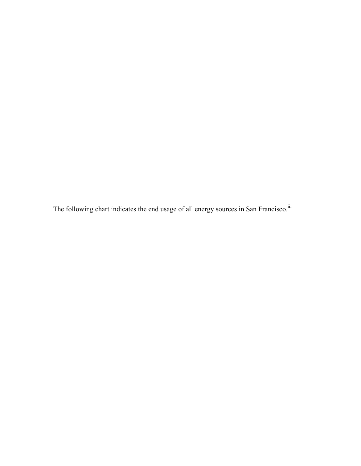The following chart indicates the end usage of all energy sources in San Francisco.<sup>iii</sup>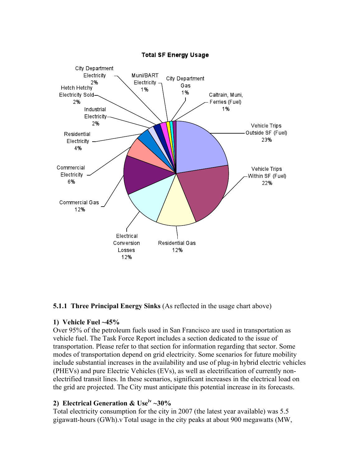

#### **Total SF Energy Usage**

# **5.1.1 Three Principal Energy Sinks** (As reflected in the usage chart above)

#### **1) Vehicle Fuel ~45%**

Over 95% of the petroleum fuels used in San Francisco are used in transportation as vehicle fuel. The Task Force Report includes a section dedicated to the issue of transportation. Please refer to that section for information regarding that sector. Some modes of transportation depend on grid electricity. Some scenarios for future mobility include substantial increases in the availability and use of plug-in hybrid electric vehicles (PHEVs) and pure Electric Vehicles (EVs), as well as electrification of currently nonelectrified transit lines. In these scenarios, significant increases in the electrical load on the grid are projected. The City must anticipate this potential increase in its forecasts.

# **2) Electrical Generation & Useiv ~30%**

Total electricity consumption for the city in 2007 (the latest year available) was 5.5 gigawatt-hours (GWh).v Total usage in the city peaks at about 900 megawatts (MW,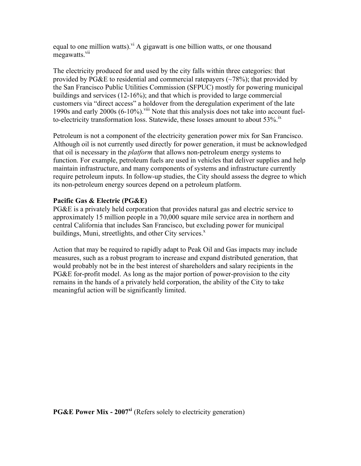equal to one million watts).<sup>vi</sup> A gigawatt is one billion watts, or one thousand megawatts.<sup>vii</sup>

The electricity produced for and used by the city falls within three categories: that provided by PG&E to residential and commercial ratepayers  $(\sim 78\%)$ ; that provided by the San Francisco Public Utilities Commission (SFPUC) mostly for powering municipal buildings and services (12-16%); and that which is provided to large commercial customers via "direct access" a holdover from the deregulation experiment of the late 1990s and early  $2000s$  (6-10%).<sup>viii</sup> Note that this analysis does not take into account fuelto-electricity transformation loss. Statewide, these losses amount to about  $53\%$ .

Petroleum is not a component of the electricity generation power mix for San Francisco. Although oil is not currently used directly for power generation, it must be acknowledged that oil is necessary in the *platform* that allows non-petroleum energy systems to function. For example, petroleum fuels are used in vehicles that deliver supplies and help maintain infrastructure, and many components of systems and infrastructure currently require petroleum inputs. In follow-up studies, the City should assess the degree to which its non-petroleum energy sources depend on a petroleum platform.

# **Pacific Gas & Electric (PG&E)**

PG&E is a privately held corporation that provides natural gas and electric service to approximately 15 million people in a 70,000 square mile service area in northern and central California that includes San Francisco, but excluding power for municipal buildings, Muni, streetlights, and other City services. $^x$ 

Action that may be required to rapidly adapt to Peak Oil and Gas impacts may include measures, such as a robust program to increase and expand distributed generation, that would probably not be in the best interest of shareholders and salary recipients in the PG&E for-profit model. As long as the major portion of power-provision to the city remains in the hands of a privately held corporation, the ability of the City to take meaningful action will be significantly limited.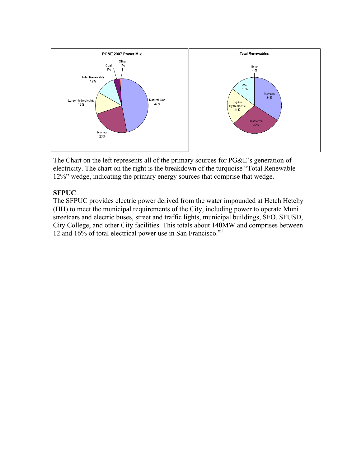

The Chart on the left represents all of the primary sources for PG&E's generation of electricity. The chart on the right is the breakdown of the turquoise "Total Renewable 12%" wedge, indicating the primary energy sources that comprise that wedge.

# **SFPUC**

The SFPUC provides electric power derived from the water impounded at Hetch Hetchy (HH) to meet the municipal requirements of the City, including power to operate Muni streetcars and electric buses, street and traffic lights, municipal buildings, SFO, SFUSD, City College, and other City facilities. This totals about 140MW and comprises between 12 and 16% of total electrical power use in San Francisco. $^{xii}$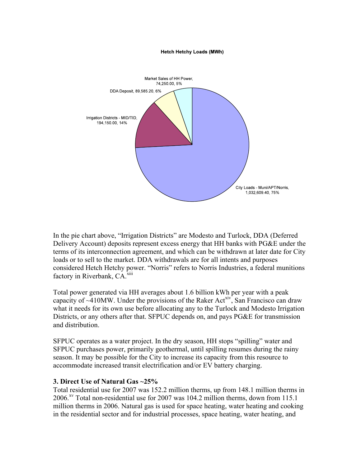#### Hetch Hetchy Loads (MWh)



In the pie chart above, "Irrigation Districts" are Modesto and Turlock, DDA (Deferred Delivery Account) deposits represent excess energy that HH banks with PG&E under the terms of its interconnection agreement, and which can be withdrawn at later date for City loads or to sell to the market. DDA withdrawals are for all intents and purposes considered Hetch Hetchy power. "Norris" refers to Norris Industries, a federal munitions factory in Riverbank,  $CA$ <sup>xiii</sup>

Total power generated via HH averages about 1.6 billion kWh per year with a peak capacity of  $\sim$ 410MW. Under the provisions of the Raker Act<sup>xiv</sup>, San Francisco can draw what it needs for its own use before allocating any to the Turlock and Modesto Irrigation Districts, or any others after that. SFPUC depends on, and pays PG&E for transmission and distribution.

SFPUC operates as a water project. In the dry season, HH stops "spilling" water and SFPUC purchases power, primarily geothermal, until spilling resumes during the rainy season. It may be possible for the City to increase its capacity from this resource to accommodate increased transit electrification and/or EV battery charging.

#### **3. Direct Use of Natural Gas ~25%**

Total residential use for 2007 was 152.2 million therms, up from 148.1 million therms in 2006.<sup>xv</sup> Total non-residential use for 2007 was 104.2 million therms, down from 115.1 million therms in 2006. Natural gas is used for space heating, water heating and cooking in the residential sector and for industrial processes, space heating, water heating, and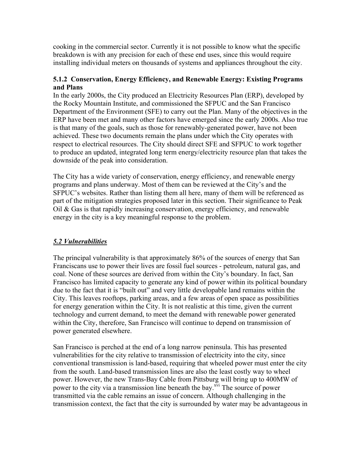cooking in the commercial sector. Currently it is not possible to know what the specific breakdown is with any precision for each of these end uses, since this would require installing individual meters on thousands of systems and appliances throughout the city.

# **5.1.2 Conservation, Energy Efficiency, and Renewable Energy: Existing Programs and Plans**

In the early 2000s, the City produced an Electricity Resources Plan (ERP), developed by the Rocky Mountain Institute, and commissioned the SFPUC and the San Francisco Department of the Environment (SFE) to carry out the Plan. Many of the objectives in the ERP have been met and many other factors have emerged since the early 2000s. Also true is that many of the goals, such as those for renewably-generated power, have not been achieved. These two documents remain the plans under which the City operates with respect to electrical resources. The City should direct SFE and SFPUC to work together to produce an updated, integrated long term energy/electricity resource plan that takes the downside of the peak into consideration.

The City has a wide variety of conservation, energy efficiency, and renewable energy programs and plans underway. Most of them can be reviewed at the City's and the SFPUC's websites. Rather than listing them all here, many of them will be referenced as part of the mitigation strategies proposed later in this section. Their significance to Peak Oil & Gas is that rapidly increasing conservation, energy efficiency, and renewable energy in the city is a key meaningful response to the problem.

# *5.2 Vulnerabilities*

The principal vulnerability is that approximately 86% of the sources of energy that San Franciscans use to power their lives are fossil fuel sources - petroleum, natural gas, and coal. None of these sources are derived from within the City's boundary. In fact, San Francisco has limited capacity to generate any kind of power within its political boundary due to the fact that it is "built out" and very little developable land remains within the City. This leaves rooftops, parking areas, and a few areas of open space as possibilities for energy generation within the City. It is not realistic at this time, given the current technology and current demand, to meet the demand with renewable power generated within the City, therefore, San Francisco will continue to depend on transmission of power generated elsewhere.

San Francisco is perched at the end of a long narrow peninsula. This has presented vulnerabilities for the city relative to transmission of electricity into the city, since conventional transmission is land-based, requiring that wheeled power must enter the city from the south. Land-based transmission lines are also the least costly way to wheel power. However, the new Trans-Bay Cable from Pittsburg will bring up to 400MW of power to the city via a transmission line beneath the bay.<sup>xvi</sup> The source of power transmitted via the cable remains an issue of concern. Although challenging in the transmission context, the fact that the city is surrounded by water may be advantageous in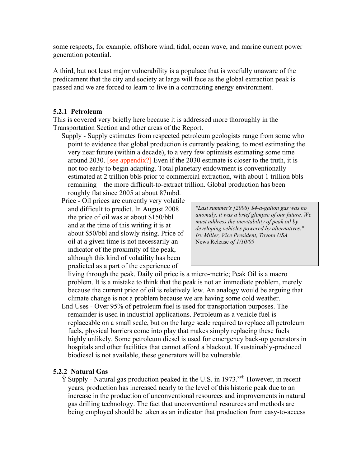some respects, for example, offshore wind, tidal, ocean wave, and marine current power generation potential.

A third, but not least major vulnerability is a populace that is woefully unaware of the predicament that the city and society at large will face as the global extraction peak is passed and we are forced to learn to live in a contracting energy environment.

### **5.2.1 Petroleum**

This is covered very briefly here because it is addressed more thoroughly in the Transportation Section and other areas of the Report.

- Supply Supply estimates from respected petroleum geologists range from some who point to evidence that global production is currently peaking, to most estimating the very near future (within a decade), to a very few optimists estimating some time around 2030. [see appendix?] Even if the 2030 estimate is closer to the truth, it is not too early to begin adapting. Total planetary endowment is conventionally estimated at 2 trillion bbls prior to commercial extraction, with about 1 trillion bbls remaining – the more difficult-to-extract trillion. Global production has been roughly flat since 2005 at about 87mbd.
- Price Oil prices are currently very volatile and difficult to predict. In August 2008 the price of oil was at about \$150/bbl and at the time of this writing it is at about \$50/bbl and slowly rising. Price of oil at a given time is not necessarily an indicator of the proximity of the peak, although this kind of volatility has been predicted as a part of the experience of

*"Last summer's [2008] \$4-a-gallon gas was no anomaly, it was a brief glimpse of our future. We must address the inevitability of peak oil by developing vehicles powered by alternatives." Irv Miller, Vice President, Toyota USA* News Release *of 1/10/09*

living through the peak. Daily oil price is a micro-metric; Peak Oil is a macro problem. It is a mistake to think that the peak is not an immediate problem, merely because the current price of oil is relatively low. An analogy would be arguing that climate change is not a problem because we are having some cold weather.

End Uses - Over 95% of petroleum fuel is used for transportation purposes. The remainder is used in industrial applications. Petroleum as a vehicle fuel is replaceable on a small scale, but on the large scale required to replace all petroleum fuels, physical barriers come into play that makes simply replacing these fuels highly unlikely. Some petroleum diesel is used for emergency back-up generators in hospitals and other facilities that cannot afford a blackout. If sustainably-produced biodiesel is not available, these generators will be vulnerable.

#### **5.2.2 Natural Gas**

 $\ddot{Y}$  Supply - Natural gas production peaked in the U.S. in 1973.<sup>xvii</sup> However, in recent years, production has increased nearly to the level of this historic peak due to an increase in the production of unconventional resources and improvements in natural gas drilling technology. The fact that unconventional resources and methods are being employed should be taken as an indicator that production from easy-to-access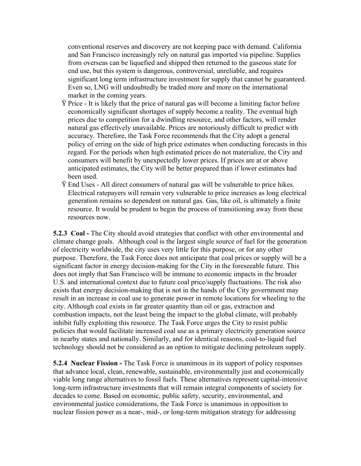conventional reserves and discovery are not keeping pace with demand. California and San Francisco increasingly rely on natural gas imported via pipeline. Supplies from overseas can be liquefied and shipped then returned to the gaseous state for end use, but this system is dangerous, controversial, unreliable, and requires significant long term infrastructure investment for supply that cannot be guaranteed. Even so, LNG will undoubtedly be traded more and more on the international market in the coming years.

- Ÿ Price It is likely that the price of natural gas will become a limiting factor before economically significant shortages of supply become a reality. The eventual high prices due to competition for a dwindling resource, and other factors, will render natural gas effectively unavailable. Prices are notoriously difficult to predict with accuracy. Therefore, the Task Force recommends that the City adopt a general policy of erring on the side of high price estimates when conducting forecasts in this regard. For the periods when high estimated prices do not materialize, the City and consumers will benefit by unexpectedly lower prices. If prices are at or above anticipated estimates, the City will be better prepared than if lower estimates had been used.
- Ÿ End Uses All direct consumers of natural gas will be vulnerable to price hikes. Electrical ratepayers will remain very vulnerable to price increases as long electrical generation remains so dependent on natural gas. Gas, like oil, is ultimately a finite resource. It would be prudent to begin the process of transitioning away from these resources now.

**5.2.3 Coal -** The City should avoid strategies that conflict with other environmental and climate change goals. Although coal is the largest single source of fuel for the generation of electricity worldwide, the city uses very little for this purpose, or for any other purpose. Therefore, the Task Force does not anticipate that coal prices or supply will be a significant factor in energy decision-making for the City in the foreseeable future. This does not imply that San Francisco will be immune to economic impacts in the broader U.S. and international context due to future coal price/supply fluctuations. The risk also exists that energy decision-making that is not in the hands of the City government may result in an increase in coal use to generate power in remote locations for wheeling to the city. Although coal exists in far greater quantity than oil or gas, extraction and combustion impacts, not the least being the impact to the global climate, will probably inhibit fully exploiting this resource. The Task Force urges the City to resist public policies that would facilitate increased coal use as a primary electricity generation source in nearby states and nationally. Similarly, and for identical reasons, coal-to-liquid fuel technology should not be considered as an option to mitigate declining petroleum supply.

**5.2.4 Nuclear Fission -** The Task Force is unanimous in its support of policy responses that advance local, clean, renewable, sustainable, environmentally just and economically viable long range alternatives to fossil fuels. These alternatives represent capital-intensive long-term infrastructure investments that will remain integral components of society for decades to come. Based on economic, public safety, security, environmental, and environmental justice considerations, the Task Force is unanimous in opposition to nuclear fission power as a near-, mid-, or long-term mitigation strategy for addressing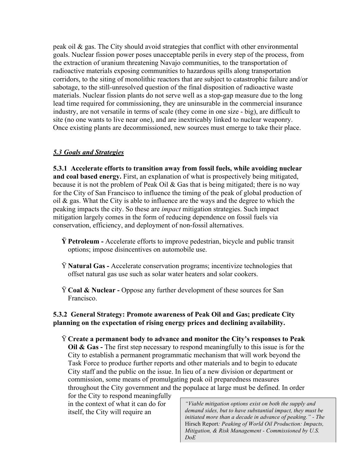peak oil  $\&$  gas. The City should avoid strategies that conflict with other environmental goals. Nuclear fission power poses unacceptable perils in every step of the process, from the extraction of uranium threatening Navajo communities, to the transportation of radioactive materials exposing communities to hazardous spills along transportation corridors, to the siting of monolithic reactors that are subject to catastrophic failure and/or sabotage, to the still-unresolved question of the final disposition of radioactive waste materials. Nuclear fission plants do not serve well as a stop-gap measure due to the long lead time required for commissioning, they are uninsurable in the commercial insurance industry, are not versatile in terms of scale (they come in one size - big), are difficult to site (no one wants to live near one), and are inextricably linked to nuclear weaponry. Once existing plants are decommissioned, new sources must emerge to take their place.

### *5.3 Goals and Strategies*

**5.3.1 Accelerate efforts to transition away from fossil fuels, while avoiding nuclear and coal based energy.** First, an explanation of what is prospectively being mitigated, because it is not the problem of Peak Oil  $\&$  Gas that is being mitigated; there is no way for the City of San Francisco to influence the timing of the peak of global production of oil  $\&$  gas. What the City is able to influence are the ways and the degree to which the peaking impacts the city. So these are *impact* mitigation strategies. Such impact mitigation largely comes in the form of reducing dependence on fossil fuels via conservation, efficiency, and deployment of non-fossil alternatives.

- **Ÿ Petroleum -** Accelerate efforts to improve pedestrian, bicycle and public transit options; impose disincentives on automobile use.
- Ÿ **Natural Gas -** Accelerate conservation programs; incentivize technologies that offset natural gas use such as solar water heaters and solar cookers.
- Ÿ **Coal & Nuclear -** Oppose any further development of these sources for San Francisco.

# **5.3.2 General Strategy: Promote awareness of Peak Oil and Gas; predicate City planning on the expectation of rising energy prices and declining availability.**

Ÿ **Create a permanent body to advance and monitor the City's responses to Peak Oil & Gas** - The first step necessary to respond meaningfully to this issue is for the City to establish a permanent programmatic mechanism that will work beyond the Task Force to produce further reports and other materials and to begin to educate City staff and the public on the issue. In lieu of a new division or department or commission, some means of promulgating peak oil preparedness measures throughout the City government and the populace at large must be defined. In order

for the City to respond meaningfully in the context of what it can do for itself, the City will require an

*"Viable mitigation options exist on both the supply and demand sides, but to have substantial impact, they must be initiated more than a decade in advance of peaking." - The*  Hirsch Report*: Peaking of World Oil Production: Impacts, Mitigation, & Risk Management - Commissioned by U.S. DoE*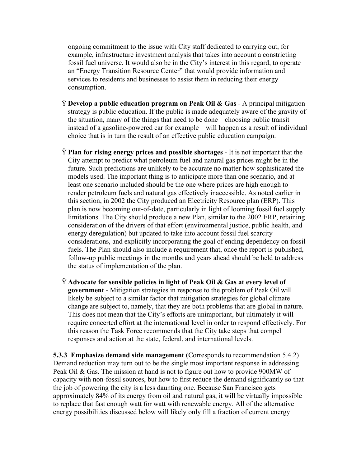ongoing commitment to the issue with City staff dedicated to carrying out, for example, infrastructure investment analysis that takes into account a constricting fossil fuel universe. It would also be in the City's interest in this regard, to operate an "Energy Transition Resource Center" that would provide information and services to residents and businesses to assist them in reducing their energy consumption.

- Ÿ **Develop a public education program on Peak Oil & Gas** A principal mitigation strategy is public education. If the public is made adequately aware of the gravity of the situation, many of the things that need to be done – choosing public transit instead of a gasoline-powered car for example – will happen as a result of individual choice that is in turn the result of an effective public education campaign.
- Ÿ **Plan for rising energy prices and possible shortages** It is not important that the City attempt to predict what petroleum fuel and natural gas prices might be in the future. Such predictions are unlikely to be accurate no matter how sophisticated the models used. The important thing is to anticipate more than one scenario, and at least one scenario included should be the one where prices are high enough to render petroleum fuels and natural gas effectively inaccessible. As noted earlier in this section, in 2002 the City produced an Electricity Resource plan (ERP). This plan is now becoming out-of-date, particularly in light of looming fossil fuel supply limitations. The City should produce a new Plan, similar to the 2002 ERP, retaining consideration of the drivers of that effort (environmental justice, public health, and energy deregulation) but updated to take into account fossil fuel scarcity considerations, and explicitly incorporating the goal of ending dependency on fossil fuels. The Plan should also include a requirement that, once the report is published, follow-up public meetings in the months and years ahead should be held to address the status of implementation of the plan.
- Ÿ **Advocate for sensible policies in light of Peak Oil & Gas at every level of government** - Mitigation strategies in response to the problem of Peak Oil will likely be subject to a similar factor that mitigation strategies for global climate change are subject to, namely, that they are both problems that are global in nature. This does not mean that the City's efforts are unimportant, but ultimately it will require concerted effort at the international level in order to respond effectively. For this reason the Task Force recommends that the City take steps that compel responses and action at the state, federal, and international levels.

**5.3.3 Emphasize demand side management (**Corresponds to recommendation 5.4.2) Demand reduction may turn out to be the single most important response in addressing Peak Oil & Gas. The mission at hand is not to figure out how to provide 900MW of capacity with non-fossil sources, but how to first reduce the demand significantly so that the job of powering the city is a less daunting one. Because San Francisco gets approximately 84% of its energy from oil and natural gas, it will be virtually impossible to replace that fast enough watt for watt with renewable energy. All of the alternative energy possibilities discussed below will likely only fill a fraction of current energy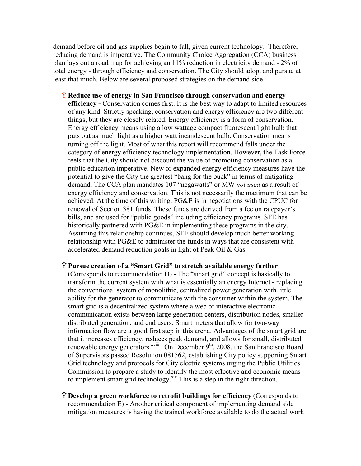demand before oil and gas supplies begin to fall, given current technology. Therefore, reducing demand is imperative. The Community Choice Aggregation (CCA) business plan lays out a road map for achieving an 11% reduction in electricity demand - 2% of total energy - through efficiency and conservation. The City should adopt and pursue at least that much. Below are several proposed strategies on the demand side.

Ÿ **Reduce use of energy in San Francisco through conservation and energy efficiency -** Conservation comes first. It is the best way to adapt to limited resources of any kind. Strictly speaking, conservation and energy efficiency are two different things, but they are closely related. Energy efficiency is a form of conservation. Energy efficiency means using a low wattage compact fluorescent light bulb that puts out as much light as a higher watt incandescent bulb. Conservation means turning off the light. Most of what this report will recommend falls under the category of energy efficiency technology implementation. However, the Task Force feels that the City should not discount the value of promoting conservation as a public education imperative. New or expanded energy efficiency measures have the potential to give the City the greatest "bang for the buck" in terms of mitigating demand. The CCA plan mandates 107 "negawatts" or MW *not used* as a result of energy efficiency and conservation. This is not necessarily the maximum that can be achieved. At the time of this writing, PG&E is in negotiations with the CPUC for renewal of Section 381 funds. These funds are derived from a fee on ratepayer's bills, and are used for "public goods" including efficiency programs. SFE has historically partnered with PG&E in implementing these programs in the city. Assuming this relationship continues, SFE should develop much better working relationship with PG&E to administer the funds in ways that are consistent with accelerated demand reduction goals in light of Peak Oil & Gas.

#### Ÿ **Pursue creation of a "Smart Grid" to stretch available energy further**

(Corresponds to recommendation D) **-** The "smart grid" concept is basically to transform the current system with what is essentially an energy Internet - replacing the conventional system of monolithic, centralized power generation with little ability for the generator to communicate with the consumer within the system. The smart grid is a decentralized system where a web of interactive electronic communication exists between large generation centers, distribution nodes, smaller distributed generation, and end users. Smart meters that allow for two-way information flow are a good first step in this arena. Advantages of the smart grid are that it increases efficiency, reduces peak demand, and allows for small, distributed renewable energy generators.<sup>xviii</sup> On December  $9<sup>th</sup>$ , 2008, the San Francisco Board of Supervisors passed Resolution 081562, establishing City policy supporting Smart Grid technology and protocols for City electric systems urging the Public Utilities Commission to prepare a study to identify the most effective and economic means to implement smart grid technology.<sup>xix</sup> This is a step in the right direction.

Ÿ **Develop a green workforce to retrofit buildings for efficiency** (Corresponds to recommendation E) **-** Another critical component of implementing demand side mitigation measures is having the trained workforce available to do the actual work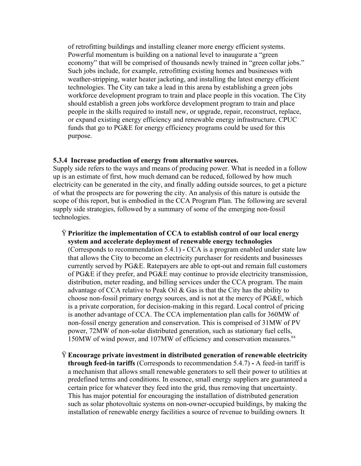of retrofitting buildings and installing cleaner more energy efficient systems. Powerful momentum is building on a national level to inaugurate a "green economy" that will be comprised of thousands newly trained in "green collar jobs." Such jobs include, for example, retrofitting existing homes and businesses with weather-stripping, water heater jacketing, and installing the latest energy efficient technologies. The City can take a lead in this arena by establishing a green jobs workforce development program to train and place people in this vocation. The City should establish a green jobs workforce development program to train and place people in the skills required to install new, or upgrade, repair, reconstruct, replace, or expand existing energy efficiency and renewable energy infrastructure. CPUC funds that go to PG&E for energy efficiency programs could be used for this purpose.

#### **5.3.4 Increase production of energy from alternative sources.**

Supply side refers to the ways and means of producing power. What is needed in a follow up is an estimate of first, how much demand can be reduced, followed by how much electricity can be generated in the city, and finally adding outside sources, to get a picture of what the prospects are for powering the city. An analysis of this nature is outside the scope of this report, but is embodied in the CCA Program Plan. The following are several supply side strategies, followed by a summary of some of the emerging non-fossil technologies.

- Ÿ **Prioritize the implementation of CCA to establish control of our local energy system and accelerate deployment of renewable energy technologies**  (Corresponds to recommendation 5.4.1) **-** CCA is a program enabled under state law that allows the City to become an electricity purchaser for residents and businesses currently served by PG&E. Ratepayers are able to opt-out and remain full customers of PG&E if they prefer, and PG&E may continue to provide electricity transmission, distribution, meter reading, and billing services under the CCA program. The main advantage of CCA relative to Peak Oil & Gas is that the City has the ability to choose non-fossil primary energy sources, and is not at the mercy of PG&E, which is a private corporation, for decision-making in this regard. Local control of pricing is another advantage of CCA. The CCA implementation plan calls for 360MW of non-fossil energy generation and conservation. This is comprised of 31MW of PV power, 72MW of non-solar distributed generation, such as stationary fuel cells, 150MW of wind power, and 107MW of efficiency and conservation measures.<sup>xx</sup>
- Ÿ **Encourage private investment in distributed generation of renewable electricity through feed-in tariffs** (Corresponds to recommendation 5.4.7) **-** A feed-in tariff is a mechanism that allows small renewable generators to sell their power to utilities at predefined terms and conditions. In essence, small energy suppliers are guaranteed a certain price for whatever they feed into the grid, thus removing that uncertainty. This has major potential for encouraging the installation of distributed generation such as solar photovoltaic systems on non-owner-occupied buildings, by making the installation of renewable energy facilities a source of revenue to building owners. It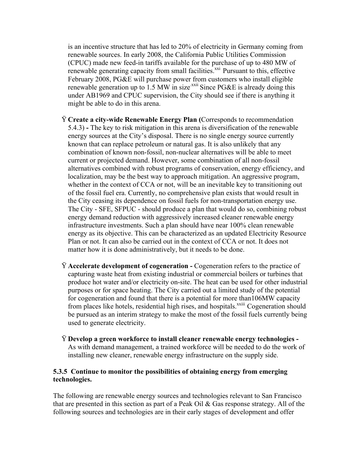is an incentive structure that has led to 20% of electricity in Germany coming from renewable sources. In early 2008, the California Public Utilities Commission (CPUC) made new feed-in tariffs available for the purchase of up to 480 MW of renewable generating capacity from small facilities.<sup>xxi</sup> Pursuant to this, effective February 2008, PG&E will purchase power from customers who install eligible renewable generation up to 1.5 MW in size<sup>xxii</sup> Since PG&E is already doing this under AB1969 and CPUC supervision, the City should see if there is anything it might be able to do in this arena.

- Ÿ **Create a city-wide Renewable Energy Plan (**Corresponds to recommendation 5.4.3) **-** The key to risk mitigation in this arena is diversification of the renewable energy sources at the City's disposal. There is no single energy source currently known that can replace petroleum or natural gas. It is also unlikely that any combination of known non-fossil, non-nuclear alternatives will be able to meet current or projected demand. However, some combination of all non-fossil alternatives combined with robust programs of conservation, energy efficiency, and localization, may be the best way to approach mitigation. An aggressive program, whether in the context of CCA or not, will be an inevitable key to transitioning out of the fossil fuel era. Currently, no comprehensive plan exists that would result in the City ceasing its dependence on fossil fuels for non-transportation energy use. The City - SFE, SFPUC - should produce a plan that would do so, combining robust energy demand reduction with aggressively increased cleaner renewable energy infrastructure investments. Such a plan should have near 100% clean renewable energy as its objective. This can be characterized as an updated Electricity Resource Plan or not. It can also be carried out in the context of CCA or not. It does not matter how it is done administratively, but it needs to be done.
- Ÿ **Accelerate development of cogeneration -** Cogeneration refers to the practice of capturing waste heat from existing industrial or commercial boilers or turbines that produce hot water and/or electricity on-site. The heat can be used for other industrial purposes or for space heating. The City carried out a limited study of the potential for cogeneration and found that there is a potential for more than106MW capacity from places like hotels, residential high rises, and hospitals.<sup>xxiii</sup> Cogeneration should be pursued as an interim strategy to make the most of the fossil fuels currently being used to generate electricity.
- Ÿ **Develop a green workforce to install cleaner renewable energy technologies -** As with demand management, a trained workforce will be needed to do the work of installing new cleaner, renewable energy infrastructure on the supply side.

### **5.3.5 Continue to monitor the possibilities of obtaining energy from emerging technologies.**

The following are renewable energy sources and technologies relevant to San Francisco that are presented in this section as part of a Peak Oil & Gas response strategy. All of the following sources and technologies are in their early stages of development and offer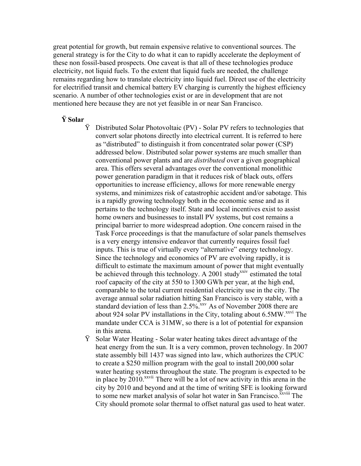great potential for growth, but remain expensive relative to conventional sources. The general strategy is for the City to do what it can to rapidly accelerate the deployment of these non fossil-based prospects. One caveat is that all of these technologies produce electricity, not liquid fuels. To the extent that liquid fuels are needed, the challenge remains regarding how to translate electricity into liquid fuel. Direct use of the electricity for electrified transit and chemical battery EV charging is currently the highest efficiency scenario. A number of other technologies exist or are in development that are not mentioned here because they are not yet feasible in or near San Francisco.

#### **Ÿ Solar**

- Ÿ Distributed Solar Photovoltaic (PV) Solar PV refers to technologies that convert solar photons directly into electrical current. It is referred to here as "distributed" to distinguish it from concentrated solar power (CSP) addressed below. Distributed solar power systems are much smaller than conventional power plants and are *distributed* over a given geographical area. This offers several advantages over the conventional monolithic power generation paradigm in that it reduces risk of black outs, offers opportunities to increase efficiency, allows for more renewable energy systems, and minimizes risk of catastrophic accident and/or sabotage. This is a rapidly growing technology both in the economic sense and as it pertains to the technology itself. State and local incentives exist to assist home owners and businesses to install PV systems, but cost remains a principal barrier to more widespread adoption. One concern raised in the Task Force proceedings is that the manufacture of solar panels themselves is a very energy intensive endeavor that currently requires fossil fuel inputs. This is true of virtually every "alternative" energy technology. Since the technology and economics of PV are evolving rapidly, it is difficult to estimate the maximum amount of power that might eventually be achieved through this technology. A 2001 study<sup>xxiv</sup> estimated the total roof capacity of the city at 550 to 1300 GWh per year, at the high end, comparable to the total current residential electricity use in the city. The average annual solar radiation hitting San Francisco is very stable, with a standard deviation of less than 2.5%.<sup>xxv</sup> As of November 2008 there are about 924 solar PV installations in the City, totaling about  $6.5MW$ <sup>xxv</sup> The mandate under CCA is 31MW, so there is a lot of potential for expansion in this arena.
- $\ddot{Y}$  Solar Water Heating Solar water heating takes direct advantage of the heat energy from the sun. It is a very common, proven technology. In 2007 state assembly bill 1437 was signed into law, which authorizes the CPUC to create a \$250 million program with the goal to install 200,000 solar water heating systems throughout the state. The program is expected to be in place by  $2010$ <sup>xxvii</sup> There will be a lot of new activity in this arena in the city by 2010 and beyond and at the time of writing SFE is looking forward to some new market analysis of solar hot water in San Francisco.<sup>XXVIII</sup> The City should promote solar thermal to offset natural gas used to heat water.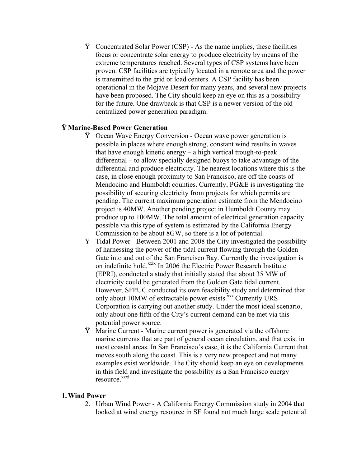$\ddot{Y}$  Concentrated Solar Power (CSP) - As the name implies, these facilities focus or concentrate solar energy to produce electricity by means of the extreme temperatures reached. Several types of CSP systems have been proven. CSP facilities are typically located in a remote area and the power is transmitted to the grid or load centers. A CSP facility has been operational in the Mojave Desert for many years, and several new projects have been proposed. The City should keep an eye on this as a possibility for the future. One drawback is that CSP is a newer version of the old centralized power generation paradigm.

### **Ÿ Marine-Based Power Generation**

- $\ddot{Y}$  Ocean Wave Energy Conversion Ocean wave power generation is possible in places where enough strong, constant wind results in waves that have enough kinetic energy – a high vertical trough-to-peak differential – to allow specially designed buoys to take advantage of the differential and produce electricity. The nearest locations where this is the case, in close enough proximity to San Francisco, are off the coasts of Mendocino and Humboldt counties. Currently, PG&E is investigating the possibility of securing electricity from projects for which permits are pending. The current maximum generation estimate from the Mendocino project is 40MW. Another pending project in Humboldt County may produce up to 100MW. The total amount of electrical generation capacity possible via this type of system is estimated by the California Energy Commission to be about 8GW, so there is a lot of potential.
- $\ddot{Y}$  Tidal Power Between 2001 and 2008 the City investigated the possibility of harnessing the power of the tidal current flowing through the Golden Gate into and out of the San Francisco Bay. Currently the investigation is on indefinite hold.<sup>xxix</sup> In 2006 the Electric Power Research Institute (EPRI), conducted a study that initially stated that about 35 MW of electricity could be generated from the Golden Gate tidal current. However, SFPUC conducted its own feasibility study and determined that only about 10MW of extractable power exists.<sup>xxx</sup> Currently URS Corporation is carrying out another study. Under the most ideal scenario, only about one fifth of the City's current demand can be met via this potential power source.
- Ÿ Marine Current Marine current power is generated via the offshore marine currents that are part of general ocean circulation, and that exist in most coastal areas. In San Francisco's case, it is the California Current that moves south along the coast. This is a very new prospect and not many examples exist worldwide. The City should keep an eye on developments in this field and investigate the possibility as a San Francisco energy resource.<sup>xxxi</sup>

#### **1.Wind Power**

2. Urban Wind Power - A California Energy Commission study in 2004 that looked at wind energy resource in SF found not much large scale potential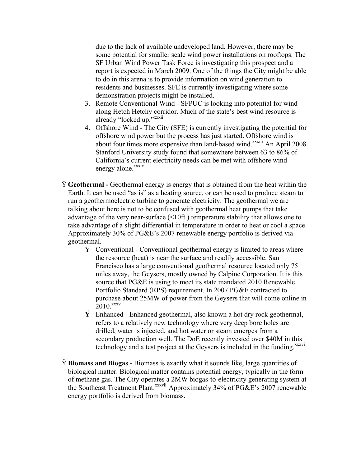due to the lack of available undeveloped land. However, there may be some potential for smaller scale wind power installations on rooftops. The SF Urban Wind Power Task Force is investigating this prospect and a report is expected in March 2009. One of the things the City might be able to do in this arena is to provide information on wind generation to residents and businesses. SFE is currently investigating where some demonstration projects might be installed.

- 3. Remote Conventional Wind SFPUC is looking into potential for wind along Hetch Hetchy corridor. Much of the state's best wind resource is already "locked up."xxxii
- 4. Offshore Wind The City (SFE) is currently investigating the potential for offshore wind power but the process has just started. Offshore wind is about four times more expensive than land-based wind.<sup>xxxiii</sup> An April 2008 Stanford University study found that somewhere between 63 to 86% of California's current electricity needs can be met with offshore wind energy alone.<sup>xxxiv</sup>
- Ÿ **Geothermal -** Geothermal energy is energy that is obtained from the heat within the Earth. It can be used "as is" as a heating source, or can be used to produce steam to run a geothermoelectric turbine to generate electricity. The geothermal we are talking about here is not to be confused with geothermal heat pumps that take advantage of the very near-surface (<10ft.) temperature stability that allows one to take advantage of a slight differential in temperature in order to heat or cool a space. Approximately 30% of PG&E's 2007 renewable energy portfolio is derived via geothermal.
	- $\ddot{Y}$  Conventional Conventional geothermal energy is limited to areas where the resource (heat) is near the surface and readily accessible. San Francisco has a large conventional geothermal resource located only 75 miles away, the Geysers, mostly owned by Calpine Corporation. It is this source that PG&E is using to meet its state mandated 2010 Renewable Portfolio Standard (RPS) requirement. In 2007 PG&E contracted to purchase about 25MW of power from the Geysers that will come online in 2010<sup>xxxv</sup>
	- **Ÿ** Enhanced Enhanced geothermal, also known a hot dry rock geothermal, refers to a relatively new technology where very deep bore holes are drilled, water is injected, and hot water or steam emerges from a secondary production well. The DoE recently invested over \$40M in this technology and a test project at the Geysers is included in the funding.<sup>xxxvi</sup>
- Ÿ **Biomass and Biogas -** Biomass is exactly what it sounds like, large quantities of biological matter. Biological matter contains potential energy, typically in the form of methane gas. The City operates a 2MW biogas-to-electricity generating system at the Southeast Treatment Plant.<sup>xxxvii</sup> Approximately 34% of PG&E's 2007 renewable energy portfolio is derived from biomass.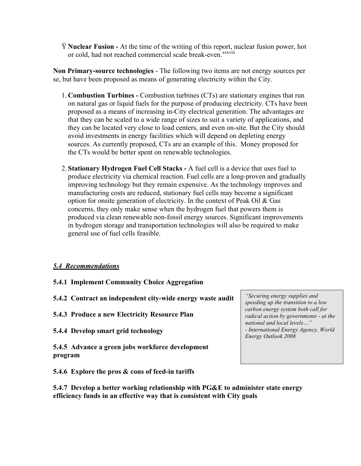Ÿ **Nuclear Fusion -** At the time of the writing of this report, nuclear fusion power, hot or cold, had not reached commercial scale break-even.<sup>xxxviii</sup>

**Non Primary-source technologies** - The following two items are not energy sources per se, but have been proposed as means of generating electricity within the City.

- 1. **Combustion Turbines -** Combustion turbines (CTs) are stationary engines that run on natural gas or liquid fuels for the purpose of producing electricity. CTs have been proposed as a means of increasing in-City electrical generation. The advantages are that they can be scaled to a wide range of sizes to suit a variety of applications, and they can be located very close to load centers, and even on-site. But the City should avoid investments in energy facilities which will depend on depleting energy sources. As currently proposed, CTs are an example of this. Money proposed for the CTs would be better spent on renewable technologies.
- 2. **Stationary Hydrogen Fuel Cell Stacks -** A fuel cell is a device that uses fuel to produce electricity via chemical reaction. Fuel cells are a long-proven and gradually improving technology but they remain expensive. As the technology improves and manufacturing costs are reduced, stationary fuel cells may become a significant option for onsite generation of electricity. In the context of Peak Oil & Gas concerns, they only make sense when the hydrogen fuel that powers them is produced via clean renewable non-fossil energy sources. Significant improvements in hydrogen storage and transportation technologies will also be required to make general use of fuel cells feasible.

#### *5.4 Recommendations*

- **5.4.1 Implement Community Choice Aggregation**
- **5.4.2 Contract an independent city-wide energy waste audit**
- **5.4.3 Produce a new Electricity Resource Plan**
- **5.4.4 Develop smart grid technology**
- **5.4.5 Advance a green jobs workforce development program**
- **5.4.6 Explore the pros & cons of feed-in tariffs**

*"Securing energy supplies and speeding up the transition to a low carbon energy system both call for radical action by governments - at the national and local levels…" - International Energy Agency, World Energy Outlook 2008*

**5.4.7 Develop a better working relationship with PG&E to administer state energy efficiency funds in an effective way that is consistent with City goals**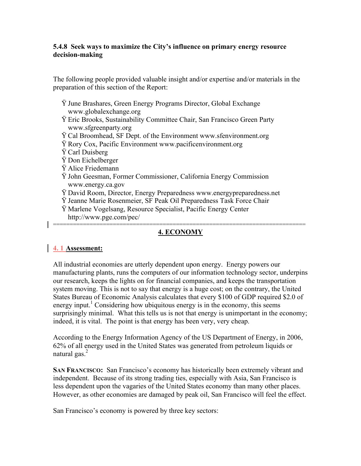### **5.4.8 Seek ways to maximize the City's influence on primary energy resource decision-making**

The following people provided valuable insight and/or expertise and/or materials in the preparation of this section of the Report:

- Ÿ June Brashares, Green Energy Programs Director, Global Exchange www.globalexchange.org
- Ÿ Eric Brooks, Sustainability Committee Chair, San Francisco Green Party www.sfgreenparty.org
- Ÿ Cal Broomhead, SF Dept. of the Environment www.sfenvironment.org
- Ÿ Rory Cox, Pacific Environment www.pacificenvironment.org
- Ÿ Carl Duisberg
- Ÿ Don Eichelberger
- Ÿ Alice Friedemann
- Ÿ John Geesman, Former Commissioner, California Energy Commission www.energy.ca.gov
- Ÿ David Room, Director, Energy Preparedness www.energypreparedness.net
- Ÿ Jeanne Marie Rosenmeier, SF Peak Oil Preparedness Task Force Chair
- Ÿ Marlene Vogelsang, Resource Specialist, Pacific Energy Center http://www.pge.com/pec/

#### ============================================================================ **4. ECONOMY**

# **4. 1 Assessment:**

All industrial economies are utterly dependent upon energy. Energy powers our manufacturing plants, runs the computers of our information technology sector, underpins our research, keeps the lights on for financial companies, and keeps the transportation system moving. This is not to say that energy is a huge cost; on the contrary, the United States Bureau of Economic Analysis calculates that every \$100 of GDP required \$2.0 of energy input.<sup>1</sup> Considering how ubiquitous energy is in the economy, this seems surprisingly minimal. What this tells us is not that energy is unimportant in the economy; indeed, it is vital. The point is that energy has been very, very cheap.

According to the Energy Information Agency of the US Department of Energy, in 2006, 62% of all energy used in the United States was generated from petroleum liquids or natural gas. $<sup>2</sup>$ </sup>

**SAN FRANCISCO:** San Francisco's economy has historically been extremely vibrant and independent. Because of its strong trading ties, especially with Asia, San Francisco is less dependent upon the vagaries of the United States economy than many other places. However, as other economies are damaged by peak oil, San Francisco will feel the effect.

San Francisco's economy is powered by three key sectors: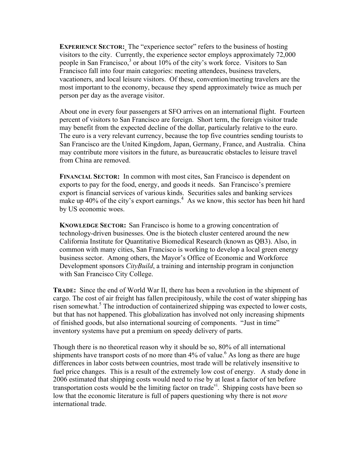**EXPERIENCE SECTOR:** The "experience sector" refers to the business of hosting visitors to the city. Currently, the experience sector employs approximately 72,000 people in San Francisco, $3$  or about 10% of the city's work force. Visitors to San Francisco fall into four main categories: meeting attendees, business travelers, vacationers, and local leisure visitors. Of these, convention/meeting travelers are the most important to the economy, because they spend approximately twice as much per person per day as the average visitor.

About one in every four passengers at SFO arrives on an international flight. Fourteen percent of visitors to San Francisco are foreign. Short term, the foreign visitor trade may benefit from the expected decline of the dollar, particularly relative to the euro. The euro is a very relevant currency, because the top five countries sending tourists to San Francisco are the United Kingdom, Japan, Germany, France, and Australia. China may contribute more visitors in the future, as bureaucratic obstacles to leisure travel from China are removed.

**FINANCIAL SECTOR:** In common with most cites, San Francisco is dependent on exports to pay for the food, energy, and goods it needs. San Francisco's premiere export is financial services of various kinds. Securities sales and banking services make up 40% of the city's export earnings.<sup>4</sup> As we know, this sector has been hit hard by US economic woes.

**KNOWLEDGE SECTOR:** San Francisco is home to a growing concentration of technology-driven businesses. One is the biotech cluster centered around the new California Institute for Quantitative Biomedical Research (known as QB3). Also, in common with many cities, San Francisco is working to develop a local green energy business sector. Among others, the Mayor's Office of Economic and Workforce Development sponsors *CityBuild*, a training and internship program in conjunction with San Francisco City College.

**TRADE:** Since the end of World War II, there has been a revolution in the shipment of cargo. The cost of air freight has fallen precipitously, while the cost of water shipping has risen somewhat.<sup>5</sup> The introduction of containerized shipping was expected to lower costs, but that has not happened. This globalization has involved not only increasing shipments of finished goods, but also international sourcing of components. "Just in time" inventory systems have put a premium on speedy delivery of parts.

Though there is no theoretical reason why it should be so, 80% of all international shipments have transport costs of no more than  $4\%$  of value.<sup>6</sup> As long as there are huge differences in labor costs between countries, most trade will be relatively insensitive to fuel price changes. This is a result of the extremely low cost of energy. A study done in 2006 estimated that shipping costs would need to rise by at least a factor of ten before transportation costs would be the limiting factor on trade<sup>vi</sup>. Shipping costs have been so low that the economic literature is full of papers questioning why there is not *more* international trade.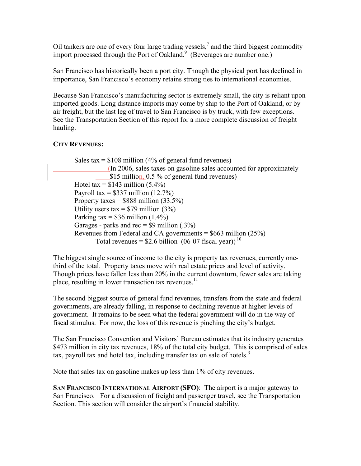Oil tankers are one of every four large trading vessels,<sup>7</sup> and the third biggest commodity import processed through the Port of Oakland.<sup>9</sup> (Beverages are number one.)

San Francisco has historically been a port city. Though the physical port has declined in importance, San Francisco's economy retains strong ties to international economies.

Because San Francisco's manufacturing sector is extremely small, the city is reliant upon imported goods. Long distance imports may come by ship to the Port of Oakland, or by air freight, but the last leg of travel to San Francisco is by truck, with few exceptions. See the Transportation Section of this report for a more complete discussion of freight hauling.

# **CITY REVENUES:**

Sales tax  $= $108$  million (4% of general fund revenues) (In 2006, sales taxes on gasoline sales accounted for approximately \$15 million, 0.5 % of general fund revenues) Hotel tax =  $$143$  million (5.4%) Payroll tax =  $$337$  million  $(12.7%)$ Property taxes =  $$888$  million  $(33.5\%)$ Utility users tax =  $$79$  million (3%) Parking tax =  $$36$  million  $(1.4\%)$ Garages - parks and rec  $= $9$  million (.3%) Revenues from Federal and CA governments  $= $663$  million (25%) Total revenues =  $$2.6$  billion (06-07 fiscal year)}<sup>10</sup>

The biggest single source of income to the city is property tax revenues, currently onethird of the total. Property taxes move with real estate prices and level of activity. Though prices have fallen less than 20% in the current downturn, fewer sales are taking place, resulting in lower transaction tax revenues. $11$ 

The second biggest source of general fund revenues, transfers from the state and federal governments, are already falling, in response to declining revenue at higher levels of government. It remains to be seen what the federal government will do in the way of fiscal stimulus. For now, the loss of this revenue is pinching the city's budget.

The San Francisco Convention and Visitors' Bureau estimates that its industry generates \$473 million in city tax revenues, 18% of the total city budget. This is comprised of sales tax, payroll tax and hotel tax, including transfer tax on sale of hotels.<sup>3</sup>

Note that sales tax on gasoline makes up less than 1% of city revenues.

**SAN FRANCISCO INTERNATIONAL AIRPORT (SFO)**: The airport is a major gateway to San Francisco. For a discussion of freight and passenger travel, see the Transportation Section. This section will consider the airport's financial stability.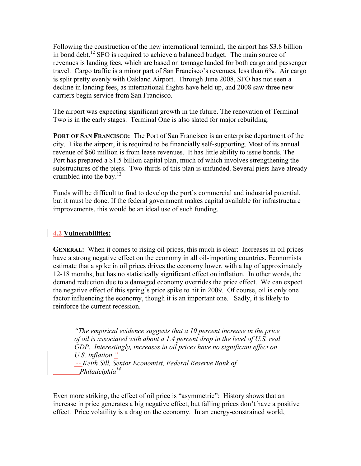Following the construction of the new international terminal, the airport has \$3.8 billion in bond debt.<sup>12</sup> SFO is required to achieve a balanced budget. The main source of revenues is landing fees, which are based on tonnage landed for both cargo and passenger travel. Cargo traffic is a minor part of San Francisco's revenues, less than 6%. Air cargo is split pretty evenly with Oakland Airport. Through June 2008, SFO has not seen a decline in landing fees, as international flights have held up, and 2008 saw three new carriers begin service from San Francisco.

The airport was expecting significant growth in the future. The renovation of Terminal Two is in the early stages. Terminal One is also slated for major rebuilding.

**PORT OF SAN FRANCISCO:** The Port of San Francisco is an enterprise department of the city. Like the airport, it is required to be financially self-supporting. Most of its annual revenue of \$60 million is from lease revenues. It has little ability to issue bonds. The Port has prepared a \$1.5 billion capital plan, much of which involves strengthening the substructures of the piers. Two-thirds of this plan is unfunded. Several piers have already crumbled into the bay. $^{12}$ 

Funds will be difficult to find to develop the port's commercial and industrial potential, but it must be done. If the federal government makes capital available for infrastructure improvements, this would be an ideal use of such funding.

### **4.2 Vulnerabilities:**

**GENERAL:** When it comes to rising oil prices, this much is clear: Increases in oil prices have a strong negative effect on the economy in all oil-importing countries. Economists estimate that a spike in oil prices drives the economy lower, with a lag of approximately 12-18 months, but has no statistically significant effect on inflation. In other words, the demand reduction due to a damaged economy overrides the price effect. We can expect the negative effect of this spring's price spike to hit in 2009. Of course, oil is only one factor influencing the economy, though it is an important one. Sadly, it is likely to reinforce the current recession.

*"The empirical evidence suggests that a 10 percent increase in the price of oil is associated with about a 1.4 percent drop in the level of U.S. real GDP. Interestingly, increases in oil prices have no significant effect on U.S. inflation." -- Keith Sill, Senior Economist, Federal Reserve Bank of Philadelphia14*

Even more striking, the effect of oil price is "asymmetric": History shows that an increase in price generates a big negative effect, but falling prices don't have a positive effect. Price volatility is a drag on the economy. In an energy-constrained world,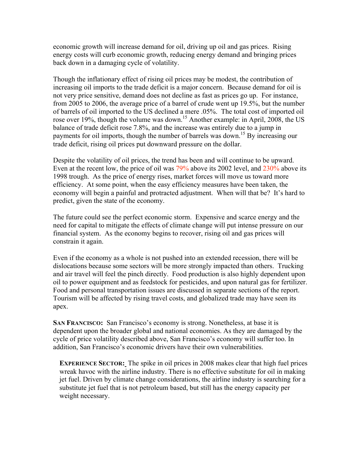economic growth will increase demand for oil, driving up oil and gas prices. Rising energy costs will curb economic growth, reducing energy demand and bringing prices back down in a damaging cycle of volatility.

Though the inflationary effect of rising oil prices may be modest, the contribution of increasing oil imports to the trade deficit is a major concern. Because demand for oil is not very price sensitive, demand does not decline as fast as prices go up. For instance, from 2005 to 2006, the average price of a barrel of crude went up 19.5%, but the number of barrels of oil imported to the US declined a mere .05%. The total cost of imported oil rose over 19%, though the volume was down.<sup>15</sup> Another example: in April, 2008, the US balance of trade deficit rose 7.8%, and the increase was entirely due to a jump in payments for oil imports, though the number of barrels was down.<sup>15</sup> By increasing our trade deficit, rising oil prices put downward pressure on the dollar.

Despite the volatility of oil prices, the trend has been and will continue to be upward. Even at the recent low, the price of oil was 79% above its 2002 level, and 230% above its 1998 trough. As the price of energy rises, market forces will move us toward more efficiency. At some point, when the easy efficiency measures have been taken, the economy will begin a painful and protracted adjustment. When will that be? It's hard to predict, given the state of the economy.

The future could see the perfect economic storm. Expensive and scarce energy and the need for capital to mitigate the effects of climate change will put intense pressure on our financial system. As the economy begins to recover, rising oil and gas prices will constrain it again.

Even if the economy as a whole is not pushed into an extended recession, there will be dislocations because some sectors will be more strongly impacted than others. Trucking and air travel will feel the pinch directly. Food production is also highly dependent upon oil to power equipment and as feedstock for pesticides, and upon natural gas for fertilizer. Food and personal transportation issues are discussed in separate sections of the report. Tourism will be affected by rising travel costs, and globalized trade may have seen its apex.

**SAN FRANCISCO:** San Francisco's economy is strong. Nonetheless, at base it is dependent upon the broader global and national economies. As they are damaged by the cycle of price volatility described above, San Francisco's economy will suffer too. In addition, San Francisco's economic drivers have their own vulnerabilities.

**EXPERIENCE SECTOR:** The spike in oil prices in 2008 makes clear that high fuel prices wreak havoc with the airline industry. There is no effective substitute for oil in making jet fuel. Driven by climate change considerations, the airline industry is searching for a substitute jet fuel that is not petroleum based, but still has the energy capacity per weight necessary.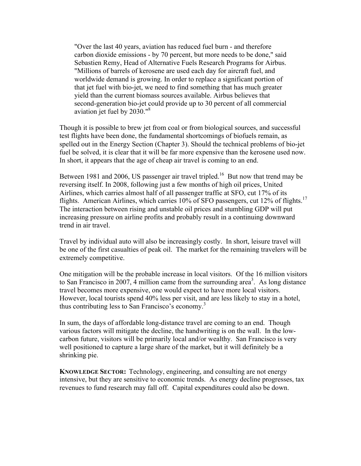"Over the last 40 years, aviation has reduced fuel burn - and therefore carbon dioxide emissions - by 70 percent, but more needs to be done," said Sebastien Remy, Head of Alternative Fuels Research Programs for Airbus. "Millions of barrels of kerosene are used each day for aircraft fuel, and worldwide demand is growing. In order to replace a significant portion of that jet fuel with bio-jet, we need to find something that has much greater yield than the current biomass sources available. Airbus believes that second-generation bio-jet could provide up to 30 percent of all commercial aviation jet fuel by 2030."8

Though it is possible to brew jet from coal or from biological sources, and successful test flights have been done, the fundamental shortcomings of biofuels remain, as spelled out in the Energy Section (Chapter 3). Should the technical problems of bio-jet fuel be solved, it is clear that it will be far more expensive than the kerosene used now. In short, it appears that the age of cheap air travel is coming to an end.

Between 1981 and 2006, US passenger air travel tripled.<sup>16</sup> But now that trend may be reversing itself. In 2008, following just a few months of high oil prices, United Airlines, which carries almost half of all passenger traffic at SFO, cut 17% of its flights. American Airlines, which carries 10% of SFO passengers, cut 12% of flights.<sup>17</sup> The interaction between rising and unstable oil prices and stumbling GDP will put increasing pressure on airline profits and probably result in a continuing downward trend in air travel.

Travel by individual auto will also be increasingly costly. In short, leisure travel will be one of the first casualties of peak oil. The market for the remaining travelers will be extremely competitive.

One mitigation will be the probable increase in local visitors. Of the 16 million visitors to San Francisco in 2007,  $\overline{4}$  million came from the surrounding area<sup>3</sup>. As long distance travel becomes more expensive, one would expect to have more local visitors. However, local tourists spend 40% less per visit, and are less likely to stay in a hotel, thus contributing less to San Francisco's economy.<sup>3</sup>

In sum, the days of affordable long-distance travel are coming to an end. Though various factors will mitigate the decline, the handwriting is on the wall. In the lowcarbon future, visitors will be primarily local and/or wealthy. San Francisco is very well positioned to capture a large share of the market, but it will definitely be a shrinking pie.

**KNOWLEDGE SECTOR:** Technology, engineering, and consulting are not energy intensive, but they are sensitive to economic trends. As energy decline progresses, tax revenues to fund research may fall off. Capital expenditures could also be down.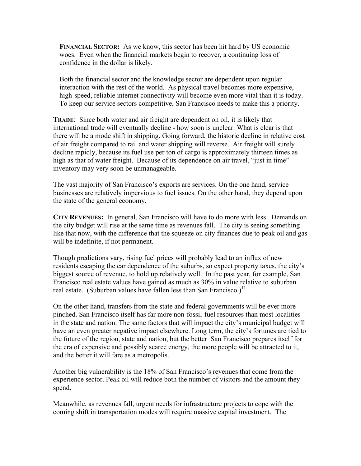**FINANCIAL SECTOR:** As we know, this sector has been hit hard by US economic woes. Even when the financial markets begin to recover, a continuing loss of confidence in the dollar is likely.

Both the financial sector and the knowledge sector are dependent upon regular interaction with the rest of the world. As physical travel becomes more expensive, high-speed, reliable internet connectivity will become even more vital than it is today. To keep our service sectors competitive, San Francisco needs to make this a priority.

**TRADE**: Since both water and air freight are dependent on oil, it is likely that international trade will eventually decline - how soon is unclear. What is clear is that there will be a mode shift in shipping. Going forward, the historic decline in relative cost of air freight compared to rail and water shipping will reverse. Air freight will surely decline rapidly, because its fuel use per ton of cargo is approximately thirteen times as high as that of water freight. Because of its dependence on air travel, "just in time" inventory may very soon be unmanageable.

The vast majority of San Francisco's exports are services. On the one hand, service businesses are relatively impervious to fuel issues. On the other hand, they depend upon the state of the general economy.

**CITY REVENUES:** In general, San Francisco will have to do more with less. Demands on the city budget will rise at the same time as revenues fall. The city is seeing something like that now, with the difference that the squeeze on city finances due to peak oil and gas will be indefinite, if not permanent.

Though predictions vary, rising fuel prices will probably lead to an influx of new residents escaping the car dependence of the suburbs, so expect property taxes, the city's biggest source of revenue, to hold up relatively well. In the past year, for example, San Francisco real estate values have gained as much as 30% in value relative to suburban real estate. (Suburban values have fallen less than San Francisco.)<sup>11</sup>

On the other hand, transfers from the state and federal governments will be ever more pinched. San Francisco itself has far more non-fossil-fuel resources than most localities in the state and nation. The same factors that will impact the city's municipal budget will have an even greater negative impact elsewhere. Long term, the city's fortunes are tied to the future of the region, state and nation, but the better San Francisco prepares itself for the era of expensive and possibly scarce energy, the more people will be attracted to it, and the better it will fare as a metropolis.

Another big vulnerability is the 18% of San Francisco's revenues that come from the experience sector. Peak oil will reduce both the number of visitors and the amount they spend.

Meanwhile, as revenues fall, urgent needs for infrastructure projects to cope with the coming shift in transportation modes will require massive capital investment. The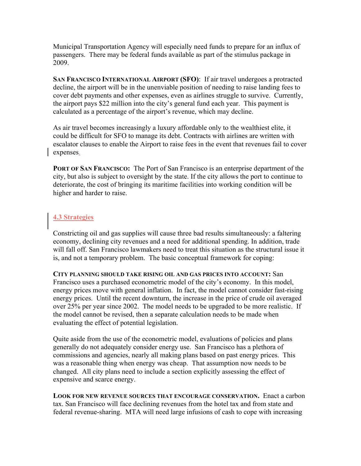Municipal Transportation Agency will especially need funds to prepare for an influx of passengers. There may be federal funds available as part of the stimulus package in 2009.

**SAN FRANCISCO INTERNATIONAL AIRPORT (SFO)**: If air travel undergoes a protracted decline, the airport will be in the unenviable position of needing to raise landing fees to cover debt payments and other expenses, even as airlines struggle to survive. Currently, the airport pays \$22 million into the city's general fund each year. This payment is calculated as a percentage of the airport's revenue, which may decline.

As air travel becomes increasingly a luxury affordable only to the wealthiest elite, it could be difficult for SFO to manage its debt. Contracts with airlines are written with escalator clauses to enable the Airport to raise fees in the event that revenues fail to cover expenses.

**PORT OF SAN FRANCISCO:** The Port of San Francisco is an enterprise department of the city, but also is subject to oversight by the state. If the city allows the port to continue to deteriorate, the cost of bringing its maritime facilities into working condition will be higher and harder to raise.

# **4.3 Strategies**

Constricting oil and gas supplies will cause three bad results simultaneously: a faltering economy, declining city revenues and a need for additional spending. In addition, trade will fall off. San Francisco lawmakers need to treat this situation as the structural issue it is, and not a temporary problem. The basic conceptual framework for coping:

**CITY PLANNING SHOULD TAKE RISING OIL AND GAS PRICES INTO ACCOUNT:** San Francisco uses a purchased econometric model of the city's economy. In this model, energy prices move with general inflation. In fact, the model cannot consider fast-rising energy prices. Until the recent downturn, the increase in the price of crude oil averaged over 25% per year since 2002. The model needs to be upgraded to be more realistic. If the model cannot be revised, then a separate calculation needs to be made when evaluating the effect of potential legislation.

Quite aside from the use of the econometric model, evaluations of policies and plans generally do not adequately consider energy use. San Francisco has a plethora of commissions and agencies, nearly all making plans based on past energy prices. This was a reasonable thing when energy was cheap. That assumption now needs to be changed. All city plans need to include a section explicitly assessing the effect of expensive and scarce energy.

LOOK FOR NEW REVENUE SOURCES THAT ENCOURAGE CONSERVATION. Enact a carbon tax. San Francisco will face declining revenues from the hotel tax and from state and federal revenue-sharing. MTA will need large infusions of cash to cope with increasing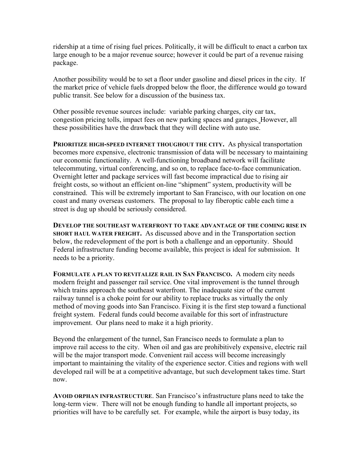ridership at a time of rising fuel prices. Politically, it will be difficult to enact a carbon tax large enough to be a major revenue source; however it could be part of a revenue raising package.

Another possibility would be to set a floor under gasoline and diesel prices in the city. If the market price of vehicle fuels dropped below the floor, the difference would go toward public transit. See below for a discussion of the business tax.

Other possible revenue sources include: variable parking charges, city car tax, congestion pricing tolls, impact fees on new parking spaces and garages. However, all these possibilities have the drawback that they will decline with auto use.

**PRIORITIZE HIGH-SPEED INTERNET THOUGHOUT THE CITY.** As physical transportation becomes more expensive, electronic transmission of data will be necessary to maintaining our economic functionality. A well-functioning broadband network will facilitate telecommuting, virtual conferencing, and so on, to replace face-to-face communication. Overnight letter and package services will fast become impractical due to rising air freight costs, so without an efficient on-line "shipment" system, productivity will be constrained. This will be extremely important to San Francisco, with our location on one coast and many overseas customers. The proposal to lay fiberoptic cable each time a street is dug up should be seriously considered.

**DEVELOP THE SOUTHEAST WATERFRONT TO TAKE ADVANTAGE OF THE COMING RISE IN SHORT HAUL WATER FREIGHT.** As discussed above and in the Transportation section below, the redevelopment of the port is both a challenge and an opportunity. Should Federal infrastructure funding become available, this project is ideal for submission. It needs to be a priority.

**FORMULATE A PLAN TO REVITALIZE RAIL IN SAN FRANCISCO.** A modern city needs modern freight and passenger rail service. One vital improvement is the tunnel through which trains approach the southeast waterfront. The inadequate size of the current railway tunnel is a choke point for our ability to replace trucks as virtually the only method of moving goods into San Francisco. Fixing it is the first step toward a functional freight system. Federal funds could become available for this sort of infrastructure improvement. Our plans need to make it a high priority.

Beyond the enlargement of the tunnel, San Francisco needs to formulate a plan to improve rail access to the city. When oil and gas are prohibitively expensive, electric rail will be the major transport mode. Convenient rail access will become increasingly important to maintaining the vitality of the experience sector. Cities and regions with well developed rail will be at a competitive advantage, but such development takes time. Start now.

**AVOID ORPHAN INFRASTRUCTURE**. San Francisco's infrastructure plans need to take the long-term view. There will not be enough funding to handle all important projects, so priorities will have to be carefully set. For example, while the airport is busy today, its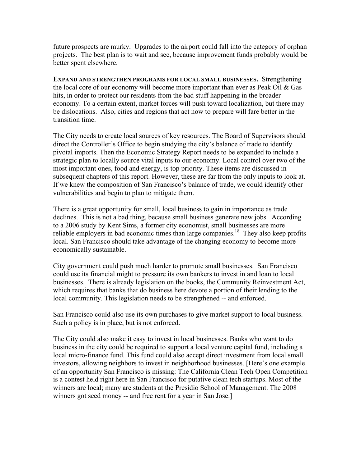future prospects are murky. Upgrades to the airport could fall into the category of orphan projects. The best plan is to wait and see, because improvement funds probably would be better spent elsewhere.

**EXPAND AND STRENGTHEN PROGRAMS FOR LOCAL SMALL BUSINESSES.** Strengthening the local core of our economy will become more important than ever as Peak Oil & Gas hits, in order to protect our residents from the bad stuff happening in the broader economy. To a certain extent, market forces will push toward localization, but there may be dislocations. Also, cities and regions that act now to prepare will fare better in the transition time.

The City needs to create local sources of key resources. The Board of Supervisors should direct the Controller's Office to begin studying the city's balance of trade to identify pivotal imports. Then the Economic Strategy Report needs to be expanded to include a strategic plan to locally source vital inputs to our economy. Local control over two of the most important ones, food and energy, is top priority. These items are discussed in subsequent chapters of this report. However, these are far from the only inputs to look at. If we knew the composition of San Francisco's balance of trade, we could identify other vulnerabilities and begin to plan to mitigate them.

There is a great opportunity for small, local business to gain in importance as trade declines. This is not a bad thing, because small business generate new jobs. According to a 2006 study by Kent Sims, a former city economist, small businesses are more reliable employers in bad economic times than large companies.<sup>18</sup> They also keep profits local. San Francisco should take advantage of the changing economy to become more economically sustainable.

City government could push much harder to promote small businesses. San Francisco could use its financial might to pressure its own bankers to invest in and loan to local businesses. There is already legislation on the books, the Community Reinvestment Act, which requires that banks that do business here devote a portion of their lending to the local community. This legislation needs to be strengthened -- and enforced.

San Francisco could also use its own purchases to give market support to local business. Such a policy is in place, but is not enforced.

The City could also make it easy to invest in local businesses. Banks who want to do business in the city could be required to support a local venture capital fund, including a local micro-finance fund. This fund could also accept direct investment from local small investors, allowing neighbors to invest in neighborhood businesses. [Here's one example of an opportunity San Francisco is missing: The California Clean Tech Open Competition is a contest held right here in San Francisco for putative clean tech startups. Most of the winners are local; many are students at the Presidio School of Management. The 2008 winners got seed money -- and free rent for a year in San Jose.]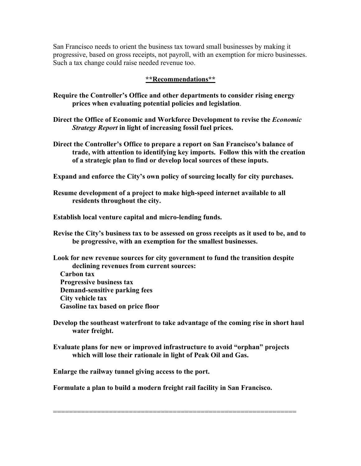San Francisco needs to orient the business tax toward small businesses by making it progressive, based on gross receipts, not payroll, with an exemption for micro businesses. Such a tax change could raise needed revenue too.

#### **\*\*Recommendations\*\***

- **Require the Controller's Office and other departments to consider rising energy prices when evaluating potential policies and legislation**.
- **Direct the Office of Economic and Workforce Development to revise the** *Economic Strategy Report* **in light of increasing fossil fuel prices.**
- **Direct the Controller's Office to prepare a report on San Francisco's balance of trade, with attention to identifying key imports. Follow this with the creation of a strategic plan to find or develop local sources of these inputs.**

**Expand and enforce the City's own policy of sourcing locally for city purchases.**

**Resume development of a project to make high-speed internet available to all residents throughout the city.**

**Establish local venture capital and micro-lending funds.**

- **Revise the City's business tax to be assessed on gross receipts as it used to be, and to be progressive, with an exemption for the smallest businesses.**
- **Look for new revenue sources for city government to fund the transition despite declining revenues from current sources: Carbon tax Progressive business tax Demand-sensitive parking fees City vehicle tax Gasoline tax based on price floor**
- **Develop the southeast waterfront to take advantage of the coming rise in short haul water freight.**
- **Evaluate plans for new or improved infrastructure to avoid "orphan" projects which will lose their rationale in light of Peak Oil and Gas.**

=============================================================

**Enlarge the railway tunnel giving access to the port.** 

**Formulate a plan to build a modern freight rail facility in San Francisco.**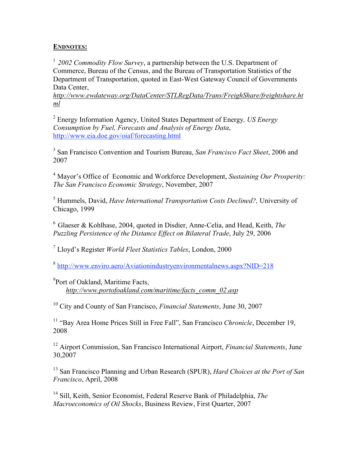### **ENDNOTES:**

<sup>1</sup>*2002 Commodity Flow Survey*, a partnership between the U.S. Department of Commerce, Bureau of the Census, and the Bureau of Transportation Statistics of the Department of Transportation, quoted in East-West Gateway Council of Governments Data Center,

*http://www.ewdateway.org/DataCenter/STLRegData/Trans/FreighShare/freightshare.ht ml*

2 Energy Information Agency, United States Department of Energy*, US Energy Consumption by Fuel, Forecasts and Analysis of Energy Data*, http://www.eia.doe.gov/oiaf/forecasting.html

3 San Francisco Convention and Tourism Bureau, *San Francisco Fact Sheet*, 2006 and 2007

4 Mayor's Office of Economic and Workforce Development, *Sustaining Our Prosperity: The San Francisco Economic Strategy*, November, 2007

5 Hummels, David, *Have International Transportation Costs Declined?,* University of Chicago, 1999

6 Glaeser & Kohlhase, 2004, quoted in Disdier, Anne-Celia, and Head, Keith, *The Puzzling Persistence of the Distance Effect on Bilateral Trade*, July 29, 2006

7 Lloyd's Register *World Fleet Statistics Tables*, London, 2000

<sup>8</sup> http://www.enviro.aero/Aviationindustryenvironmentalnews.aspx?NID=218

<sup>9</sup>Port of Oakland, Maritime Facts, *http://www.portofoakland.com/maritime/facts\_comm\_02.asp*

10 City and County of San Francisco, *Financial Statements*, June 30, 2007

11 "Bay Area Home Prices Still in Free Fall", San Francisco *Chronicle*, December 19, 2008

12 Airport Commission, San Francisco International Airport, *Financial Statements*, June 30,2007

13 San Francisco Planning and Urban Research (SPUR), *Hard Choices at the Port of San Francisco*, April, 2008

14 Sill, Keith, Senior Economist, Federal Reserve Bank of Philadelphia, *The Macroeconomics of Oil Shocks*, Business Review, First Quarter, 2007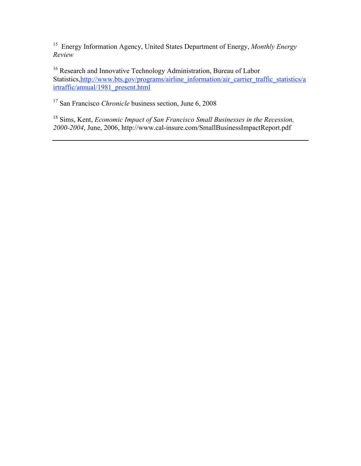15 Energy Information Agency, United States Department of Energy, *Monthly Energy Review*

<sup>16</sup> Research and Innovative Technology Administration, Bureau of Labor Statistics,http://www.bts.gov/programs/airline\_information/air\_carrier\_traffic\_statistics/a irtraffic/annual/1981\_present.html

<sup>17</sup> San Francisco *Chronicle* business section, June 6, 2008

18 Sims, Kent, *Economic Impact of San Francisco Small Businesses in the Recession, 2000-2004*, June, 2006, http://www.cal-insure.com/SmallBusinessImpactReport.pdf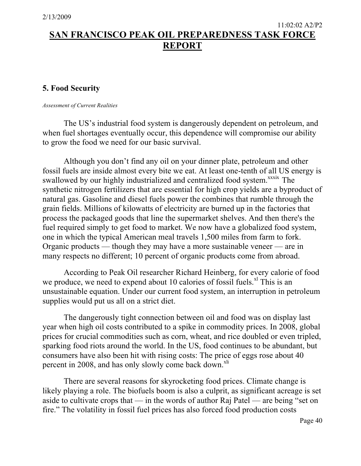### **5. Food Security**

#### *Assessment of Current Realities*

The US's industrial food system is dangerously dependent on petroleum, and when fuel shortages eventually occur, this dependence will compromise our ability to grow the food we need for our basic survival.

Although you don't find any oil on your dinner plate, petroleum and other fossil fuels are inside almost every bite we eat. At least one-tenth of all US energy is swallowed by our highly industrialized and centralized food system.<sup>xxxix</sup> The synthetic nitrogen fertilizers that are essential for high crop yields are a byproduct of natural gas. Gasoline and diesel fuels power the combines that rumble through the grain fields. Millions of kilowatts of electricity are burned up in the factories that process the packaged goods that line the supermarket shelves. And then there's the fuel required simply to get food to market. We now have a globalized food system, one in which the typical American meal travels 1,500 miles from farm to fork. Organic products — though they may have a more sustainable veneer — are in many respects no different; 10 percent of organic products come from abroad.

According to Peak Oil researcher Richard Heinberg, for every calorie of food we produce, we need to expend about 10 calories of fossil fuels. $x<sup>1</sup>$  This is an unsustainable equation. Under our current food system, an interruption in petroleum supplies would put us all on a strict diet.

The dangerously tight connection between oil and food was on display last year when high oil costs contributed to a spike in commodity prices. In 2008, global prices for crucial commodities such as corn, wheat, and rice doubled or even tripled, sparking food riots around the world. In the US, food continues to be abundant, but consumers have also been hit with rising costs: The price of eggs rose about 40 percent in 2008, and has only slowly come back down.<sup>xli</sup>

There are several reasons for skyrocketing food prices. Climate change is likely playing a role. The biofuels boom is also a culprit, as significant acreage is set aside to cultivate crops that — in the words of author Raj Patel — are being "set on fire." The volatility in fossil fuel prices has also forced food production costs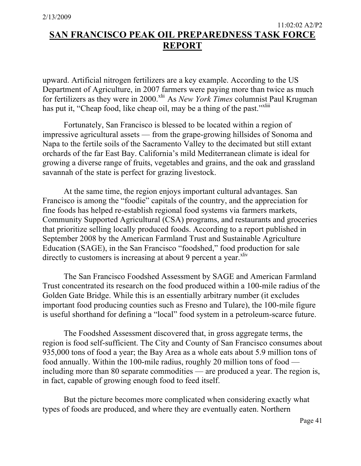upward. Artificial nitrogen fertilizers are a key example. According to the US Department of Agriculture, in 2007 farmers were paying more than twice as much for fertilizers as they were in 2000.<sup>xlii</sup> As *New York Times* columnist Paul Krugman has put it, "Cheap food, like cheap oil, may be a thing of the past."<sup>xliii</sup>

Fortunately, San Francisco is blessed to be located within a region of impressive agricultural assets — from the grape-growing hillsides of Sonoma and Napa to the fertile soils of the Sacramento Valley to the decimated but still extant orchards of the far East Bay. California's mild Mediterranean climate is ideal for growing a diverse range of fruits, vegetables and grains, and the oak and grassland savannah of the state is perfect for grazing livestock.

At the same time, the region enjoys important cultural advantages. San Francisco is among the "foodie" capitals of the country, and the appreciation for fine foods has helped re-establish regional food systems via farmers markets, Community Supported Agricultural (CSA) programs, and restaurants and groceries that prioritize selling locally produced foods. According to a report published in September 2008 by the American Farmland Trust and Sustainable Agriculture Education (SAGE), in the San Francisco "foodshed," food production for sale directly to customers is increasing at about 9 percent a year. $x^{div}$ 

The San Francisco Foodshed Assessment by SAGE and American Farmland Trust concentrated its research on the food produced within a 100-mile radius of the Golden Gate Bridge. While this is an essentially arbitrary number (it excludes important food producing counties such as Fresno and Tulare), the 100-mile figure is useful shorthand for defining a "local" food system in a petroleum-scarce future.

The Foodshed Assessment discovered that, in gross aggregate terms, the region is food self-sufficient. The City and County of San Francisco consumes about 935,000 tons of food a year; the Bay Area as a whole eats about 5.9 million tons of food annually. Within the 100-mile radius, roughly 20 million tons of food including more than 80 separate commodities — are produced a year. The region is, in fact, capable of growing enough food to feed itself.

But the picture becomes more complicated when considering exactly what types of foods are produced, and where they are eventually eaten. Northern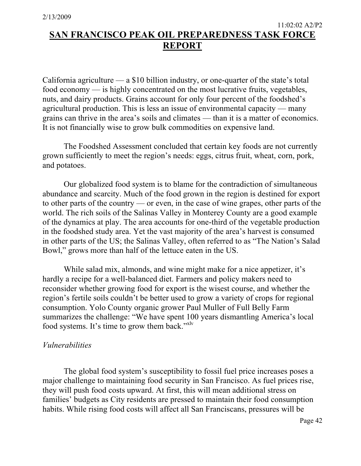California agriculture  $\frac{1}{2}$  a \$10 billion industry, or one-quarter of the state's total food economy — is highly concentrated on the most lucrative fruits, vegetables, nuts, and dairy products. Grains account for only four percent of the foodshed's agricultural production. This is less an issue of environmental capacity — many grains can thrive in the area's soils and climates — than it is a matter of economics. It is not financially wise to grow bulk commodities on expensive land.

The Foodshed Assessment concluded that certain key foods are not currently grown sufficiently to meet the region's needs: eggs, citrus fruit, wheat, corn, pork, and potatoes.

Our globalized food system is to blame for the contradiction of simultaneous abundance and scarcity. Much of the food grown in the region is destined for export to other parts of the country — or even, in the case of wine grapes, other parts of the world. The rich soils of the Salinas Valley in Monterey County are a good example of the dynamics at play. The area accounts for one-third of the vegetable production in the foodshed study area. Yet the vast majority of the area's harvest is consumed in other parts of the US; the Salinas Valley, often referred to as "The Nation's Salad Bowl," grows more than half of the lettuce eaten in the US.

While salad mix, almonds, and wine might make for a nice appetizer, it's hardly a recipe for a well-balanced diet. Farmers and policy makers need to reconsider whether growing food for export is the wisest course, and whether the region's fertile soils couldn't be better used to grow a variety of crops for regional consumption. Yolo County organic grower Paul Muller of Full Belly Farm summarizes the challenge: "We have spent 100 years dismantling America's local food systems. It's time to grow them back."<sup>xlv</sup>

### *Vulnerabilities*

The global food system's susceptibility to fossil fuel price increases poses a major challenge to maintaining food security in San Francisco. As fuel prices rise, they will push food costs upward. At first, this will mean additional stress on families' budgets as City residents are pressed to maintain their food consumption habits. While rising food costs will affect all San Franciscans, pressures will be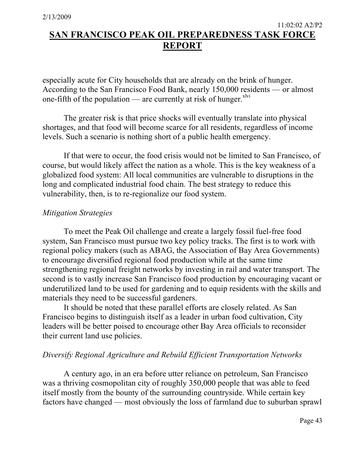especially acute for City households that are already on the brink of hunger. According to the San Francisco Food Bank, nearly 150,000 residents — or almost one-fifth of the population — are currently at risk of hunger. $x^{\text{lvi}}$ 

The greater risk is that price shocks will eventually translate into physical shortages, and that food will become scarce for all residents, regardless of income levels. Such a scenario is nothing short of a public health emergency.

If that were to occur, the food crisis would not be limited to San Francisco, of course, but would likely affect the nation as a whole. This is the key weakness of a globalized food system: All local communities are vulnerable to disruptions in the long and complicated industrial food chain. The best strategy to reduce this vulnerability, then, is to re-regionalize our food system.

### *Mitigation Strategies*

To meet the Peak Oil challenge and create a largely fossil fuel-free food system, San Francisco must pursue two key policy tracks. The first is to work with regional policy makers (such as ABAG, the Association of Bay Area Governments) to encourage diversified regional food production while at the same time strengthening regional freight networks by investing in rail and water transport. The second is to vastly increase San Francisco food production by encouraging vacant or underutilized land to be used for gardening and to equip residents with the skills and materials they need to be successful gardeners.

It should be noted that these parallel efforts are closely related. As San Francisco begins to distinguish itself as a leader in urban food cultivation, City leaders will be better poised to encourage other Bay Area officials to reconsider their current land use policies.

### *Diversify Regional Agriculture and Rebuild Efficient Transportation Networks*

A century ago, in an era before utter reliance on petroleum, San Francisco was a thriving cosmopolitan city of roughly 350,000 people that was able to feed itself mostly from the bounty of the surrounding countryside. While certain key factors have changed — most obviously the loss of farmland due to suburban sprawl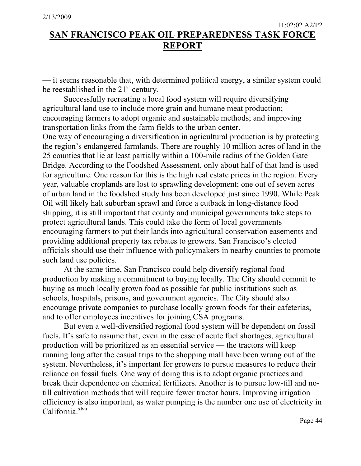— it seems reasonable that, with determined political energy, a similar system could be reestablished in the  $21<sup>st</sup>$  century.

Successfully recreating a local food system will require diversifying agricultural land use to include more grain and humane meat production; encouraging farmers to adopt organic and sustainable methods; and improving transportation links from the farm fields to the urban center.

One way of encouraging a diversification in agricultural production is by protecting the region's endangered farmlands. There are roughly 10 million acres of land in the 25 counties that lie at least partially within a 100-mile radius of the Golden Gate Bridge. According to the Foodshed Assessment, only about half of that land is used for agriculture. One reason for this is the high real estate prices in the region. Every year, valuable croplands are lost to sprawling development; one out of seven acres of urban land in the foodshed study has been developed just since 1990. While Peak Oil will likely halt suburban sprawl and force a cutback in long-distance food shipping, it is still important that county and municipal governments take steps to protect agricultural lands. This could take the form of local governments encouraging farmers to put their lands into agricultural conservation easements and providing additional property tax rebates to growers. San Francisco's elected officials should use their influence with policymakers in nearby counties to promote such land use policies.

At the same time, San Francisco could help diversify regional food production by making a commitment to buying locally. The City should commit to buying as much locally grown food as possible for public institutions such as schools, hospitals, prisons, and government agencies. The City should also encourage private companies to purchase locally grown foods for their cafeterias, and to offer employees incentives for joining CSA programs.

But even a well-diversified regional food system will be dependent on fossil fuels. It's safe to assume that, even in the case of acute fuel shortages, agricultural production will be prioritized as an essential service — the tractors will keep running long after the casual trips to the shopping mall have been wrung out of the system. Nevertheless, it's important for growers to pursue measures to reduce their reliance on fossil fuels. One way of doing this is to adopt organic practices and break their dependence on chemical fertilizers. Another is to pursue low-till and notill cultivation methods that will require fewer tractor hours. Improving irrigation efficiency is also important, as water pumping is the number one use of electricity in California.<sup>xlvii</sup>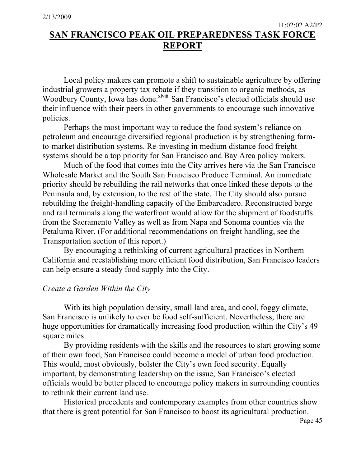Local policy makers can promote a shift to sustainable agriculture by offering industrial growers a property tax rebate if they transition to organic methods, as Woodbury County, Iowa has done.<sup>xlviii</sup> San Francisco's elected officials should use their influence with their peers in other governments to encourage such innovative policies.

Perhaps the most important way to reduce the food system's reliance on petroleum and encourage diversified regional production is by strengthening farmto-market distribution systems. Re-investing in medium distance food freight systems should be a top priority for San Francisco and Bay Area policy makers.

Much of the food that comes into the City arrives here via the San Francisco Wholesale Market and the South San Francisco Produce Terminal. An immediate priority should be rebuilding the rail networks that once linked these depots to the Peninsula and, by extension, to the rest of the state. The City should also pursue rebuilding the freight-handling capacity of the Embarcadero. Reconstructed barge and rail terminals along the waterfront would allow for the shipment of foodstuffs from the Sacramento Valley as well as from Napa and Sonoma counties via the Petaluma River. (For additional recommendations on freight handling, see the Transportation section of this report.)

By encouraging a rethinking of current agricultural practices in Northern California and reestablishing more efficient food distribution, San Francisco leaders can help ensure a steady food supply into the City.

### *Create a Garden Within the City*

With its high population density, small land area, and cool, foggy climate, San Francisco is unlikely to ever be food self-sufficient. Nevertheless, there are huge opportunities for dramatically increasing food production within the City's 49 square miles.

By providing residents with the skills and the resources to start growing some of their own food, San Francisco could become a model of urban food production. This would, most obviously, bolster the City's own food security. Equally important, by demonstrating leadership on the issue, San Francisco's elected officials would be better placed to encourage policy makers in surrounding counties to rethink their current land use.

Historical precedents and contemporary examples from other countries show that there is great potential for San Francisco to boost its agricultural production.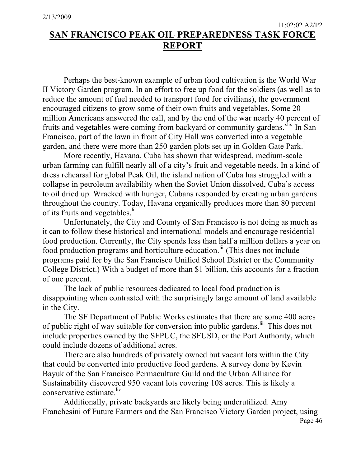Perhaps the best-known example of urban food cultivation is the World War II Victory Garden program. In an effort to free up food for the soldiers (as well as to reduce the amount of fuel needed to transport food for civilians), the government encouraged citizens to grow some of their own fruits and vegetables. Some 20 million Americans answered the call, and by the end of the war nearly 40 percent of fruits and vegetables were coming from backyard or community gardens.<sup>xlix</sup> In San Francisco, part of the lawn in front of City Hall was converted into a vegetable garden, and there were more than 250 garden plots set up in Golden Gate Park.<sup>1</sup>

More recently, Havana, Cuba has shown that widespread, medium-scale urban farming can fulfill nearly all of a city's fruit and vegetable needs. In a kind of dress rehearsal for global Peak Oil, the island nation of Cuba has struggled with a collapse in petroleum availability when the Soviet Union dissolved, Cuba's access to oil dried up. Wracked with hunger, Cubans responded by creating urban gardens throughout the country. Today, Havana organically produces more than 80 percent of its fruits and vegetables.<sup>li</sup>

Unfortunately, the City and County of San Francisco is not doing as much as it can to follow these historical and international models and encourage residential food production. Currently, the City spends less than half a million dollars a year on food production programs and horticulture education.<sup>lii</sup> (This does not include programs paid for by the San Francisco Unified School District or the Community College District.) With a budget of more than \$1 billion, this accounts for a fraction of one percent.

The lack of public resources dedicated to local food production is disappointing when contrasted with the surprisingly large amount of land available in the City.

The SF Department of Public Works estimates that there are some 400 acres of public right of way suitable for conversion into public gardens.<sup>liif</sup> This does not include properties owned by the SFPUC, the SFUSD, or the Port Authority, which could include dozens of additional acres.

There are also hundreds of privately owned but vacant lots within the City that could be converted into productive food gardens. A survey done by Kevin Bayuk of the San Francisco Permaculture Guild and the Urban Alliance for Sustainability discovered 950 vacant lots covering 108 acres. This is likely a conservative estimate.<sup>liv</sup>

Additionally, private backyards are likely being underutilized. Amy Franchesini of Future Farmers and the San Francisco Victory Garden project, using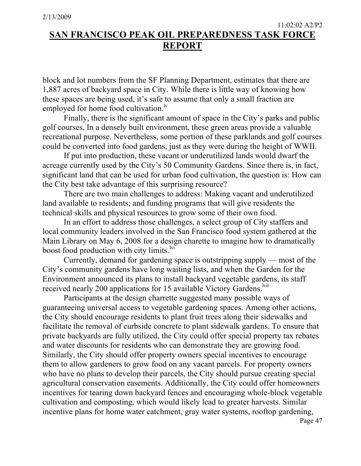block and lot numbers from the SF Planning Department, estimates that there are 1,887 acres of backyard space in City. While there is little way of knowing how these spaces are being used, it's safe to assume that only a small fraction are employed for home food cultivation. $\frac{dv}{dt}$ 

Finally, there is the significant amount of space in the City's parks and public golf courses. In a densely built environment, these green areas provide a valuable recreational purpose. Nevertheless, some portion of these parklands and golf courses could be converted into food gardens, just as they were during the height of WWII.

If put into production, these vacant or underutilized lands would dwarf the acreage currently used by the City's 50 Community Gardens. Since there is, in fact, significant land that can be used for urban food cultivation, the question is: How can the City best take advantage of this surprising resource?

There are two main challenges to address: Making vacant and underutilized land available to residents; and funding programs that will give residents the technical skills and physical resources to grow some of their own food.

In an effort to address those challenges, a select group of City staffers and local community leaders involved in the San Francisco food system gathered at the Main Library on May 6, 2008 for a design charette to imagine how to dramatically boost food production with city limits.<sup>lvi</sup>

Currently, demand for gardening space is outstripping supply — most of the City's community gardens have long waiting lists, and when the Garden for the Environment announced its plans to install backyard vegetable gardens, its staff received nearly 200 applications for 15 available Victory Gardens.<sup>Ivii</sup>

Participants at the design charrette suggested many possible ways of guaranteeing universal access to vegetable gardening spaces. Among other actions, the City should encourage residents to plant fruit trees along their sidewalks and facilitate the removal of curbside concrete to plant sidewalk gardens. To ensure that private backyards are fully utilized, the City could offer special property tax rebates and water discounts for residents who can demonstrate they are growing food. Similarly, the City should offer property owners special incentives to encourage them to allow gardeners to grow food on any vacant parcels. For property owners who have no plans to develop their parcels, the City should pursue creating special agricultural conservation easements. Additionally, the City could offer homeowners incentives for tearing down backyard fences and encouraging whole-block vegetable cultivation and composting, which would likely lead to greater harvests. Similar incentive plans for home water catchment, gray water systems, rooftop gardening,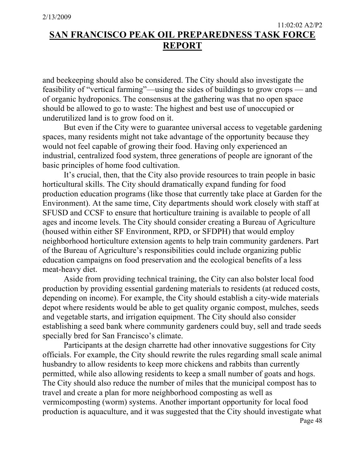and beekeeping should also be considered. The City should also investigate the feasibility of "vertical farming"—using the sides of buildings to grow crops — and of organic hydroponics. The consensus at the gathering was that no open space should be allowed to go to waste: The highest and best use of unoccupied or underutilized land is to grow food on it.

But even if the City were to guarantee universal access to vegetable gardening spaces, many residents might not take advantage of the opportunity because they would not feel capable of growing their food. Having only experienced an industrial, centralized food system, three generations of people are ignorant of the basic principles of home food cultivation.

It's crucial, then, that the City also provide resources to train people in basic horticultural skills. The City should dramatically expand funding for food production education programs (like those that currently take place at Garden for the Environment). At the same time, City departments should work closely with staff at SFUSD and CCSF to ensure that horticulture training is available to people of all ages and income levels. The City should consider creating a Bureau of Agriculture (housed within either SF Environment, RPD, or SFDPH) that would employ neighborhood horticulture extension agents to help train community gardeners. Part of the Bureau of Agriculture's responsibilities could include organizing public education campaigns on food preservation and the ecological benefits of a less meat-heavy diet.

Aside from providing technical training, the City can also bolster local food production by providing essential gardening materials to residents (at reduced costs, depending on income). For example, the City should establish a city-wide materials depot where residents would be able to get quality organic compost, mulches, seeds and vegetable starts, and irrigation equipment. The City should also consider establishing a seed bank where community gardeners could buy, sell and trade seeds specially bred for San Francisco's climate.

Participants at the design charrette had other innovative suggestions for City officials. For example, the City should rewrite the rules regarding small scale animal husbandry to allow residents to keep more chickens and rabbits than currently permitted, while also allowing residents to keep a small number of goats and hogs. The City should also reduce the number of miles that the municipal compost has to travel and create a plan for more neighborhood composting as well as vermicomposting (worm) systems. Another important opportunity for local food production is aquaculture, and it was suggested that the City should investigate what

Page 48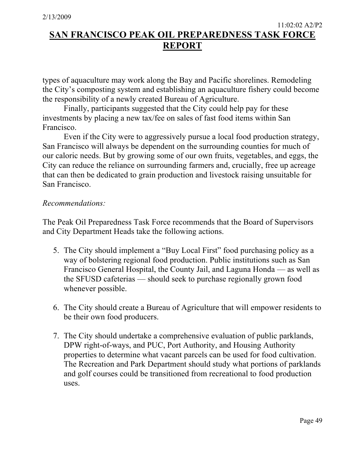types of aquaculture may work along the Bay and Pacific shorelines. Remodeling the City's composting system and establishing an aquaculture fishery could become the responsibility of a newly created Bureau of Agriculture.

Finally, participants suggested that the City could help pay for these investments by placing a new tax/fee on sales of fast food items within San Francisco.

Even if the City were to aggressively pursue a local food production strategy, San Francisco will always be dependent on the surrounding counties for much of our caloric needs. But by growing some of our own fruits, vegetables, and eggs, the City can reduce the reliance on surrounding farmers and, crucially, free up acreage that can then be dedicated to grain production and livestock raising unsuitable for San Francisco.

### *Recommendations:*

The Peak Oil Preparedness Task Force recommends that the Board of Supervisors and City Department Heads take the following actions.

- 5. The City should implement a "Buy Local First" food purchasing policy as a way of bolstering regional food production. Public institutions such as San Francisco General Hospital, the County Jail, and Laguna Honda — as well as the SFUSD cafeterias — should seek to purchase regionally grown food whenever possible.
- 6. The City should create a Bureau of Agriculture that will empower residents to be their own food producers.
- 7. The City should undertake a comprehensive evaluation of public parklands, DPW right-of-ways, and PUC, Port Authority, and Housing Authority properties to determine what vacant parcels can be used for food cultivation. The Recreation and Park Department should study what portions of parklands and golf courses could be transitioned from recreational to food production uses.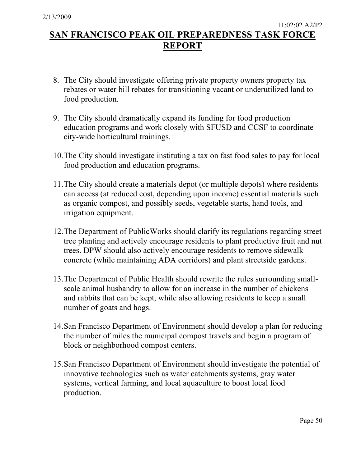- 8. The City should investigate offering private property owners property tax rebates or water bill rebates for transitioning vacant or underutilized land to food production.
- 9. The City should dramatically expand its funding for food production education programs and work closely with SFUSD and CCSF to coordinate city-wide horticultural trainings.
- 10.The City should investigate instituting a tax on fast food sales to pay for local food production and education programs.
- 11.The City should create a materials depot (or multiple depots) where residents can access (at reduced cost, depending upon income) essential materials such as organic compost, and possibly seeds, vegetable starts, hand tools, and irrigation equipment.
- 12.The Department of PublicWorks should clarify its regulations regarding street tree planting and actively encourage residents to plant productive fruit and nut trees. DPW should also actively encourage residents to remove sidewalk concrete (while maintaining ADA corridors) and plant streetside gardens.
- 13.The Department of Public Health should rewrite the rules surrounding smallscale animal husbandry to allow for an increase in the number of chickens and rabbits that can be kept, while also allowing residents to keep a small number of goats and hogs.
- 14.San Francisco Department of Environment should develop a plan for reducing the number of miles the municipal compost travels and begin a program of block or neighborhood compost centers.
- 15.San Francisco Department of Environment should investigate the potential of innovative technologies such as water catchments systems, gray water systems, vertical farming, and local aquaculture to boost local food production.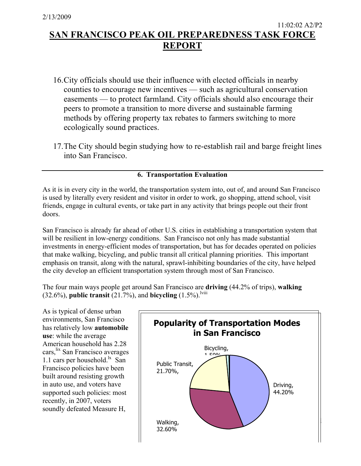- 16.City officials should use their influence with elected officials in nearby counties to encourage new incentives — such as agricultural conservation easements — to protect farmland. City officials should also encourage their peers to promote a transition to more diverse and sustainable farming methods by offering property tax rebates to farmers switching to more ecologically sound practices.
- 17.The City should begin studying how to re-establish rail and barge freight lines into San Francisco.

### **6. Transportation Evaluation**

As it is in every city in the world, the transportation system into, out of, and around San Francisco is used by literally every resident and visitor in order to work, go shopping, attend school, visit friends, engage in cultural events, or take part in any activity that brings people out their front doors.

San Francisco is already far ahead of other U.S. cities in establishing a transportation system that will be resilient in low-energy conditions. San Francisco not only has made substantial investments in energy-efficient modes of transportation, but has for decades operated on policies that make walking, bicycling, and public transit all critical planning priorities. This important emphasis on transit, along with the natural, sprawl-inhibiting boundaries of the city, have helped the city develop an efficient transportation system through most of San Francisco.

The four main ways people get around San Francisco are **driving** (44.2% of trips), **walking** (32.6%), **public transit** (21.7%), and **bicycling**  $(1.5\%)$ .<sup>lviii</sup>

As is typical of dense urban environments, San Francisco has relatively low **automobile use**: while the average American household has 2.28 cars, lix San Francisco averages 1.1 cars per household.<sup> $k$ </sup> San Francisco policies have been built around resisting growth in auto use, and voters have supported such policies: most recently, in 2007, voters soundly defeated Measure H,

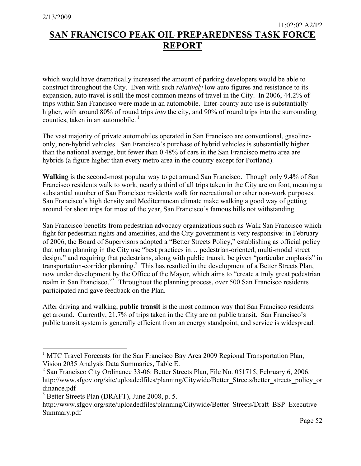which would have dramatically increased the amount of parking developers would be able to construct throughout the City. Even with such *relatively* low auto figures and resistance to its expansion, auto travel is still the most common means of travel in the City. In 2006, 44.2% of trips within San Francisco were made in an automobile. Inter-county auto use is substantially higher, with around 80% of round trips *into* the city, and 90% of round trips into the surrounding counties, taken in an automobile. $<sup>1</sup>$ </sup>

The vast majority of private automobiles operated in San Francisco are conventional, gasolineonly, non-hybrid vehicles. San Francisco's purchase of hybrid vehicles is substantially higher than the national average, but fewer than 0.48% of cars in the San Francisco metro area are hybrids (a figure higher than every metro area in the country except for Portland).

**Walking** is the second-most popular way to get around San Francisco. Though only 9.4% of San Francisco residents walk to work, nearly a third of all trips taken in the City are on foot, meaning a substantial number of San Francisco residents walk for recreational or other non-work purposes. San Francisco's high density and Mediterranean climate make walking a good way of getting around for short trips for most of the year, San Francisco's famous hills not withstanding.

San Francisco benefits from pedestrian advocacy organizations such as Walk San Francisco which fight for pedestrian rights and amenities, and the City government is very responsive: in February of 2006, the Board of Supervisors adopted a "Better Streets Policy," establishing as official policy that urban planning in the City use "best practices in… pedestrian-oriented, multi-modal street design," and requiring that pedestrians, along with public transit, be given "particular emphasis" in transportation-corridor planning.<sup>2</sup> This has resulted in the development of a Better Streets Plan, now under development by the Office of the Mayor, which aims to "create a truly great pedestrian realm in San Francisco."<sup>3</sup> Throughout the planning process, over 500 San Francisco residents participated and gave feedback on the Plan.

After driving and walking, **public transit** is the most common way that San Francisco residents get around. Currently, 21.7% of trips taken in the City are on public transit. San Francisco's public transit system is generally efficient from an energy standpoint, and service is widespread.

<sup>&</sup>lt;sup>1</sup> MTC Travel Forecasts for the San Francisco Bay Area 2009 Regional Transportation Plan, Vision 2035 Analysis Data Summaries, Table E.

<sup>&</sup>lt;sup>2</sup> San Francisco City Ordinance 33-06: Better Streets Plan, File No. 051715, February 6, 2006. http://www.sfgov.org/site/uploadedfiles/planning/Citywide/Better\_Streets/better\_streets\_policy\_or dinance.pdf

<sup>3</sup> Better Streets Plan (DRAFT), June 2008, p. 5.

http://www.sfgov.org/site/uploadedfiles/planning/Citywide/Better\_Streets/Draft\_BSP\_Executive Summary.pdf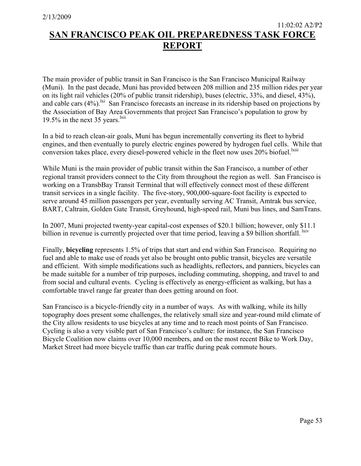The main provider of public transit in San Francisco is the San Francisco Municipal Railway (Muni). In the past decade, Muni has provided between 208 million and 235 million rides per year on its light rail vehicles (20% of public transit ridership), buses (electric, 33%, and diesel, 43%), and cable cars  $(4\%)$ .<sup>ki</sup> San Francisco forecasts an increase in its ridership based on projections by the Association of Bay Area Governments that project San Francisco's population to grow by 19.5% in the next 35 years. $\frac{ixi}{ }$ 

In a bid to reach clean-air goals, Muni has begun incrementally converting its fleet to hybrid engines, and then eventually to purely electric engines powered by hydrogen fuel cells. While that conversion takes place, every diesel-powered vehicle in the fleet now uses  $20\%$  biofuel.<sup>lxiii</sup>

While Muni is the main provider of public transit within the San Francisco, a number of other regional transit providers connect to the City from throughout the region as well. San Francisco is working on a TransbBay Transit Terminal that will effectively connect most of these different transit services in a single facility. The five-story, 900,000-square-foot facility is expected to serve around 45 million passengers per year, eventually serving AC Transit, Amtrak bus service, BART, Caltrain, Golden Gate Transit, Greyhound, high-speed rail, Muni bus lines, and SamTrans.

In 2007, Muni projected twenty-year capital-cost expenses of \$20.1 billion; however, only \$11.1 billion in revenue is currently projected over that time period, leaving a \$9 billion shortfall. <sup>lxiv</sup>

Finally, **bicycling** represents 1.5% of trips that start and end within San Francisco. Requiring no fuel and able to make use of roads yet also be brought onto public transit, bicycles are versatile and efficient. With simple modifications such as headlights, reflectors, and panniers, bicycles can be made suitable for a number of trip purposes, including commuting, shopping, and travel to and from social and cultural events. Cycling is effectively as energy-efficient as walking, but has a comfortable travel range far greater than does getting around on foot.

San Francisco is a bicycle-friendly city in a number of ways. As with walking, while its hilly topography does present some challenges, the relatively small size and year-round mild climate of the City allow residents to use bicycles at any time and to reach most points of San Francisco. Cycling is also a very visible part of San Francisco's culture: for instance, the San Francisco Bicycle Coalition now claims over 10,000 members, and on the most recent Bike to Work Day, Market Street had more bicycle traffic than car traffic during peak commute hours.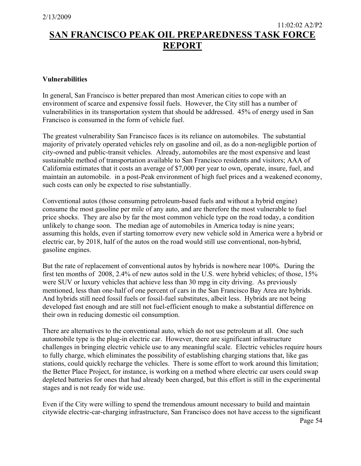#### **Vulnerabilities**

In general, San Francisco is better prepared than most American cities to cope with an environment of scarce and expensive fossil fuels. However, the City still has a number of vulnerabilities in its transportation system that should be addressed. 45% of energy used in San Francisco is consumed in the form of vehicle fuel.

The greatest vulnerability San Francisco faces is its reliance on automobiles. The substantial majority of privately operated vehicles rely on gasoline and oil, as do a non-negligible portion of city-owned and public-transit vehicles. Already, automobiles are the most expensive and least sustainable method of transportation available to San Francisco residents and visitors; AAA of California estimates that it costs an average of \$7,000 per year to own, operate, insure, fuel, and maintain an automobile. in a post-Peak environment of high fuel prices and a weakened economy, such costs can only be expected to rise substantially.

Conventional autos (those consuming petroleum-based fuels and without a hybrid engine) consume the most gasoline per mile of any auto, and are therefore the most vulnerable to fuel price shocks. They are also by far the most common vehicle type on the road today, a condition unlikely to change soon. The median age of automobiles in America today is nine years; assuming this holds, even if starting tomorrow every new vehicle sold in America were a hybrid or electric car, by 2018, half of the autos on the road would still use conventional, non-hybrid, gasoline engines.

But the rate of replacement of conventional autos by hybrids is nowhere near 100%. During the first ten months of 2008, 2.4% of new autos sold in the U.S. were hybrid vehicles; of those, 15% were SUV or luxury vehicles that achieve less than 30 mpg in city driving. As previously mentioned, less than one-half of one percent of cars in the San Francisco Bay Area are hybrids. And hybrids still need fossil fuels or fossil-fuel substitutes, albeit less. Hybrids are not being developed fast enough and are still not fuel-efficient enough to make a substantial difference on their own in reducing domestic oil consumption.

There are alternatives to the conventional auto, which do not use petroleum at all. One such automobile type is the plug-in electric car. However, there are significant infrastructure challenges in bringing electric vehicle use to any meaningful scale. Electric vehicles require hours to fully charge, which eliminates the possibility of establishing charging stations that, like gas stations, could quickly recharge the vehicles. There is some effort to work around this limitation; the Better Place Project, for instance, is working on a method where electric car users could swap depleted batteries for ones that had already been charged, but this effort is still in the experimental stages and is not ready for wide use.

Even if the City were willing to spend the tremendous amount necessary to build and maintain citywide electric-car-charging infrastructure, San Francisco does not have access to the significant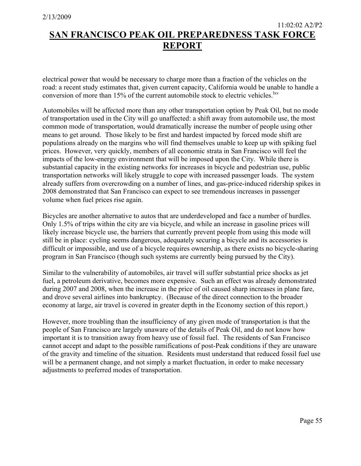electrical power that would be necessary to charge more than a fraction of the vehicles on the road: a recent study estimates that, given current capacity, California would be unable to handle a conversion of more than 15% of the current automobile stock to electric vehicles.<sup>lxv</sup>

Automobiles will be affected more than any other transportation option by Peak Oil, but no mode of transportation used in the City will go unaffected: a shift away from automobile use, the most common mode of transportation, would dramatically increase the number of people using other means to get around. Those likely to be first and hardest impacted by forced mode shift are populations already on the margins who will find themselves unable to keep up with spiking fuel prices. However, very quickly, members of all economic strata in San Francisco will feel the impacts of the low-energy environment that will be imposed upon the City. While there is substantial capacity in the existing networks for increases in bicycle and pedestrian use, public transportation networks will likely struggle to cope with increased passenger loads. The system already suffers from overcrowding on a number of lines, and gas-price-induced ridership spikes in 2008 demonstrated that San Francisco can expect to see tremendous increases in passenger volume when fuel prices rise again.

Bicycles are another alternative to autos that are underdeveloped and face a number of hurdles. Only 1.5% of trips within the city are via bicycle, and while an increase in gasoline prices will likely increase bicycle use, the barriers that currently prevent people from using this mode will still be in place: cycling seems dangerous, adequately securing a bicycle and its accessories is difficult or impossible, and use of a bicycle requires ownership, as there exists no bicycle-sharing program in San Francisco (though such systems are currently being pursued by the City).

Similar to the vulnerability of automobiles, air travel will suffer substantial price shocks as jet fuel, a petroleum derivative, becomes more expensive. Such an effect was already demonstrated during 2007 and 2008, when the increase in the price of oil caused sharp increases in plane fare, and drove several airlines into bankruptcy. (Because of the direct connection to the broader economy at large, air travel is covered in greater depth in the Economy section of this report.)

However, more troubling than the insufficiency of any given mode of transportation is that the people of San Francisco are largely unaware of the details of Peak Oil, and do not know how important it is to transition away from heavy use of fossil fuel. The residents of San Francisco cannot accept and adapt to the possible ramifications of post-Peak conditions if they are unaware of the gravity and timeline of the situation. Residents must understand that reduced fossil fuel use will be a permanent change, and not simply a market fluctuation, in order to make necessary adjustments to preferred modes of transportation.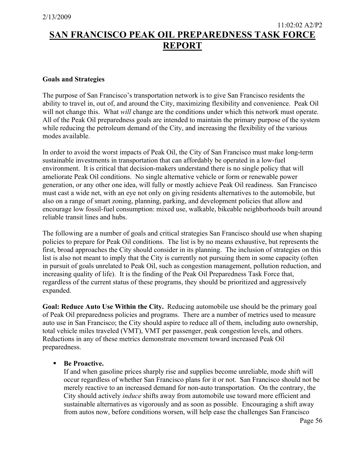#### **Goals and Strategies**

The purpose of San Francisco's transportation network is to give San Francisco residents the ability to travel in, out of, and around the City, maximizing flexibility and convenience. Peak Oil will not change this. What *will* change are the conditions under which this network must operate. All of the Peak Oil preparedness goals are intended to maintain the primary purpose of the system while reducing the petroleum demand of the City, and increasing the flexibility of the various modes available.

In order to avoid the worst impacts of Peak Oil, the City of San Francisco must make long-term sustainable investments in transportation that can affordably be operated in a low-fuel environment. It is critical that decision-makers understand there is no single policy that will ameliorate Peak Oil conditions. No single alternative vehicle or form or renewable power generation, or any other one idea, will fully or mostly achieve Peak Oil readiness. San Francisco must cast a wide net, with an eye not only on giving residents alternatives to the automobile, but also on a range of smart zoning, planning, parking, and development policies that allow and encourage low fossil-fuel consumption: mixed use, walkable, bikeable neighborhoods built around reliable transit lines and hubs.

The following are a number of goals and critical strategies San Francisco should use when shaping policies to prepare for Peak Oil conditions. The list is by no means exhaustive, but represents the first, broad approaches the City should consider in its planning. The inclusion of strategies on this list is also not meant to imply that the City is currently not pursuing them in some capacity (often in pursuit of goals unrelated to Peak Oil, such as congestion management, pollution reduction, and increasing quality of life). It is the finding of the Peak Oil Preparedness Task Force that, regardless of the current status of these programs, they should be prioritized and aggressively expanded.

**Goal: Reduce Auto Use Within the City.** Reducing automobile use should be the primary goal of Peak Oil preparedness policies and programs. There are a number of metrics used to measure auto use in San Francisco; the City should aspire to reduce all of them, including auto ownership, total vehicle miles traveled (VMT), VMT per passenger, peak congestion levels, and others. Reductions in any of these metrics demonstrate movement toward increased Peak Oil preparedness.

### **Be Proactive.**

If and when gasoline prices sharply rise and supplies become unreliable, mode shift will occur regardless of whether San Francisco plans for it or not. San Francisco should not be merely reactive to an increased demand for non-auto transportation. On the contrary, the City should actively *induce* shifts away from automobile use toward more efficient and sustainable alternatives as vigorously and as soon as possible. Encouraging a shift away from autos now, before conditions worsen, will help ease the challenges San Francisco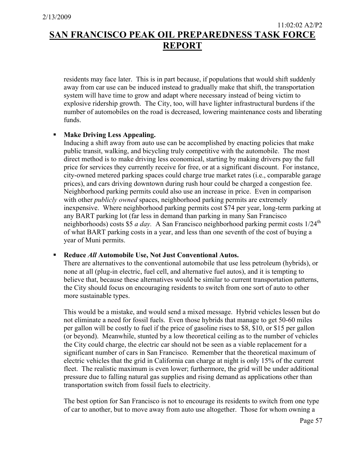residents may face later. This is in part because, if populations that would shift suddenly away from car use can be induced instead to gradually make that shift, the transportation system will have time to grow and adapt where necessary instead of being victim to explosive ridership growth. The City, too, will have lighter infrastructural burdens if the number of automobiles on the road is decreased, lowering maintenance costs and liberating funds.

### **Make Driving Less Appealing.**

Inducing a shift away from auto use can be accomplished by enacting policies that make public transit, walking, and bicycling truly competitive with the automobile. The most direct method is to make driving less economical, starting by making drivers pay the full price for services they currently receive for free, or at a significant discount. For instance, city-owned metered parking spaces could charge true market rates (i.e., comparable garage prices), and cars driving downtown during rush hour could be charged a congestion fee. Neighborhood parking permits could also use an increase in price. Even in comparison with other *publicly owned* spaces, neighborhood parking permits are extremely inexpensive. Where neighborhood parking permits cost \$74 per year, long-term parking at any BART parking lot (far less in demand than parking in many San Francisco neighborhoods) costs \$5 *a day*. A San Francisco neighborhood parking permit costs 1/24<sup>th</sup> of what BART parking costs in a year, and less than one seventh of the cost of buying a year of Muni permits.

### **Reduce** *All* **Automobile Use, Not Just Conventional Autos.**

There are alternatives to the conventional automobile that use less petroleum (hybrids), or none at all (plug-in electric, fuel cell, and alternative fuel autos), and it is tempting to believe that, because these alternatives would be similar to current transportation patterns, the City should focus on encouraging residents to switch from one sort of auto to other more sustainable types.

This would be a mistake, and would send a mixed message. Hybrid vehicles lessen but do not eliminate a need for fossil fuels. Even those hybrids that manage to get 50-60 miles per gallon will be costly to fuel if the price of gasoline rises to \$8, \$10, or \$15 per gallon (or beyond). Meanwhile, stunted by a low theoretical ceiling as to the number of vehicles the City could charge, the electric car should not be seen as a viable replacement for a significant number of cars in San Francisco. Remember that the theoretical maximum of electric vehicles that the grid in California can charge at night is only 15% of the current fleet. The realistic maximum is even lower; furthermore, the grid will be under additional pressure due to falling natural gas supplies and rising demand as applications other than transportation switch from fossil fuels to electricity.

The best option for San Francisco is not to encourage its residents to switch from one type of car to another, but to move away from auto use altogether. Those for whom owning a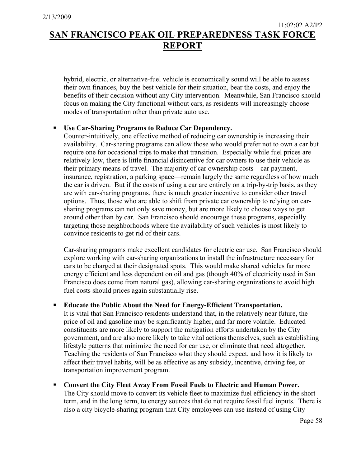hybrid, electric, or alternative-fuel vehicle is economically sound will be able to assess their own finances, buy the best vehicle for their situation, bear the costs, and enjoy the benefits of their decision without any City intervention. Meanwhile, San Francisco should focus on making the City functional without cars, as residents will increasingly choose modes of transportation other than private auto use.

### **Use Car-Sharing Programs to Reduce Car Dependency.**

Counter-intuitively, one effective method of reducing car ownership is increasing their availability. Car-sharing programs can allow those who would prefer not to own a car but require one for occasional trips to make that transition. Especially while fuel prices are relatively low, there is little financial disincentive for car owners to use their vehicle as their primary means of travel. The majority of car ownership costs—car payment, insurance, registration, a parking space—remain largely the same regardless of how much the car is driven. But if the costs of using a car are entirely on a trip-by-trip basis, as they are with car-sharing programs, there is much greater incentive to consider other travel options. Thus, those who are able to shift from private car ownership to relying on carsharing programs can not only save money, but are more likely to choose ways to get around other than by car. San Francisco should encourage these programs, especially targeting those neighborhoods where the availability of such vehicles is most likely to convince residents to get rid of their cars.

Car-sharing programs make excellent candidates for electric car use. San Francisco should explore working with car-sharing organizations to install the infrastructure necessary for cars to be charged at their designated spots. This would make shared vehicles far more energy efficient and less dependent on oil and gas (though 40% of electricity used in San Francisco does come from natural gas), allowing car-sharing organizations to avoid high fuel costs should prices again substantially rise.

### **Educate the Public About the Need for Energy-Efficient Transportation.**

It is vital that San Francisco residents understand that, in the relatively near future, the price of oil and gasoline may be significantly higher, and far more volatile. Educated constituents are more likely to support the mitigation efforts undertaken by the City government, and are also more likely to take vital actions themselves, such as establishing lifestyle patterns that minimize the need for car use, or eliminate that need altogether. Teaching the residents of San Francisco what they should expect, and how it is likely to affect their travel habits, will be as effective as any subsidy, incentive, driving fee, or transportation improvement program.

 **Convert the City Fleet Away From Fossil Fuels to Electric and Human Power.** The City should move to convert its vehicle fleet to maximize fuel efficiency in the short term, and in the long term, to energy sources that do not require fossil fuel inputs. There is also a city bicycle-sharing program that City employees can use instead of using City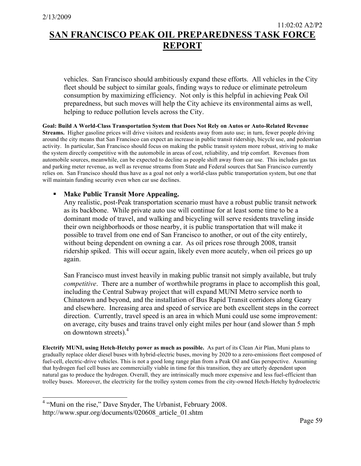vehicles. San Francisco should ambitiously expand these efforts. All vehicles in the City fleet should be subject to similar goals, finding ways to reduce or eliminate petroleum consumption by maximizing efficiency. Not only is this helpful in achieving Peak Oil preparedness, but such moves will help the City achieve its environmental aims as well, helping to reduce pollution levels across the City.

**Goal: Build A World-Class Transportation System that Does Not Rely on Autos or Auto-Related Revenue Streams.** Higher gasoline prices will drive visitors and residents away from auto use; in turn, fewer people driving around the city means that San Francisco can expect an increase in public transit ridership, bicycle use, and pedestrian activity. In particular, San Francisco should focus on making the public transit system more robust, striving to make the system directly competitive with the automobile in areas of cost, reliability, and trip comfort. Revenues from automobile sources, meanwhile, can be expected to decline as people shift away from car use. This includes gas tax and parking meter revenue, as well as revenue streams from State and Federal sources that San Francisco currently relies on. San Francisco should thus have as a goal not only a world-class public transportation system, but one that will maintain funding security even when car use declines.

#### **Make Public Transit More Appealing.**

Any realistic, post-Peak transportation scenario must have a robust public transit network as its backbone. While private auto use will continue for at least some time to be a dominant mode of travel, and walking and bicycling will serve residents traveling inside their own neighborhoods or those nearby, it is public transportation that will make it possible to travel from one end of San Francisco to another, or out of the city entirely, without being dependent on owning a car. As oil prices rose through 2008, transit ridership spiked. This will occur again, likely even more acutely, when oil prices go up again.

San Francisco must invest heavily in making public transit not simply available, but truly *competitive*. There are a number of worthwhile programs in place to accomplish this goal, including the Central Subway project that will expand MUNI Metro service north to Chinatown and beyond, and the installation of Bus Rapid Transit corridors along Geary and elsewhere. Increasing area and speed of service are both excellent steps in the correct direction. Currently, travel speed is an area in which Muni could use some improvement: on average, city buses and trains travel only eight miles per hour (and slower than 5 mph on downtown streets).4

**Electrify MUNI, using Hetch-Hetchy power as much as possible.** As part of its Clean Air Plan, Muni plans to gradually replace older diesel buses with hybrid-electric buses, moving by 2020 to a zero-emissions fleet composed of fuel-cell, electric-drive vehicles. This is not a good long range plan from a Peak Oil and Gas perspective. Assuming that hydrogen fuel cell buses are commercially viable in time for this transition, they are utterly dependent upon natural gas to produce the hydrogen. Overall, they are intrinsically much more expensive and less fuel-efficient than trolley buses. Moreover, the electricity for the trolley system comes from the city-owned Hetch-Hetchy hydroelectric

<sup>&</sup>lt;sup>4</sup> "Muni on the rise," Dave Snyder, The Urbanist, February 2008. http://www.spur.org/documents/020608\_article\_01.shtm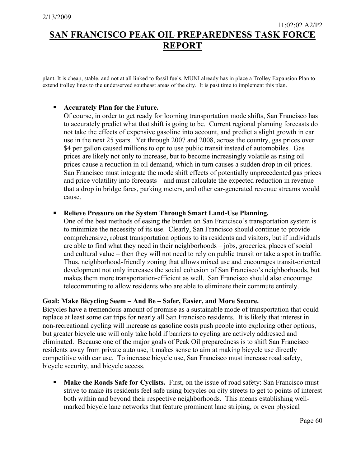plant. It is cheap, stable, and not at all linked to fossil fuels. MUNI already has in place a Trolley Expansion Plan to extend trolley lines to the underserved southeast areas of the city. It is past time to implement this plan.

#### **Accurately Plan for the Future.**

Of course, in order to get ready for looming transportation mode shifts, San Francisco has to accurately predict what that shift is going to be. Current regional planning forecasts do not take the effects of expensive gasoline into account, and predict a slight growth in car use in the next 25 years. Yet through 2007 and 2008, across the country, gas prices over \$4 per gallon caused millions to opt to use public transit instead of automobiles. Gas prices are likely not only to increase, but to become increasingly volatile as rising oil prices cause a reduction in oil demand, which in turn causes a sudden drop in oil prices. San Francisco must integrate the mode shift effects of potentially unprecedented gas prices and price volatility into forecasts – and must calculate the expected reduction in revenue that a drop in bridge fares, parking meters, and other car-generated revenue streams would cause.

#### **Relieve Pressure on the System Through Smart Land-Use Planning.**

One of the best methods of easing the burden on San Francisco's transportation system is to minimize the necessity of its use. Clearly, San Francisco should continue to provide comprehensive, robust transportation options to its residents and visitors, but if individuals are able to find what they need in their neighborhoods – jobs, groceries, places of social and cultural value – then they will not need to rely on public transit or take a spot in traffic. Thus, neighborhood-friendly zoning that allows mixed use and encourages transit-oriented development not only increases the social cohesion of San Francisco's neighborhoods, but makes them more transportation-efficient as well. San Francisco should also encourage telecommuting to allow residents who are able to eliminate their commute entirely.

#### **Goal: Make Bicycling Seem – And Be – Safer, Easier, and More Secure.**

Bicycles have a tremendous amount of promise as a sustainable mode of transportation that could replace at least some car trips for nearly all San Francisco residents. It is likely that interest in non-recreational cycling will increase as gasoline costs push people into exploring other options, but greater bicycle use will only take hold if barriers to cycling are actively addressed and eliminated. Because one of the major goals of Peak Oil preparedness is to shift San Francisco residents away from private auto use, it makes sense to aim at making bicycle use directly competitive with car use. To increase bicycle use, San Francisco must increase road safety, bicycle security, and bicycle access.

**Make the Roads Safe for Cyclists.** First, on the issue of road safety: San Francisco must strive to make its residents feel safe using bicycles on city streets to get to points of interest both within and beyond their respective neighborhoods. This means establishing wellmarked bicycle lane networks that feature prominent lane striping, or even physical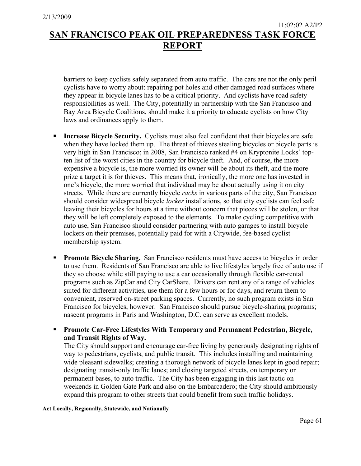barriers to keep cyclists safely separated from auto traffic. The cars are not the only peril cyclists have to worry about: repairing pot holes and other damaged road surfaces where they appear in bicycle lanes has to be a critical priority. And cyclists have road safety responsibilities as well. The City, potentially in partnership with the San Francisco and Bay Area Bicycle Coalitions, should make it a priority to educate cyclists on how City laws and ordinances apply to them.

- **Increase Bicycle Security.** Cyclists must also feel confident that their bicycles are safe when they have locked them up. The threat of thieves stealing bicycles or bicycle parts is very high in San Francisco; in 2008, San Francisco ranked #4 on Kryptonite Locks' topten list of the worst cities in the country for bicycle theft. And, of course, the more expensive a bicycle is, the more worried its owner will be about its theft, and the more prize a target it is for thieves. This means that, ironically, the more one has invested in one's bicycle, the more worried that individual may be about actually using it on city streets. While there are currently bicycle *racks* in various parts of the city, San Francisco should consider widespread bicycle *locker* installations, so that city cyclists can feel safe leaving their bicycles for hours at a time without concern that pieces will be stolen, or that they will be left completely exposed to the elements. To make cycling competitive with auto use, San Francisco should consider partnering with auto garages to install bicycle lockers on their premises, potentially paid for with a Citywide, fee-based cyclist membership system.
- **Promote Bicycle Sharing.** San Francisco residents must have access to bicycles in order to use them. Residents of San Francisco are able to live lifestyles largely free of auto use if they so choose while still paying to use a car occasionally through flexible car-rental programs such as ZipCar and City CarShare. Drivers can rent any of a range of vehicles suited for different activities, use them for a few hours or for days, and return them to convenient, reserved on-street parking spaces. Currently, no such program exists in San Francisco for bicycles, however. San Francisco should pursue bicycle-sharing programs; nascent programs in Paris and Washington, D.C. can serve as excellent models.

 **Promote Car-Free Lifestyles With Temporary and Permanent Pedestrian, Bicycle, and Transit Rights of Way.**

The City should support and encourage car-free living by generously designating rights of way to pedestrians, cyclists, and public transit. This includes installing and maintaining wide pleasant sidewalks; creating a thorough network of bicycle lanes kept in good repair; designating transit-only traffic lanes; and closing targeted streets, on temporary or permanent bases, to auto traffic. The City has been engaging in this last tactic on weekends in Golden Gate Park and also on the Embarcadero; the City should ambitiously expand this program to other streets that could benefit from such traffic holidays.

#### **Act Locally, Regionally, Statewide, and Nationally**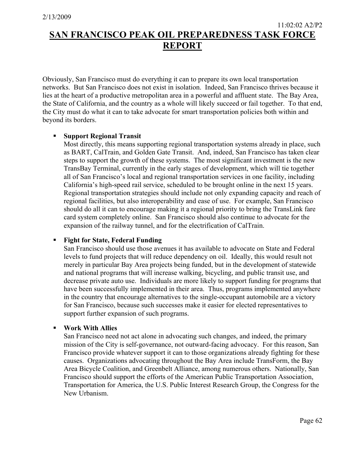Obviously, San Francisco must do everything it can to prepare its own local transportation networks. But San Francisco does not exist in isolation. Indeed, San Francisco thrives because it lies at the heart of a productive metropolitan area in a powerful and affluent state. The Bay Area, the State of California, and the country as a whole will likely succeed or fail together. To that end, the City must do what it can to take advocate for smart transportation policies both within and beyond its borders.

### **Support Regional Transit**

Most directly, this means supporting regional transportation systems already in place, such as BART, CalTrain, and Golden Gate Transit. And, indeed, San Francisco has taken clear steps to support the growth of these systems. The most significant investment is the new TransBay Terminal, currently in the early stages of development, which will tie together all of San Francisco's local and regional transportation services in one facility, including California's high-speed rail service, scheduled to be brought online in the next 15 years. Regional transportation strategies should include not only expanding capacity and reach of regional facilities, but also interoperability and ease of use. For example, San Francisco should do all it can to encourage making it a regional priority to bring the TransLink fare card system completely online. San Francisco should also continue to advocate for the expansion of the railway tunnel, and for the electrification of CalTrain.

### **Fight for State, Federal Funding**

San Francisco should use those avenues it has available to advocate on State and Federal levels to fund projects that will reduce dependency on oil. Ideally, this would result not merely in particular Bay Area projects being funded, but in the development of statewide and national programs that will increase walking, bicycling, and public transit use, and decrease private auto use. Individuals are more likely to support funding for programs that have been successfully implemented in their area. Thus, programs implemented anywhere in the country that encourage alternatives to the single-occupant automobile are a victory for San Francisco, because such successes make it easier for elected representatives to support further expansion of such programs.

#### **Work With Allies**

San Francisco need not act alone in advocating such changes, and indeed, the primary mission of the City is self-governance, not outward-facing advocacy. For this reason, San Francisco provide whatever support it can to those organizations already fighting for these causes. Organizations advocating throughout the Bay Area include TransForm, the Bay Area Bicycle Coalition, and Greenbelt Alliance, among numerous others. Nationally, San Francisco should support the efforts of the American Public Transportation Association, Transportation for America, the U.S. Public Interest Research Group, the Congress for the New Urbanism.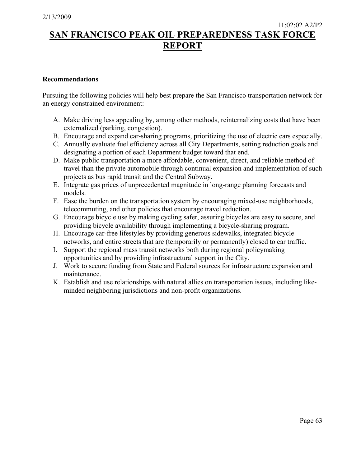#### **Recommendations**

Pursuing the following policies will help best prepare the San Francisco transportation network for an energy constrained environment:

- A. Make driving less appealing by, among other methods, reinternalizing costs that have been externalized (parking, congestion).
- B. Encourage and expand car-sharing programs, prioritizing the use of electric cars especially.
- C. Annually evaluate fuel efficiency across all City Departments, setting reduction goals and designating a portion of each Department budget toward that end.
- D. Make public transportation a more affordable, convenient, direct, and reliable method of travel than the private automobile through continual expansion and implementation of such projects as bus rapid transit and the Central Subway.
- E. Integrate gas prices of unprecedented magnitude in long-range planning forecasts and models.
- F. Ease the burden on the transportation system by encouraging mixed-use neighborhoods, telecommuting, and other policies that encourage travel reduction.
- G. Encourage bicycle use by making cycling safer, assuring bicycles are easy to secure, and providing bicycle availability through implementing a bicycle-sharing program.
- H. Encourage car-free lifestyles by providing generous sidewalks, integrated bicycle networks, and entire streets that are (temporarily or permanently) closed to car traffic.
- I. Support the regional mass transit networks both during regional policymaking opportunities and by providing infrastructural support in the City.
- J. Work to secure funding from State and Federal sources for infrastructure expansion and maintenance.
- K. Establish and use relationships with natural allies on transportation issues, including likeminded neighboring jurisdictions and non-profit organizations.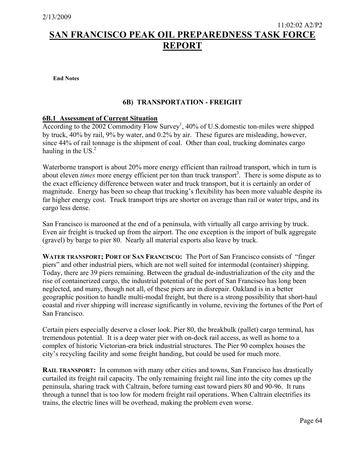**End Notes**

### **6B) TRANSPORTATION - FREIGHT**

#### **6B.1 Assessment of Current Situation**

According to the 2002 Commodity Flow Survey<sup>1</sup>, 40% of U.S. domestic ton-miles were shipped by truck, 40% by rail, 9% by water, and 0.2% by air. These figures are misleading, however, since 44% of rail tonnage is the shipment of coal. Other than coal, trucking dominates cargo hauling in the US. $2$ 

Waterborne transport is about 20% more energy efficient than railroad transport, which in turn is about eleven *times* more energy efficient per ton than truck transport<sup>3</sup>. There is some dispute as to the exact efficiency difference between water and truck transport, but it is certainly an order of magnitude. Energy has been so cheap that trucking's flexibility has been more valuable despite its far higher energy cost. Truck transport trips are shorter on average than rail or water trips, and its cargo less dense.

San Francisco is marooned at the end of a peninsula, with virtually all cargo arriving by truck. Even air freight is trucked up from the airport. The one exception is the import of bulk aggregate (gravel) by barge to pier 80. Nearly all material exports also leave by truck.

**WATER TRANSPORT; PORT OF SAN FRANCISCO:** The Port of San Francisco consists of "finger piers" and other industrial piers, which are not well suited for intermodal (container) shipping. Today, there are 39 piers remaining. Between the gradual de-industrialization of the city and the rise of containerized cargo, the industrial potential of the port of San Francisco has long been neglected, and many, though not all, of these piers are in disrepair. Oakland is in a better geographic position to handle multi-modal freight, but there is a strong possibility that short-haul coastal and river shipping will increase significantly in volume, reviving the fortunes of the Port of San Francisco.

Certain piers especially deserve a closer look. Pier 80, the breakbulk (pallet) cargo terminal, has tremendous potential. It is a deep water pier with on-dock rail access, as well as home to a complex of historic Victorian-era brick industrial structures. The Pier 90 complex houses the city's recycling facility and some freight handing, but could be used for much more.

**RAIL TRANSPORT:** In common with many other cities and towns, San Francisco has drastically curtailed its freight rail capacity. The only remaining freight rail line into the city comes up the peninsula, sharing track with Caltrain, before turning east toward piers 80 and 90-96. It runs through a tunnel that is too low for modern freight rail operations. When Caltrain electrifies its trains, the electric lines will be overhead, making the problem even worse.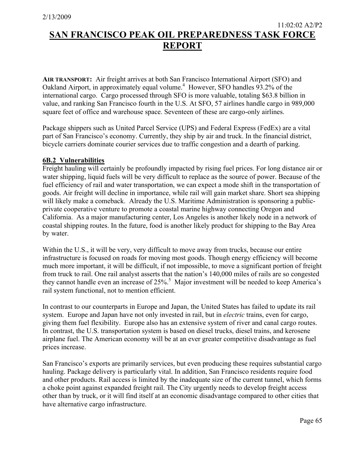**AIR TRANSPORT:** Air freight arrives at both San Francisco International Airport (SFO) and Oakland Airport, in approximately equal volume.<sup>4</sup> However, SFO handles 93.2% of the international cargo. Cargo processed through SFO is more valuable, totaling \$63.8 billion in value, and ranking San Francisco fourth in the U.S. At SFO, 57 airlines handle cargo in 989,000 square feet of office and warehouse space. Seventeen of these are cargo-only airlines.

Package shippers such as United Parcel Service (UPS) and Federal Express (FedEx) are a vital part of San Francisco's economy. Currently, they ship by air and truck. In the financial district, bicycle carriers dominate courier services due to traffic congestion and a dearth of parking.

#### **6B.2 Vulnerabilities**

Freight hauling will certainly be profoundly impacted by rising fuel prices. For long distance air or water shipping, liquid fuels will be very difficult to replace as the source of power. Because of the fuel efficiency of rail and water transportation, we can expect a mode shift in the transportation of goods. Air freight will decline in importance, while rail will gain market share. Short sea shipping will likely make a comeback. Already the U.S. Maritime Administration is sponsoring a publicprivate cooperative venture to promote a coastal marine highway connecting Oregon and California. As a major manufacturing center, Los Angeles is another likely node in a network of coastal shipping routes. In the future, food is another likely product for shipping to the Bay Area by water.

Within the U.S., it will be very, very difficult to move away from trucks, because our entire infrastructure is focused on roads for moving most goods. Though energy efficiency will become much more important, it will be difficult, if not impossible, to move a significant portion of freight from truck to rail. One rail analyst asserts that the nation's 140,000 miles of rails are so congested they cannot handle even an increase of  $25\%$ .<sup>5</sup> Major investment will be needed to keep America's rail system functional, not to mention efficient.

In contrast to our counterparts in Europe and Japan, the United States has failed to update its rail system. Europe and Japan have not only invested in rail, but in *electric* trains, even for cargo, giving them fuel flexibility. Europe also has an extensive system of river and canal cargo routes. In contrast, the U.S. transportation system is based on diesel trucks, diesel trains, and kerosene airplane fuel. The American economy will be at an ever greater competitive disadvantage as fuel prices increase.

San Francisco's exports are primarily services, but even producing these requires substantial cargo hauling. Package delivery is particularly vital. In addition, San Francisco residents require food and other products. Rail access is limited by the inadequate size of the current tunnel, which forms a choke point against expanded freight rail. The City urgently needs to develop freight access other than by truck, or it will find itself at an economic disadvantage compared to other cities that have alternative cargo infrastructure.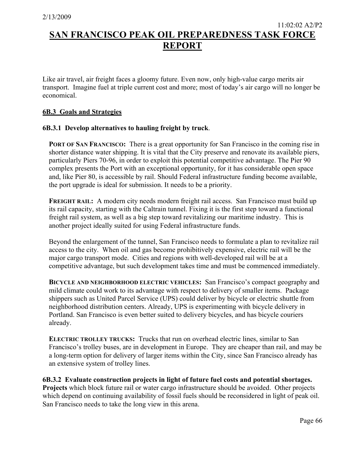Like air travel, air freight faces a gloomy future. Even now, only high-value cargo merits air transport. Imagine fuel at triple current cost and more; most of today's air cargo will no longer be economical.

#### **6B.3 Goals and Strategies**

#### **6B.3.1 Develop alternatives to hauling freight by truck**.

**PORT OF SAN FRANCISCO:** There is a great opportunity for San Francisco in the coming rise in shorter distance water shipping. It is vital that the City preserve and renovate its available piers, particularly Piers 70-96, in order to exploit this potential competitive advantage. The Pier 90 complex presents the Port with an exceptional opportunity, for it has considerable open space and, like Pier 80, is accessible by rail. Should Federal infrastructure funding become available, the port upgrade is ideal for submission. It needs to be a priority.

**FREIGHT RAIL:** A modern city needs modern freight rail access. San Francisco must build up its rail capacity, starting with the Caltrain tunnel. Fixing it is the first step toward a functional freight rail system, as well as a big step toward revitalizing our maritime industry. This is another project ideally suited for using Federal infrastructure funds.

Beyond the enlargement of the tunnel, San Francisco needs to formulate a plan to revitalize rail access to the city. When oil and gas become prohibitively expensive, electric rail will be the major cargo transport mode. Cities and regions with well-developed rail will be at a competitive advantage, but such development takes time and must be commenced immediately.

**BICYCLE AND NEIGHBORHOOD ELECTRIC VEHICLES:** San Francisco's compact geography and mild climate could work to its advantage with respect to delivery of smaller items. Package shippers such as United Parcel Service (UPS) could deliver by bicycle or electric shuttle from neighborhood distribution centers. Already, UPS is experimenting with bicycle delivery in Portland. San Francisco is even better suited to delivery bicycles, and has bicycle couriers already.

**ELECTRIC TROLLEY TRUCKS:** Trucks that run on overhead electric lines, similar to San Francisco's trolley buses, are in development in Europe. They are cheaper than rail, and may be a long-term option for delivery of larger items within the City, since San Francisco already has an extensive system of trolley lines.

**6B.3.2 Evaluate construction projects in light of future fuel costs and potential shortages. Projects** which block future rail or water cargo infrastructure should be avoided. Other projects which depend on continuing availability of fossil fuels should be reconsidered in light of peak oil. San Francisco needs to take the long view in this arena.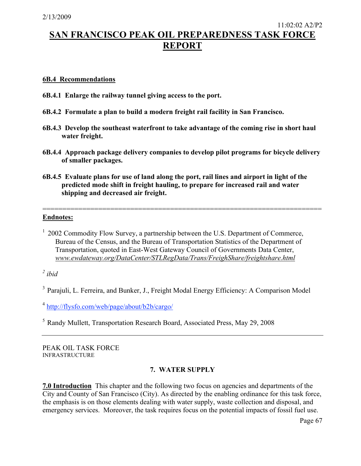#### **6B.4 Recommendations**

- **6B.4.1 Enlarge the railway tunnel giving access to the port.**
- **6B.4.2 Formulate a plan to build a modern freight rail facility in San Francisco.**
- **6B.4.3 Develop the southeast waterfront to take advantage of the coming rise in short haul water freight.**
- **6B.4.4 Approach package delivery companies to develop pilot programs for bicycle delivery of smaller packages.**

======================================================================

**6B.4.5 Evaluate plans for use of land along the port, rail lines and airport in light of the predicted mode shift in freight hauling, to prepare for increased rail and water shipping and decreased air freight.**

#### **Endnotes:**

 $1\,$  2002 Commodity Flow Survey, a partnership between the U.S. Department of Commerce, Bureau of the Census, and the Bureau of Transportation Statistics of the Department of Transportation, quoted in East-West Gateway Council of Governments Data Center, *www.ewdateway.org/DataCenter/STLRegData/Trans/FreighShare/freightshare.html*

*2 ibid*

<sup>3</sup> Parajuli, L. Ferreira, and Bunker, J., Freight Modal Energy Efficiency: A Comparison Model

<sup>4</sup> http://flysfo.com/web/page/about/b2b/cargo/

5 Randy Mullett, Transportation Research Board, Associated Press, May 29, 2008

PEAK OIL TASK FORCE INFRASTRUCTURE

### **7. WATER SUPPLY**

**7.0 Introduction** This chapter and the following two focus on agencies and departments of the City and County of San Francisco (City). As directed by the enabling ordinance for this task force, the emphasis is on those elements dealing with water supply, waste collection and disposal, and emergency services. Moreover, the task requires focus on the potential impacts of fossil fuel use.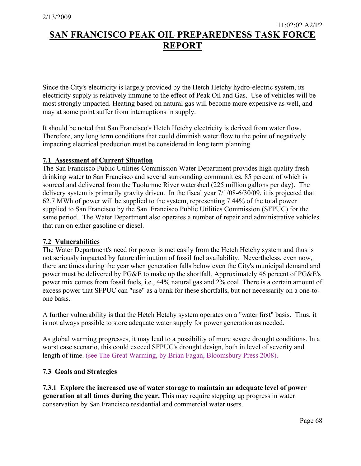Since the City's electricity is largely provided by the Hetch Hetchy hydro-electric system, its electricity supply is relatively immune to the effect of Peak Oil and Gas. Use of vehicles will be most strongly impacted. Heating based on natural gas will become more expensive as well, and may at some point suffer from interruptions in supply.

It should be noted that San Francisco's Hetch Hetchy electricity is derived from water flow. Therefore, any long term conditions that could diminish water flow to the point of negatively impacting electrical production must be considered in long term planning.

### **7.1 Assessment of Current Situation**

The San Francisco Public Utilities Commission Water Department provides high quality fresh drinking water to San Francisco and several surrounding communities, 85 percent of which is sourced and delivered from the Tuolumne River watershed (225 million gallons per day). The delivery system is primarily gravity driven. In the fiscal year 7/1/08-6/30/09, it is projected that 62.7 MWh of power will be supplied to the system, representing 7.44% of the total power supplied to San Francisco by the San Francisco Public Utilities Commission (SFPUC) for the same period. The Water Department also operates a number of repair and administrative vehicles that run on either gasoline or diesel.

#### **7.2 Vulnerabilities**

The Water Department's need for power is met easily from the Hetch Hetchy system and thus is not seriously impacted by future diminution of fossil fuel availability. Nevertheless, even now, there are times during the year when generation falls below even the City's municipal demand and power must be delivered by PG&E to make up the shortfall. Approximately 46 percent of PG&E's power mix comes from fossil fuels, i.e., 44% natural gas and 2% coal. There is a certain amount of excess power that SFPUC can "use" as a bank for these shortfalls, but not necessarily on a one-toone basis.

A further vulnerability is that the Hetch Hetchy system operates on a "water first" basis. Thus, it is not always possible to store adequate water supply for power generation as needed.

As global warming progresses, it may lead to a possibility of more severe drought conditions. In a worst case scenario, this could exceed SFPUC's drought design, both in level of severity and length of time. (see The Great Warming, by Brian Fagan, Bloomsbury Press 2008).

### **7.3 Goals and Strategies**

**7.3.1 Explore the increased use of water storage to maintain an adequate level of power generation at all times during the year.** This may require stepping up progress in water conservation by San Francisco residential and commercial water users.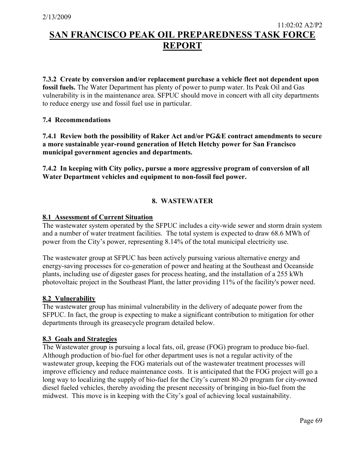**7.3.2 Create by conversion and/or replacement purchase a vehicle fleet not dependent upon fossil fuels.** The Water Department has plenty of power to pump water. Its Peak Oil and Gas vulnerability is in the maintenance area. SFPUC should move in concert with all city departments to reduce energy use and fossil fuel use in particular.

### **7.4 Recommendations**

**7.4.1 Review both the possibility of Raker Act and/or PG&E contract amendments to secure a more sustainable year-round generation of Hetch Hetchy power for San Francisco municipal government agencies and departments.**

**7.4.2 In keeping with City policy, pursue a more aggressive program of conversion of all Water Department vehicles and equipment to non-fossil fuel power.**

### **8. WASTEWATER**

### **8.1 Assessment of Current Situation**

The wastewater system operated by the SFPUC includes a city-wide sewer and storm drain system and a number of water treatment facilities. The total system is expected to draw 68.6 MWh of power from the City's power, representing 8.14% of the total municipal electricity use.

The wastewater group at SFPUC has been actively pursuing various alternative energy and energy-saving processes for co-generation of power and heating at the Southeast and Oceanside plants, including use of digester gases for process heating, and the installation of a 255 kWh photovoltaic project in the Southeast Plant, the latter providing 11% of the facility's power need.

#### **8.2 Vulnerability**

The wastewater group has minimal vulnerability in the delivery of adequate power from the SFPUC. In fact, the group is expecting to make a significant contribution to mitigation for other departments through its greasecycle program detailed below.

#### **8.3 Goals and Strategies**

The Wastewater group is pursuing a local fats, oil, grease (FOG) program to produce bio-fuel. Although production of bio-fuel for other department uses is not a regular activity of the wastewater group, keeping the FOG materials out of the wastewater treatment processes will improve efficiency and reduce maintenance costs. It is anticipated that the FOG project will go a long way to localizing the supply of bio-fuel for the City's current 80-20 program for city-owned diesel fueled vehicles, thereby avoiding the present necessity of bringing in bio-fuel from the midwest. This move is in keeping with the City's goal of achieving local sustainability.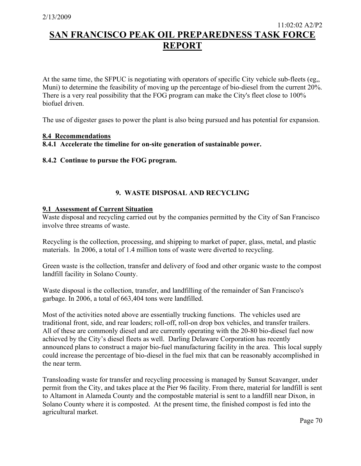At the same time, the SFPUC is negotiating with operators of specific City vehicle sub-fleets (eg,, Muni) to determine the feasibility of moving up the percentage of bio-diesel from the current 20%. There is a very real possibility that the FOG program can make the City's fleet close to 100% biofuel driven.

The use of digester gases to power the plant is also being pursued and has potential for expansion.

#### **8.4 Recommendations**

### **8.4.1 Accelerate the timeline for on-site generation of sustainable power.**

#### **8.4.2 Continue to pursue the FOG program.**

### **9. WASTE DISPOSAL AND RECYCLING**

#### **9.1 Assessment of Current Situation**

Waste disposal and recycling carried out by the companies permitted by the City of San Francisco involve three streams of waste.

Recycling is the collection, processing, and shipping to market of paper, glass, metal, and plastic materials. In 2006, a total of 1.4 million tons of waste were diverted to recycling.

Green waste is the collection, transfer and delivery of food and other organic waste to the compost landfill facility in Solano County.

Waste disposal is the collection, transfer, and landfilling of the remainder of San Francisco's garbage. In 2006, a total of 663,404 tons were landfilled.

Most of the activities noted above are essentially trucking functions. The vehicles used are traditional front, side, and rear loaders; roll-off, roll-on drop box vehicles, and transfer trailers. All of these are commonly diesel and are currently operating with the 20-80 bio-diesel fuel now achieved by the City's diesel fleets as well. Darling Delaware Corporation has recently announced plans to construct a major bio-fuel manufacturing facility in the area. This local supply could increase the percentage of bio-diesel in the fuel mix that can be reasonably accomplished in the near term.

Transloading waste for transfer and recycling processing is managed by Sunsut Scavanger, under permit from the City, and takes place at the Pier 96 facility. From there, material for landfill is sent to Altamont in Alameda County and the compostable material is sent to a landfill near Dixon, in Solano County where it is composted. At the present time, the finished compost is fed into the agricultural market.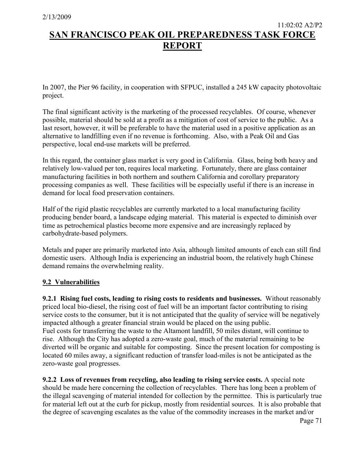In 2007, the Pier 96 facility, in cooperation with SFPUC, installed a 245 kW capacity photovoltaic project.

The final significant activity is the marketing of the processed recyclables. Of course, whenever possible, material should be sold at a profit as a mitigation of cost of service to the public. As a last resort, however, it will be preferable to have the material used in a positive application as an alternative to landfilling even if no revenue is forthcoming. Also, with a Peak Oil and Gas perspective, local end-use markets will be preferred.

In this regard, the container glass market is very good in California. Glass, being both heavy and relatively low-valued per ton, requires local marketing. Fortunately, there are glass container manufacturing facilities in both northern and southern California and corollary preparatory processing companies as well. These facilities will be especially useful if there is an increase in demand for local food preservation containers.

Half of the rigid plastic recyclables are currently marketed to a local manufacturing facility producing bender board, a landscape edging material. This material is expected to diminish over time as petrochemical plastics become more expensive and are increasingly replaced by carbohydrate-based polymers.

Metals and paper are primarily marketed into Asia, although limited amounts of each can still find domestic users. Although India is experiencing an industrial boom, the relatively hugh Chinese demand remains the overwhelming reality.

### **9.2 Vulnerabilities**

**9.2.1 Rising fuel costs, leading to rising costs to residents and businesses.** Without reasonably priced local bio-diesel, the rising cost of fuel will be an important factor contributing to rising service costs to the consumer, but it is not anticipated that the quality of service will be negatively impacted although a greater financial strain would be placed on the using public. Fuel costs for transferring the waste to the Altamont landfill, 50 miles distant, will continue to rise. Although the City has adopted a zero-waste goal, much of the material remaining to be diverted will be organic and suitable for composting. Since the present location for composting is located 60 miles away, a significant reduction of transfer load-miles is not be anticipated as the zero-waste goal progresses.

**9.2.2 Loss of revenues from recycling, also leading to rising service costs.** A special note should be made here concerning the collection of recyclables. There has long been a problem of the illegal scavenging of material intended for collection by the permittee. This is particularly true for material left out at the curb for pickup, mostly from residential sources. It is also probable that the degree of scavenging escalates as the value of the commodity increases in the market and/or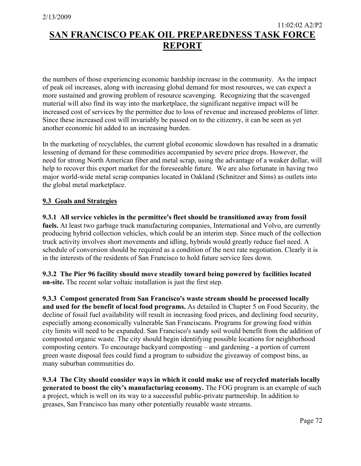the numbers of those experiencing economic hardship increase in the community. As the impact of peak oil increases, along with increasing global demand for most resources, we can expect a more sustained and growing problem of resource scavenging. Recognizing that the scavenged material will also find its way into the marketplace, the significant negative impact will be increased cost of services by the permittee due to loss of revenue and increased problems of litter. Since these increased cost will invariably be passed on to the citizenry, it can be seen as yet another economic hit added to an increasing burden.

In the marketing of recyclables, the current global economic slowdown has resulted in a dramatic lessening of demand for these commodities accompanied by severe price drops. However, the need for strong North American fiber and metal scrap, using the advantage of a weaker dollar, will help to recover this export market for the foreseeable future. We are also fortunate in having two major world-wide metal scrap companies located in Oakland (Schnitzer and Sims) as outlets into the global metal marketplace.

### **9.3 Goals and Strategies**

**9.3.1 All service vehicles in the permittee's fleet should be transitioned away from fossil fuels.** At least two garbage truck manufacturing companies, International and Volvo, are currently producing hybrid collection vehicles, which could be an interim step. Since much of the collection truck activity involves short movements and idling, hybrids would greatly reduce fuel need. A schedule of conversion should be required as a condition of the next rate negotiation. Clearly it is in the interests of the residents of San Francisco to hold future service fees down.

**9.3.2 The Pier 96 facility should move steadily toward being powered by facilities located on-site.** The recent solar voltaic installation is just the first step.

**9.3.3 Compost generated from San Francisco's waste stream should be processed locally and used for the benefit of local food programs.** As detailed in Chapter 5 on Food Security, the decline of fossil fuel availability will result in increasing food prices, and declining food security, especially among economically vulnerable San Franciscans. Programs for growing food within city limits will need to be expanded. San Francisco's sandy soil would benefit from the addition of composted organic waste. The city should begin identifying possible locations for neighborhood composting centers. To encourage backyard composting – and gardening - a portion of current green waste disposal fees could fund a program to subsidize the giveaway of compost bins, as many suburban communities do.

**9.3.4 The City should consider ways in which it could make use of recycled materials locally generated to boost the city's manufacturing economy.** The FOG program is an example of such a project, which is well on its way to a successful public-private partnership. In addition to greases, San Francisco has many other potentially reusable waste streams.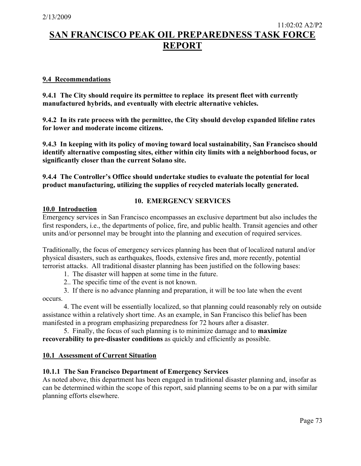### **9.4 Recommendations**

**9.4.1 The City should require its permittee to replace its present fleet with currently manufactured hybrids, and eventually with electric alternative vehicles.** 

**9.4.2 In its rate process with the permittee, the City should develop expanded lifeline rates for lower and moderate income citizens.** 

**9.4.3 In keeping with its policy of moving toward local sustainability, San Francisco should identify alternative composting sites, either within city limits with a neighborhood focus, or significantly closer than the current Solano site.** 

**9.4.4 The Controller's Office should undertake studies to evaluate the potential for local product manufacturing, utilizing the supplies of recycled materials locally generated.**

### **10. EMERGENCY SERVICES**

### **10.0 Introduction**

Emergency services in San Francisco encompasses an exclusive department but also includes the first responders, i.e., the departments of police, fire, and public health. Transit agencies and other units and/or personnel may be brought into the planning and execution of required services.

Traditionally, the focus of emergency services planning has been that of localized natural and/or physical disasters, such as earthquakes, floods, extensive fires and, more recently, potential terrorist attacks. All traditional disaster planning has been justified on the following bases:

1. The disaster will happen at some time in the future.

2.. The specific time of the event is not known.

3. If there is no advance planning and preparation, it will be too late when the event occurs.

4. The event will be essentially localized, so that planning could reasonably rely on outside assistance within a relatively short time. As an example, in San Francisco this belief has been manifested in a program emphasizing preparedness for 72 hours after a disaster.

5. Finally, the focus of such planning is to minimize damage and to **maximize recoverability to pre-disaster conditions** as quickly and efficiently as possible.

### **10.1 Assessment of Current Situation**

### **10.1.1 The San Francisco Department of Emergency Services**

As noted above, this department has been engaged in traditional disaster planning and, insofar as can be determined within the scope of this report, said planning seems to be on a par with similar planning efforts elsewhere.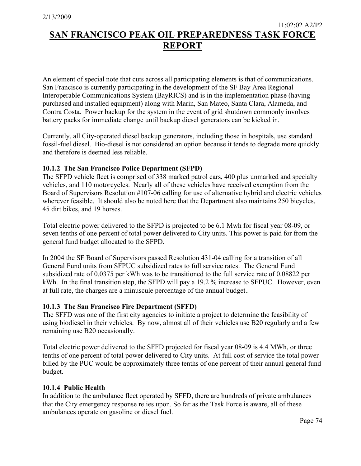An element of special note that cuts across all participating elements is that of communications. San Francisco is currently participating in the development of the SF Bay Area Regional Interoperable Communications System (BayRICS) and is in the implementation phase (having purchased and installed equipment) along with Marin, San Mateo, Santa Clara, Alameda, and Contra Costa. Power backup for the system in the event of grid shutdown commonly involves battery packs for immediate change until backup diesel generators can be kicked in.

Currently, all City-operated diesel backup generators, including those in hospitals, use standard fossil-fuel diesel. Bio-diesel is not considered an option because it tends to degrade more quickly and therefore is deemed less reliable.

### **10.1.2 The San Francisco Police Department (SFPD)**

The SFPD vehicle fleet is comprised of 338 marked patrol cars, 400 plus unmarked and specialty vehicles, and 110 motorcycles. Nearly all of these vehicles have received exemption from the Board of Supervisors Resolution #107-06 calling for use of alternative hybrid and electric vehicles wherever feasible. It should also be noted here that the Department also maintains 250 bicycles, 45 dirt bikes, and 19 horses.

Total electric power delivered to the SFPD is projected to be 6.1 Mwh for fiscal year 08-09, or seven tenths of one percent of total power delivered to City units. This power is paid for from the general fund budget allocated to the SFPD.

In 2004 the SF Board of Supervisors passed Resolution 431-04 calling for a transition of all General Fund units from SFPUC subsidized rates to full service rates. The General Fund subsidized rate of 0.0375 per kWh was to be transitioned to the full service rate of 0.08822 per kWh. In the final transition step, the SFPD will pay a 19.2 % increase to SFPUC. However, even at full rate, the charges are a minuscule percentage of the annual budget..

### **10.1.3 The San Francisco Fire Department (SFFD)**

The SFFD was one of the first city agencies to initiate a project to determine the feasibility of using biodiesel in their vehicles. By now, almost all of their vehicles use B20 regularly and a few remaining use B20 occasionally.

Total electric power delivered to the SFFD projected for fiscal year 08-09 is 4.4 MWh, or three tenths of one percent of total power delivered to City units. At full cost of service the total power billed by the PUC would be approximately three tenths of one percent of their annual general fund budget.

### **10.1.4 Public Health**

In addition to the ambulance fleet operated by SFFD, there are hundreds of private ambulances that the City emergency response relies upon. So far as the Task Force is aware, all of these ambulances operate on gasoline or diesel fuel.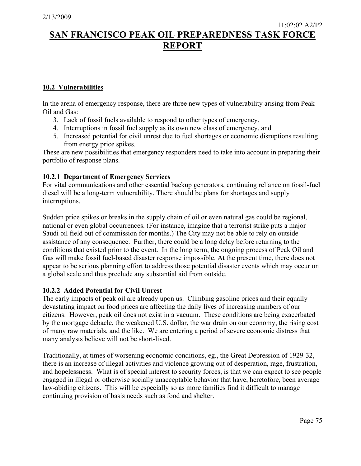### **10.2 Vulnerabilities**

In the arena of emergency response, there are three new types of vulnerability arising from Peak Oil and Gas:

- 3. Lack of fossil fuels available to respond to other types of emergency.
- 4. Interruptions in fossil fuel supply as its own new class of emergency, and
- 5. Increased potential for civil unrest due to fuel shortages or economic disruptions resulting from energy price spikes.

These are new possibilities that emergency responders need to take into account in preparing their portfolio of response plans.

### **10.2.1 Department of Emergency Services**

For vital communications and other essential backup generators, continuing reliance on fossil-fuel diesel will be a long-term vulnerability. There should be plans for shortages and supply interruptions.

Sudden price spikes or breaks in the supply chain of oil or even natural gas could be regional, national or even global occurrences. (For instance, imagine that a terrorist strike puts a major Saudi oil field out of commission for months.) The City may not be able to rely on outside assistance of any consequence. Further, there could be a long delay before returning to the conditions that existed prior to the event. In the long term, the ongoing process of Peak Oil and Gas will make fossil fuel-based disaster response impossible. At the present time, there does not appear to be serious planning effort to address those potential disaster events which may occur on a global scale and thus preclude any substantial aid from outside.

### **10.2.2 Added Potential for Civil Unrest**

The early impacts of peak oil are already upon us. Climbing gasoline prices and their equally devastating impact on food prices are affecting the daily lives of increasing numbers of our citizens. However, peak oil does not exist in a vacuum. These conditions are being exacerbated by the mortgage debacle, the weakened U.S. dollar, the war drain on our economy, the rising cost of many raw materials, and the like. We are entering a period of severe economic distress that many analysts believe will not be short-lived.

Traditionally, at times of worsening economic conditions, eg., the Great Depression of 1929-32, there is an increase of illegal activities and violence growing out of desperation, rage, frustration, and hopelessness. What is of special interest to security forces, is that we can expect to see people engaged in illegal or otherwise socially unacceptable behavior that have, heretofore, been average law-abiding citizens. This will be especially so as more families find it difficult to manage continuing provision of basis needs such as food and shelter.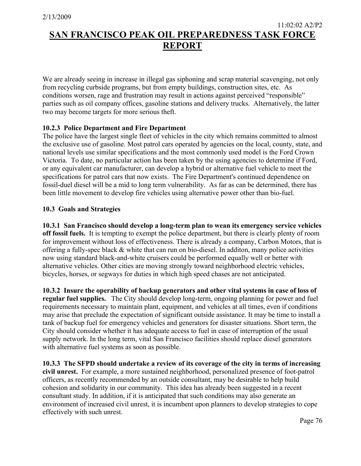We are already seeing in increase in illegal gas siphoning and scrap material scavenging, not only from recycling curbside programs, but from empty buildings, construction sites, etc. As conditions worsen, rage and frustration may result in actions against perceived "responsible" parties such as oil company offices, gasoline stations and delivery trucks. Alternatively, the latter two may become targets for more serious theft.

### **10.2.3 Police Department and Fire Department**

The police have the largest single fleet of vehicles in the city which remains committed to almost the exclusive use of gasoline. Most patrol cars operated by agencies on the local, county, state, and national levels use similar specifications and the most commonly used model is the Ford Crown Victoria. To date, no particular action has been taken by the using agencies to determine if Ford, or any equivalent car manufacturer, can develop a hybrid or alternative fuel vehicle to meet the specifications for patrol cars that now exists. The Fire Department's continued dependence on fossil-duel diesel will be a mid to long term vulnerability. As far as can be determined, there has been little movement to develop fire vehicles using alternative power other than bio-fuel.

### **10.3 Goals and Strategies**

**10.3.1 San Francisco should develop a long-term plan to wean its emergency service vehicles off fossil fuels.** It is tempting to exempt the police department, but there is clearly plenty of room for improvement without loss of effectiveness. There is already a company, Carbon Motors, that is offering a fully-spec black & white that can run on bio-diesel. In additon, many police activities now using standard black-and-white cruisers could be performed equally well or better with alternative vehicles. Other cities are moving strongly toward neighborhood electric vehicles, bicycles, horses, or segways for duties in which high speed chases are not anticipated.

**10.3.2 Insure the operability of backup generators and other vital systems in case of loss of regular fuel supplies.** The City should develop long-term, ongoing planning for power and fuel requirements necessary to maintain plant, equipment, and vehicles at all times, even if conditions may arise that preclude the expectation of significant outside assistance. It may be time to install a tank of backup fuel for emergency vehicles and generators for disaster situations. Short term, the City should consider whether it has adequate access to fuel in case of interruption of the usual supply network. In the long term, vital San Francisco facilities should replace diesel generators with alternative fuel systems as soon as possible.

**10.3.3 The SFPD should undertake a review of its coverage of the city in terms of increasing civil unrest.** For example, a more sustained neighborhood, personalized presence of foot-patrol officers, as recently recommended by an outside consultant, may be desirable to help build cohesion and solidarity in our community. This idea has already been suggested in a recent consultant study. In addition, if it is anticipated that such conditions may also generate an environment of increased civil unrest, it is incumbent upon planners to develop strategies to cope effectively with such unrest.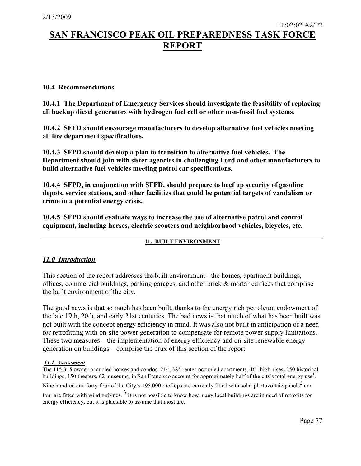### **10.4 Recommendations**

**10.4.1 The Department of Emergency Services should investigate the feasibility of replacing all backup diesel generators with hydrogen fuel cell or other non-fossil fuel systems.**

**10.4.2 SFFD should encourage manufacturers to develop alternative fuel vehicles meeting all fire department specifications.**

**10.4.3 SFPD should develop a plan to transition to alternative fuel vehicles. The Department should join with sister agencies in challenging Ford and other manufacturers to build alternative fuel vehicles meeting patrol car specifications.** 

**10.4.4 SFPD, in conjunction with SFFD, should prepare to beef up security of gasoline depots, service stations, and other facilities that could be potential targets of vandalism or crime in a potential energy crisis.**

**10.4.5 SFPD should evaluate ways to increase the use of alternative patrol and control equipment, including horses, electric scooters and neighborhood vehicles, bicycles, etc.**

### **11. BUILT ENVIRONMENT**

### *11.0 Introduction*

This section of the report addresses the built environment - the homes, apartment buildings, offices, commercial buildings, parking garages, and other brick & mortar edifices that comprise the built environment of the city.

The good news is that so much has been built, thanks to the energy rich petroleum endowment of the late 19th, 20th, and early 21st centuries. The bad news is that much of what has been built was not built with the concept energy efficiency in mind. It was also not built in anticipation of a need for retrofitting with on-site power generation to compensate for remote power supply limitations. These two measures – the implementation of energy efficiency and on-site renewable energy generation on buildings – comprise the crux of this section of the report.

### *11.1 Assessment*

The 115,315 owner-occupied houses and condos, 214, 385 renter-occupied apartments, 461 high-rises, 250 historical buildings, 150 theaters, 62 museums, in San Francisco account for approximately half of the city's total energy use<sup>1</sup>. Nine hundred and forty-four of the City's 195,000 rooftops are currently fitted with solar photovoltaic panels<sup>2</sup> and

four are fitted with wind turbines.  $3 \text{ It}$  is not possible to know how many local buildings are in need of retrofits for energy efficiency, but it is plausible to assume that most are.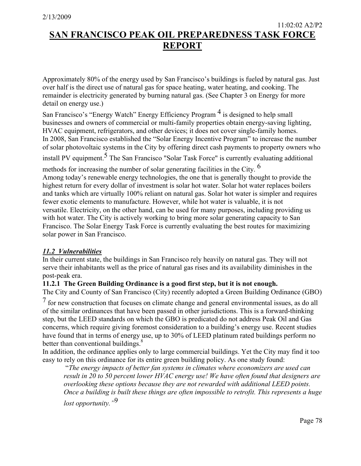Approximately 80% of the energy used by San Francisco's buildings is fueled by natural gas. Just over half is the direct use of natural gas for space heating, water heating, and cooking. The remainder is electricity generated by burning natural gas. (See Chapter 3 on Energy for more detail on energy use.)

San Francisco's "Energy Watch" Energy Efficiency Program<sup>4</sup> is designed to help small businesses and owners of commercial or multi-family properties obtain energy-saving lighting, HVAC equipment, refrigerators, and other devices; it does not cover single-family homes. In 2008, San Francisco established the "Solar Energy Incentive Program" to increase the number of solar photovoltaic systems in the City by offering direct cash payments to property owners who install PV equipment.<sup>5</sup> The San Francisco "Solar Task Force" is currently evaluating additional

methods for increasing the number of solar generating facilities in the City. <sup>6</sup>

Among today's renewable energy technologies, the one that is generally thought to provide the highest return for every dollar of investment is solar hot water. Solar hot water replaces boilers and tanks which are virtually 100% reliant on natural gas. Solar hot water is simpler and requires fewer exotic elements to manufacture. However, while hot water is valuable, it is not versatile. Electricity, on the other hand, can be used for many purposes, including providing us with hot water. The City is actively working to bring more solar generating capacity to San Francisco. The Solar Energy Task Force is currently evaluating the best routes for maximizing solar power in San Francisco.

### *11.2 Vulnerabilities*

In their current state, the buildings in San Francisco rely heavily on natural gas. They will not serve their inhabitants well as the price of natural gas rises and its availability diminishes in the post-peak era.

### **11.2.1 The Green Building Ordinance is a good first step, but it is not enough.**

The City and County of San Francisco (City) recently adopted a Green Building Ordinance (GBO)

7 for new construction that focuses on climate change and general environmental issues, as do all of the similar ordinances that have been passed in other jurisdictions. This is a forward-thinking step, but the LEED standards on which the GBO is predicated do not address Peak Oil and Gas concerns, which require giving foremost consideration to a building's energy use. Recent studies have found that in terms of energy use, up to 30% of LEED platinum rated buildings perform no better than conventional buildings.<sup>8</sup>

In addition, the ordinance applies only to large commercial buildings. Yet the City may find it too easy to rely on this ordinance for its entire green building policy. As one study found:

"*The energy impacts of better fan systems in climates where economizers are used can result in 20 to 50 percent lower HVAC energy use! We have often found that designers are overlooking these options because they are not rewarded with additional LEED points. Once a building is built these things are often impossible to retrofit. This represents a huge lost opportunity."*9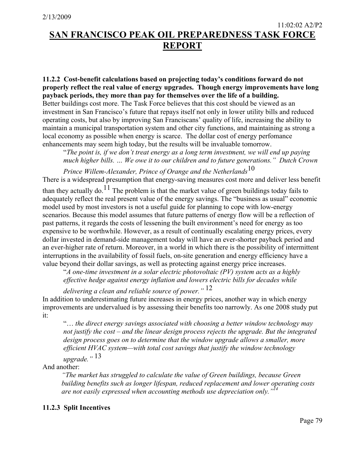**11.2.2 Cost-benefit calculations based on projecting today's conditions forward do not properly reflect the real value of energy upgrades. Though energy improvements have long payback periods, they more than pay for themselves over the life of a building.** Better buildings cost more. The Task Force believes that this cost should be viewed as an investment in San Francisco's future that repays itself not only in lower utility bills and reduced operating costs, but also by improving San Franciscans' quality of life, increasing the ability to maintain a municipal transportation system and other city functions, and maintaining as strong a local economy as possible when energy is scarce. The dollar cost of energy perfomance enhancements may seem high today, but the results will be invaluable tomorrow.

"*The point is, if we don't treat energy as a long term investment, we will end up paying much higher bills. … We owe it to our children and to future generations." Dutch Crown* 

*Prince Willem-Alexander, Prince of Orange and the Netherlands*10 There is a widespread presumption that energy-saving measures cost more and deliver less benefit

than they actually do.<sup>11</sup> The problem is that the market value of green buildings today fails to adequately reflect the real present value of the energy savings. The "business as usual" economic model used by most investors is not a useful guide for planning to cope with low-energy scenarios. Because this model assumes that future patterns of energy flow will be a reflection of past patterns, it regards the costs of lessening the built environment's need for energy as too expensive to be worthwhile. However, as a result of continually escalating energy prices, every dollar invested in demand-side management today will have an ever-shorter payback period and an ever-higher rate of return. Moreover, in a world in which there is the possibility of intermittent interruptions in the availability of fossil fuels, on-site generation and energy efficiency have a value beyond their dollar savings, as well as protecting against energy price increases.

"*A one-time investment in a solar electric photovoltaic (PV) system acts as a highly effective hedge against energy inflation and lowers electric bills for decades while* 

*delivering a clean and reliable source of power."* 12 In addition to underestimating future increases in energy prices, another way in which energy improvements are undervalued is by assessing their benefits too narrowly. As one 2008 study put it:

"… *the direct energy savings associated with choosing a better window technology may not justify the cost – and the linear design process rejects the upgrade. But the integrated design process goes on to determine that the window upgrade allows a smaller, more efficient HVAC system—with total cost savings that justify the window technology upgrade."* 13

And another:

*"The market has struggled to calculate the value of Green buildings, because Green building benefits such as longer lifespan, reduced replacement and lower operating costs are not easily expressed when accounting methods use depreciation only."14*

### **11.2.3 Split Incentives**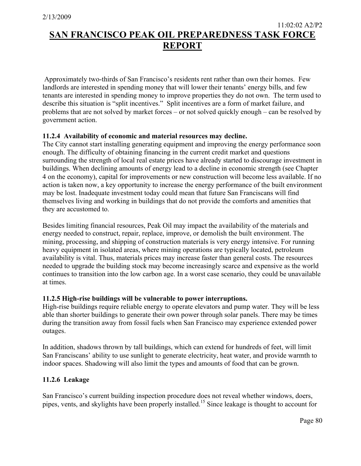Approximately two-thirds of San Francisco's residents rent rather than own their homes. Few landlords are interested in spending money that will lower their tenants' energy bills, and few tenants are interested in spending money to improve properties they do not own. The term used to describe this situation is "split incentives." Split incentives are a form of market failure, and problems that are not solved by market forces – or not solved quickly enough – can be resolved by government action.

### **11.2.4 Availability of economic and material resources may decline.**

The City cannot start installing generating equipment and improving the energy performance soon enough. The difficulty of obtaining financing in the current credit market and questions surrounding the strength of local real estate prices have already started to discourage investment in buildings. When declining amounts of energy lead to a decline in economic strength (see Chapter 4 on the economy), capital for improvements or new construction will become less available. If no action is taken now, a key opportunity to increase the energy performance of the built environment may be lost. Inadequate investment today could mean that future San Franciscans will find themselves living and working in buildings that do not provide the comforts and amenities that they are accustomed to.

Besides limiting financial resources, Peak Oil may impact the availability of the materials and energy needed to construct, repair, replace, improve, or demolish the built environment. The mining, processing, and shipping of construction materials is very energy intensive. For running heavy equipment in isolated areas, where mining operations are typically located, petroleum availability is vital. Thus, materials prices may increase faster than general costs. The resources needed to upgrade the building stock may become increasingly scarce and expensive as the world continues to transition into the low carbon age. In a worst case scenario, they could be unavailable at times.

### **11.2.5 High-rise buildings will be vulnerable to power interruptions.**

High-rise buildings require reliable energy to operate elevators and pump water. They will be less able than shorter buildings to generate their own power through solar panels. There may be times during the transition away from fossil fuels when San Francisco may experience extended power outages.

In addition, shadows thrown by tall buildings, which can extend for hundreds of feet, will limit San Franciscans' ability to use sunlight to generate electricity, heat water, and provide warmth to indoor spaces. Shadowing will also limit the types and amounts of food that can be grown.

### **11.2.6 Leakage**

San Francisco's current building inspection procedure does not reveal whether windows, doers, pipes, vents, and skylights have been properly installed.15 Since leakage is thought to account for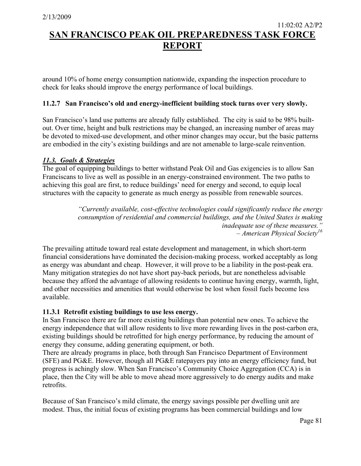around 10% of home energy consumption nationwide, expanding the inspection procedure to check for leaks should improve the energy performance of local buildings.

### **11.2.7 San Francisco's old and energy-inefficient building stock turns over very slowly.**

San Francisco's land use patterns are already fully established. The city is said to be 98% builtout. Over time, height and bulk restrictions may be changed, an increasing number of areas may be devoted to mixed-use development, and other minor changes may occur, but the basic patterns are embodied in the city's existing buildings and are not amenable to large-scale reinvention.

### *11.3. Goals & Strategies*

The goal of equipping buildings to better withstand Peak Oil and Gas exigencies is to allow San Franciscans to live as well as possible in an energy-constrained environment. The two paths to achieving this goal are first, to reduce buildings' need for energy and second, to equip local structures with the capacity to generate as much energy as possible from renewable sources.

> *"Currently available, cost-effective technologies could significantly reduce the energy consumption of residential and commercial buildings, and the United States is making inadequate use of these measures." – American Physical Society16*

The prevailing attitude toward real estate development and management, in which short-term financial considerations have dominated the decision-making process, worked acceptably as long as energy was abundant and cheap. However, it will prove to be a liability in the post-peak era. Many mitigation strategies do not have short pay-back periods, but are nonetheless advisable because they afford the advantage of allowing residents to continue having energy, warmth, light, and other necessities and amenities that would otherwise be lost when fossil fuels become less available.

### **11.3.1 Retrofit existing buildings to use less energy.**

In San Francisco there are far more existing buildings than potential new ones. To achieve the energy independence that will allow residents to live more rewarding lives in the post-carbon era, existing buildings should be retrofitted for high energy performance, by reducing the amount of energy they consume, adding generating equipment, or both.

There are already programs in place, both through San Francisco Department of Environment (SFE) and PG&E. However, though all PG&E ratepayers pay into an energy efficiency fund, but progress is achingly slow. When San Francisco's Community Choice Aggregation (CCA) is in place, then the City will be able to move ahead more aggressively to do energy audits and make retrofits.

Because of San Francisco's mild climate, the energy savings possible per dwelling unit are modest. Thus, the initial focus of existing programs has been commercial buildings and low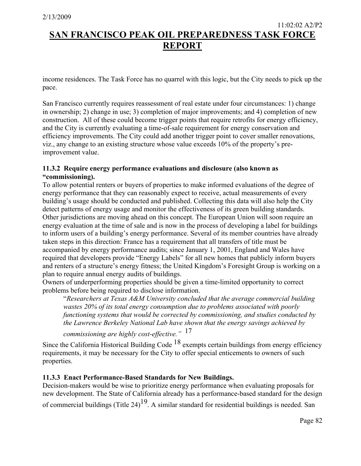income residences. The Task Force has no quarrel with this logic, but the City needs to pick up the pace.

San Francisco currently requires reassessment of real estate under four circumstances: 1) change in ownership; 2) change in use; 3) completion of major improvements; and 4) completion of new construction. All of these could become trigger points that require retrofits for energy efficiency, and the City is currently evaluating a time-of-sale requirement for energy conservation and efficiency improvements. The City could add another trigger point to cover smaller renovations, viz., any change to an existing structure whose value exceeds 10% of the property's preimprovement value.

### **11.3.2 Require energy performance evaluations and disclosure (also known as "commissioning).**

To allow potential renters or buyers of properties to make informed evaluations of the degree of energy performance that they can reasonably expect to receive, actual measurements of every building's usage should be conducted and published. Collecting this data will also help the City detect patterns of energy usage and monitor the effectiveness of its green building standards. Other jurisdictions are moving ahead on this concept. The European Union will soon require an energy evaluation at the time of sale and is now in the process of developing a label for buildings to inform users of a building's energy performance. Several of its member countries have already taken steps in this direction: France has a requirement that all transfers of title must be accompanied by energy performance audits; since January 1, 2001, England and Wales have required that developers provide "Energy Labels" for all new homes that publicly inform buyers and renters of a structure's energy fitness; the United Kingdom's Foresight Group is working on a plan to require annual energy audits of buildings.

Owners of underperforming properties should be given a time-limited opportunity to correct problems before being required to disclose information.

"*Researchers at Texas A&M University concluded that the average commercial building wastes 20% of its total energy consumption due to problems associated with poorly functioning systems that would be corrected by commissioning, and studies conducted by the Lawrence Berkeley National Lab have shown that the energy savings achieved by* 

*commissioning are highly cost-effective."* 17

Since the California Historical Building Code <sup>18</sup> exempts certain buildings from energy efficiency requirements, it may be necessary for the City to offer special enticements to owners of such properties.

### **11.3.3 Enact Performance-Based Standards for New Buildings.**

Decision-makers would be wise to prioritize energy performance when evaluating proposals for new development. The State of California already has a performance-based standard for the design of commercial buildings (Title  $24$ )<sup>19</sup>. A similar standard for residential buildings is needed. San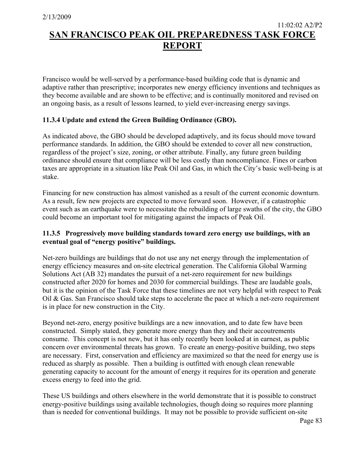Francisco would be well-served by a performance-based building code that is dynamic and adaptive rather than prescriptive; incorporates new energy efficiency inventions and techniques as they become available and are shown to be effective; and is continually monitored and revised on an ongoing basis, as a result of lessons learned, to yield ever-increasing energy savings.

### **11.3.4 Update and extend the Green Building Ordinance (GBO).**

As indicated above, the GBO should be developed adaptively, and its focus should move toward performance standards. In addition, the GBO should be extended to cover all new construction, regardless of the project's size, zoning, or other attribute. Finally, any future green building ordinance should ensure that compliance will be less costly than noncompliance. Fines or carbon taxes are appropriate in a situation like Peak Oil and Gas, in which the City's basic well-being is at stake.

Financing for new construction has almost vanished as a result of the current economic downturn. As a result, few new projects are expected to move forward soon. However, if a catastrophic event such as an earthquake were to necessitate the rebuilding of large swaths of the city, the GBO could become an important tool for mitigating against the impacts of Peak Oil.

### **11.3.5 Progressively move building standards toward zero energy use buildings, with an eventual goal of "energy positive" buildings.**

Net-zero buildings are buildings that do not use any net energy through the implementation of energy efficiency measures and on-site electrical generation. The California Global Warming Solutions Act (AB 32) mandates the pursuit of a net-zero requirement for new buildings constructed after 2020 for homes and 2030 for commercial buildings. These are laudable goals, but it is the opinion of the Task Force that these timelines are not very helpful with respect to Peak Oil & Gas. San Francisco should take steps to accelerate the pace at which a net-zero requirement is in place for new construction in the City.

Beyond net-zero, energy positive buildings are a new innovation, and to date few have been constructed. Simply stated, they generate more energy than they and their accoutrements consume. This concept is not new, but it has only recently been looked at in earnest, as public concern over environmental threats has grown. To create an energy-positive building, two steps are necessary. First, conservation and efficiency are maximized so that the need for energy use is reduced as sharply as possible. Then a building is outfitted with enough clean renewable generating capacity to account for the amount of energy it requires for its operation and generate excess energy to feed into the grid.

These US buildings and others elsewhere in the world demonstrate that it is possible to construct energy-positive buildings using available technologies, though doing so requires more planning than is needed for conventional buildings. It may not be possible to provide sufficient on-site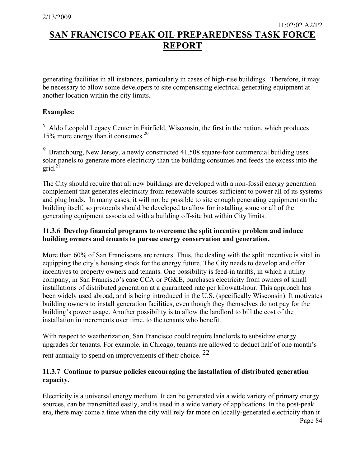generating facilities in all instances, particularly in cases of high-rise buildings. Therefore, it may be necessary to allow some developers to site compensating electrical generating equipment at another location within the city limits.

### **Examples:**

 $\hat{Y}$  Aldo Leopold Legacy Center in Fairfield, Wisconsin, the first in the nation, which produces 15% more energy than it consumes.20

 $\hat{Y}$  Branchburg, New Jersey, a newly constructed 41,508 square-foot commercial building uses solar panels to generate more electricity than the building consumes and feeds the excess into the  $grid.<sup>21</sup>$ 

The City should require that all new buildings are developed with a non-fossil energy generation complement that generates electricity from renewable sources sufficient to power all of its systems and plug loads. In many cases, it will not be possible to site enough generating equipment on the building itself, so protocols should be developed to allow for installing some or all of the generating equipment associated with a building off-site but within City limits.

### **11.3.6 Develop financial programs to overcome the split incentive problem and induce building owners and tenants to pursue energy conservation and generation.**

More than 60% of San Franciscans are renters. Thus, the dealing with the split incentive is vital in equipping the city's housing stock for the energy future. The City needs to develop and offer incentives to property owners and tenants. One possibility is feed-in tariffs, in which a utility company, in San Francisco's case CCA or PG&E, purchases electricity from owners of small installations of distributed generation at a guaranteed rate per kilowatt-hour. This approach has been widely used abroad, and is being introduced in the U.S. (specifically Wisconsin). It motivates building owners to install generation facilities, even though they themselves do not pay for the building's power usage. Another possibility is to allow the landlord to bill the cost of the installation in increments over time, to the tenants who benefit.

With respect to weatherization, San Francisco could require landlords to subsidize energy upgrades for tenants. For example, in Chicago, tenants are allowed to deduct half of one month's rent annually to spend on improvements of their choice. <sup>22</sup>

### **11.3.7 Continue to pursue policies encouraging the installation of distributed generation capacity.**

Electricity is a universal energy medium. It can be generated via a wide variety of primary energy sources, can be transmitted easily, and is used in a wide variety of applications. In the post-peak era, there may come a time when the city will rely far more on locally-generated electricity than it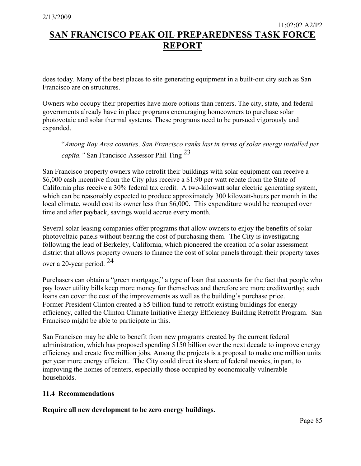does today. Many of the best places to site generating equipment in a built-out city such as San Francisco are on structures.

Owners who occupy their properties have more options than renters. The city, state, and federal governments already have in place programs encouraging homeowners to purchase solar photovotaic and solar thermal systems. These programs need to be pursued vigorously and expanded.

"*Among Bay Area counties, San Francisco ranks last in terms of solar energy installed per capita."* San Francisco Assessor Phil Ting 23

San Francisco property owners who retrofit their buildings with solar equipment can receive a \$6,000 cash incentive from the City plus receive a \$1.90 per watt rebate from the State of California plus receive a 30% federal tax credit. A two-kilowatt solar electric generating system, which can be reasonably expected to produce approximately 300 kilowatt-hours per month in the local climate, would cost its owner less than \$6,000. This expenditure would be recouped over time and after payback, savings would accrue every month.

Several solar leasing companies offer programs that allow owners to enjoy the benefits of solar photovoltaic panels without bearing the cost of purchasing them. The City is investigating following the lead of Berkeley, California, which pioneered the creation of a solar assessment district that allows property owners to finance the cost of solar panels through their property taxes over a 20-year period. 24

Purchasers can obtain a "green mortgage," a type of loan that accounts for the fact that people who pay lower utility bills keep more money for themselves and therefore are more creditworthy; such loans can cover the cost of the improvements as well as the building's purchase price. Former President Clinton created a \$5 billion fund to retrofit existing buildings for energy efficiency, called the Clinton Climate Initiative Energy Efficiency Building Retrofit Program. San Francisco might be able to participate in this.

San Francisco may be able to benefit from new programs created by the current federal administration, which has proposed spending \$150 billion over the next decade to improve energy efficiency and create five million jobs. Among the projects is a proposal to make one million units per year more energy efficient. The City could direct its share of federal monies, in part, to improving the homes of renters, especially those occupied by economically vulnerable households.

### **11.4 Recommendations**

**Require all new development to be zero energy buildings.**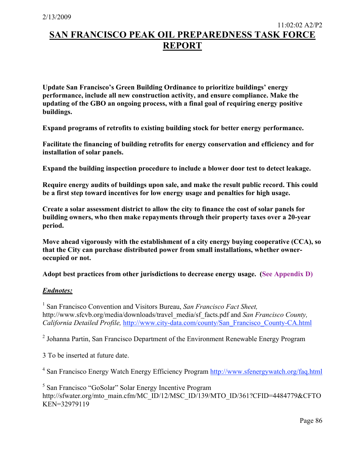**Update San Francisco's Green Building Ordinance to prioritize buildings' energy performance, include all new construction activity, and ensure compliance. Make the updating of the GBO an ongoing process, with a final goal of requiring energy positive buildings.**

**Expand programs of retrofits to existing building stock for better energy performance.**

**Facilitate the financing of building retrofits for energy conservation and efficiency and for installation of solar panels.**

**Expand the building inspection procedure to include a blower door test to detect leakage.**

**Require energy audits of buildings upon sale, and make the result public record. This could be a first step toward incentives for low energy usage and penalties for high usage.**

**Create a solar assessment district to allow the city to finance the cost of solar panels for building owners, who then make repayments through their property taxes over a 20-year period.**

**Move ahead vigorously with the establishment of a city energy buying cooperative (CCA), so that the City can purchase distributed power from small installations, whether owneroccupied or not.**

**Adopt best practices from other jurisdictions to decrease energy usage. (See Appendix D)**

### *Endnotes:*

1 San Francisco Convention and Visitors Bureau, *San Francisco Fact Sheet,*  http://www.sfcvb.org/media/downloads/travel\_media/sf\_facts.pdf and *San Francisco County, California Detailed Profile,* http://www.city-data.com/county/San\_Francisco\_County-CA.html

<sup>2</sup> Johanna Partin, San Francisco Department of the Environment Renewable Energy Program

3 To be inserted at future date.

<sup>4</sup> San Francisco Energy Watch Energy Efficiency Program http://www.sfenergywatch.org/faq.html

<sup>5</sup> San Francisco "GoSolar" Solar Energy Incentive Program http://sfwater.org/mto\_main.cfm/MC\_ID/12/MSC\_ID/139/MTO\_ID/361?CFID=4484779&CFTO KEN=32979119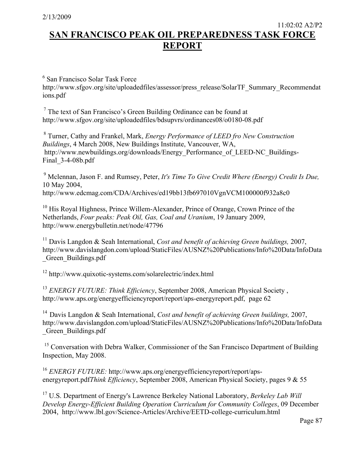6 San Francisco Solar Task Force http://www.sfgov.org/site/uploadedfiles/assessor/press\_release/SolarTF\_Summary\_Recommendat ions.pdf

 $7$  The text of San Francisco's Green Building Ordinance can be found at http://www.sfgov.org/site/uploadedfiles/bdsupvrs/ordinances08/o0180-08.pdf

8 Turner, Cathy and Frankel, Mark, *Energy Performance of LEED fro New Construction Buildings*, 4 March 2008, New Buildings Institute, Vancouver, WA, http://www.newbuildings.org/downloads/Energy\_Performance\_of\_LEED-NC\_Buildings-Final\_3-4-08b.pdf

<sup>9</sup> Mclennan, Jason F. and Rumsey, Peter, *It's Time To Give Credit Where (Energy) Credit Is Due,* 10 May 2004, http://www.edcmag.com/CDA/Archives/ed19bb13fb697010VgnVCM100000f932a8c0

<sup>10</sup> His Royal Highness, Prince Willem-Alexander, Prince of Orange, Crown Prince of the Netherlands, *Four peaks: Peak Oil, Gas, Coal and Uranium*, 19 January 2009, http://www.energybulletin.net/node/47796

11 Davis Langdon & Seah International, *Cost and benefit of achieving Green buildings,* 2007, http://www.davislangdon.com/upload/StaticFiles/AUSNZ%20Publications/Info%20Data/InfoData \_Green\_Buildings.pdf

<sup>12</sup> http://www.quixotic-systems.com/solarelectric/index.html

<sup>13</sup> ENERGY FUTURE: Think Efficiency, September 2008, American Physical Society, http://www.aps.org/energyefficiencyreport/report/aps-energyreport.pdf, page 62

14 Davis Langdon & Seah International, *Cost and benefit of achieving Green buildings,* 2007, http://www.davislangdon.com/upload/StaticFiles/AUSNZ%20Publications/Info%20Data/InfoData \_Green\_Buildings.pdf

<sup>15</sup> Conversation with Debra Walker, Commissioner of the San Francisco Department of Building Inspection, May 2008.

<sup>16</sup> *ENERGY FUTURE:* http://www.aps.org/energyefficiencyreport/report/apsenergyreport.pdf*Think Efficiency*, September 2008, American Physical Society, pages 9 & 55

17 U.S. Department of Energy's Lawrence Berkeley National Laboratory, *Berkeley Lab Will Develop Energy-Efficient Building Operation Curriculum for Community Colleges*, 09 December 2004, http://www.lbl.gov/Science-Articles/Archive/EETD-college-curriculum.html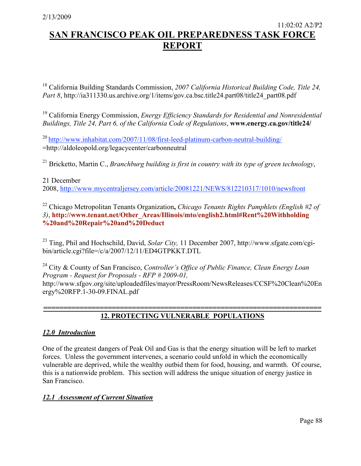18 California Building Standards Commission, *2007 California Historical Building Code, Title 24, Part 8*, http://ia311330.us.archive.org/1/items/gov.ca.bsc.title24.part08/title24\_part08.pdf

19 California Energy Commission, *Energy Efficiency Standards for Residential and Nonresidential Buildings, Title 24, Part 6, of the California Code of Regulations*, **www.energy.ca.gov/title24/**

<sup>20</sup> http://www.inhabitat.com/2007/11/08/first-leed-platinum-carbon-neutral-building/ =http://aldoleopold.org/legacycenter/carbonneutral

21 Bricketto, Martin C., *Branchburg building is first in country with its type of green technology*,

### 21 December

2008, http://www.mycentraljersey.com/article/20081221/NEWS/812210317/1010/newsfront

22 Chicago Metropolitan Tenants Organization**,** *Chicago Tenants Rights Pamphlets (English #2 of 3)*, **http://www.tenant.net/Other\_Areas/Illinois/mto/english2.html#Rent%20Withholding %20and%20Repair%20and%20Deduct**

23 Ting, Phil and Hochschild, David, *Solar City,* 11 December 2007, http://www.sfgate.com/cgibin/article.cgi?file=/c/a/2007/12/11/ED4GTPKKT.DTL

24 City & County of San Francisco, *Controller's Office of Public Finance, Clean Energy Loan Program - Request for Proposals - RFP # 2009-01,* http://www.sfgov.org/site/uploadedfiles/mayor/PressRoom/NewsReleases/CCSF%20Clean%20En ergy%20RFP.1-30-09.FINAL.pdf

### **===================================================================== 12. PROTECTING VULNERABLE POPULATIONS**

### *12.0 Introduction*

One of the greatest dangers of Peak Oil and Gas is that the energy situation will be left to market forces. Unless the government intervenes, a scenario could unfold in which the economically vulnerable are deprived, while the wealthy outbid them for food, housing, and warmth. Of course, this is a nationwide problem. This section will address the unique situation of energy justice in San Francisco.

### *12.1 Assessment of Current Situation*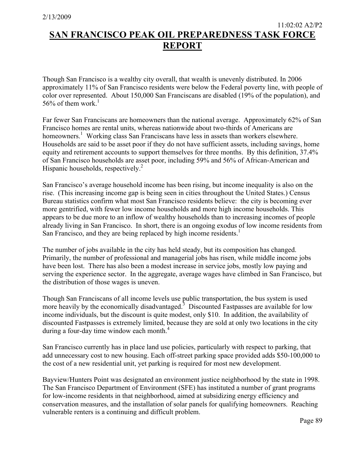Though San Francisco is a wealthy city overall, that wealth is unevenly distributed. In 2006 approximately 11% of San Francisco residents were below the Federal poverty line, with people of color over represented. About 150,000 San Franciscans are disabled (19% of the population), and 56% of them work.<sup>1</sup>

Far fewer San Franciscans are homeowners than the national average. Approximately 62% of San Francisco homes are rental units, whereas nationwide about two-thirds of Americans are homeowners.<sup>1</sup> Working class San Franciscans have less in assets than workers elsewhere. Households are said to be asset poor if they do not have sufficient assets, including savings, home equity and retirement accounts to support themselves for three months. By this definition, 37.4% of San Francisco households are asset poor, including 59% and 56% of African-American and Hispanic households, respectively.<sup>2</sup>

San Francisco's average household income has been rising, but income inequality is also on the rise. (This increasing income gap is being seen in cities throughout the United States.) Census Bureau statistics confirm what most San Francisco residents believe: the city is becoming ever more gentrified, with fewer low income households and more high income households. This appears to be due more to an inflow of wealthy households than to increasing incomes of people already living in San Francisco. In short, there is an ongoing exodus of low income residents from San Francisco, and they are being replaced by high income residents.<sup>1</sup>

The number of jobs available in the city has held steady, but its composition has changed. Primarily, the number of professional and managerial jobs has risen, while middle income jobs have been lost. There has also been a modest increase in service jobs, mostly low paying and serving the experience sector. In the aggregate, average wages have climbed in San Francisco, but the distribution of those wages is uneven.

Though San Franciscans of all income levels use public transportation, the bus system is used more heavily by the economically disadvantaged.<sup>3</sup> Discounted Fastpasses are available for low income individuals, but the discount is quite modest, only \$10. In addition, the availability of discounted Fastpasses is extremely limited, because they are sold at only two locations in the city during a four-day time window each month.<sup>4</sup>

San Francisco currently has in place land use policies, particularly with respect to parking, that add unnecessary cost to new housing. Each off-street parking space provided adds \$50-100,000 to the cost of a new residential unit, yet parking is required for most new development.

Bayview/Hunters Point was designated an environment justice neighborhood by the state in 1998. The San Francisco Department of Environment (SFE) has instituted a number of grant programs for low-income residents in that neighborhood, aimed at subsidizing energy efficiency and conservation measures, and the installation of solar panels for qualifying homeowners. Reaching vulnerable renters is a continuing and difficult problem.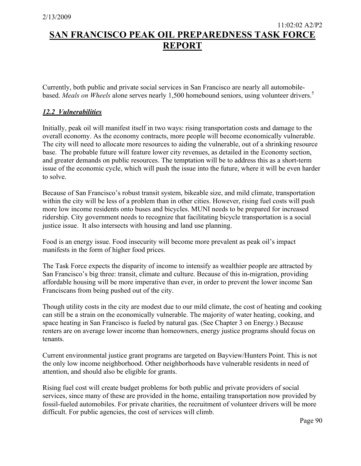Currently, both public and private social services in San Francisco are nearly all automobilebased. *Meals on Wheels* alone serves nearly 1,500 homebound seniors, using volunteer drivers.<sup>5</sup>

### *12.2 Vulnerabilities*

Initially, peak oil will manifest itself in two ways: rising transportation costs and damage to the overall economy. As the economy contracts, more people will become economically vulnerable. The city will need to allocate more resources to aiding the vulnerable, out of a shrinking resource base. The probable future will feature lower city revenues, as detailed in the Economy section, and greater demands on public resources. The temptation will be to address this as a short-term issue of the economic cycle, which will push the issue into the future, where it will be even harder to solve.

Because of San Francisco's robust transit system, bikeable size, and mild climate, transportation within the city will be less of a problem than in other cities. However, rising fuel costs will push more low income residents onto buses and bicycles. MUNI needs to be prepared for increased ridership. City government needs to recognize that facilitating bicycle transportation is a social justice issue. It also intersects with housing and land use planning.

Food is an energy issue. Food insecurity will become more prevalent as peak oil's impact manifests in the form of higher food prices.

The Task Force expects the disparity of income to intensify as wealthier people are attracted by San Francisco's big three: transit, climate and culture. Because of this in-migration, providing affordable housing will be more imperative than ever, in order to prevent the lower income San Franciscans from being pushed out of the city.

Though utility costs in the city are modest due to our mild climate, the cost of heating and cooking can still be a strain on the economically vulnerable. The majority of water heating, cooking, and space heating in San Francisco is fueled by natural gas. (See Chapter 3 on Energy.) Because renters are on average lower income than homeowners, energy justice programs should focus on tenants.

Current environmental justice grant programs are targeted on Bayview/Hunters Point. This is not the only low income neighborhood. Other neighborhoods have vulnerable residents in need of attention, and should also be eligible for grants.

Rising fuel cost will create budget problems for both public and private providers of social services, since many of these are provided in the home, entailing transportation now provided by fossil-fueled automobiles. For private charities, the recruitment of volunteer drivers will be more difficult. For public agencies, the cost of services will climb.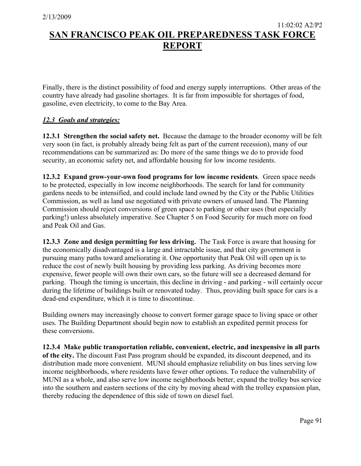Finally, there is the distinct possibility of food and energy supply interruptions. Other areas of the country have already had gasoline shortages. It is far from impossible for shortages of food, gasoline, even electricity, to come to the Bay Area.

### *12.3 Goals and strategies:*

**12.3.1 Strengthen the social safety net.** Because the damage to the broader economy will be felt very soon (in fact, is probably already being felt as part of the current recession), many of our recommendations can be summarized as: Do more of the same things we do to provide food security, an economic safety net, and affordable housing for low income residents.

**12.3.2 Expand grow-your-own food programs for low income residents**. Green space needs to be protected, especially in low income neighborhoods. The search for land for community gardens needs to be intensified, and could include land owned by the City or the Public Utilities Commission, as well as land use negotiated with private owners of unused land. The Planning Commission should reject conversions of green space to parking or other uses (but especially parking!) unless absolutely imperative. See Chapter 5 on Food Security for much more on food and Peak Oil and Gas.

**12.3.3 Zone and design permitting for less driving.** The Task Force is aware that housing for the economically disadvantaged is a large and intractable issue, and that city government is pursuing many paths toward ameliorating it. One opportunity that Peak Oil will open up is to reduce the cost of newly built housing by providing less parking. As driving becomes more expensive, fewer people will own their own cars, so the future will see a decreased demand for parking. Though the timing is uncertain, this decline in driving - and parking - will certainly occur during the lifetime of buildings built or renovated today. Thus, providing built space for cars is a dead-end expenditure, which it is time to discontinue.

Building owners may increasingly choose to convert former garage space to living space or other uses. The Building Department should begin now to establish an expedited permit process for these conversions.

**12.3.4 Make public transportation reliable, convenient, electric, and inexpensive in all parts of the city.** The discount Fast Pass program should be expanded, its discount deepened, and its distribution made more convenient. MUNI should emphasize reliability on bus lines serving low income neighborhoods, where residents have fewer other options. To reduce the vulnerability of MUNI as a whole, and also serve low income neighborhoods better, expand the trolley bus service into the southern and eastern sections of the city by moving ahead with the trolley expansion plan, thereby reducing the dependence of this side of town on diesel fuel.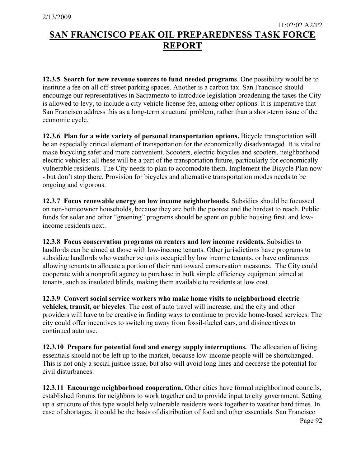**12.3.5 Search for new revenue sources to fund needed programs**. One possibility would be to institute a fee on all off-street parking spaces. Another is a carbon tax. San Francisco should encourage our representatives in Sacramento to introduce legislation broadening the taxes the City is allowed to levy, to include a city vehicle license fee, among other options. It is imperative that San Francisco address this as a long-term structural problem, rather than a short-term issue of the economic cycle.

**12.3.6 Plan for a wide variety of personal transportation options.** Bicycle transportation will be an especially critical element of transportation for the economically disadvantaged. It is vital to make bicycling safer and more convenient. Scooters, electric bicycles and scooters, neighborhood electric vehicles: all these will be a part of the transportation future, particularly for economically vulnerable residents. The City needs to plan to accomodate them. Implement the Bicycle Plan now - but don't stop there. Provision for bicycles and alternative transportation modes needs to be ongoing and vigorous.

**12.3.7 Focus renewable energy on low income neighborhoods.** Subsidies should be focussed on non-homeowner households, because they are both the poorest and the hardest to reach. Public funds for solar and other "greening" programs should be spent on public housing first, and lowincome residents next.

**12.3.8 Focus conservation programs on renters and low income residents.** Subsidies to landlords can be aimed at those with low-income tenants. Other jurisdictions have programs to subsidize landlords who weatherize units occupied by low income tenants, or have ordinances allowing tenants to allocate a portion of their rent toward conservation measures. The City could cooperate with a nonprofit agency to purchase in bulk simple efficiency equipment aimed at tenants, such as insulated blinds, making them available to residents at low cost.

**12.3.9 Convert social service workers who make home visits to neighborhood electric vehicles, transit, or bicycles**. The cost of auto travel will increase, and the city and other providers will have to be creative in finding ways to continue to provide home-based services. The city could offer incentives to switching away from fossil-fueled cars, and disincentives to continued auto use.

**12.3.10 Prepare for potential food and energy supply interruptions.** The allocation of living essentials should not be left up to the market, because low-income people will be shortchanged. This is not only a social justice issue, but also will avoid long lines and decrease the potential for civil disturbances.

**12.3.11 Encourage neighborhood cooperation.** Other cities have formal neighborhood councils, established forums for neighbors to work together and to provide input to city government. Setting up a structure of this type would help vulnerable residents work together to weather hard times. In case of shortages, it could be the basis of distribution of food and other essentials. San Francisco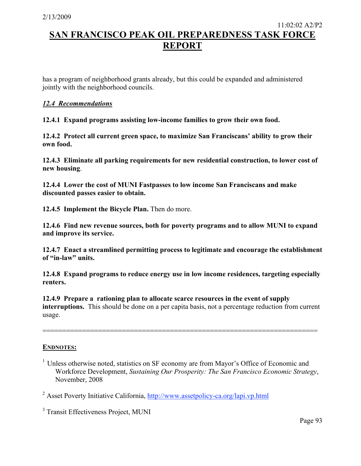has a program of neighborhood grants already, but this could be expanded and administered jointly with the neighborhood councils.

### *12.4 Recommendations*

**12.4.1 Expand programs assisting low-income families to grow their own food.**

**12.4.2 Protect all current green space, to maximize San Franciscans' ability to grow their own food.**

**12.4.3 Eliminate all parking requirements for new residential construction, to lower cost of new housing**.

**12.4.4 Lower the cost of MUNI Fastpasses to low income San Franciscans and make discounted passes easier to obtain.**

**12.4.5 Implement the Bicycle Plan.** Then do more.

**12.4.6 Find new revenue sources, both for poverty programs and to allow MUNI to expand and improve its service.**

**12.4.7 Enact a streamlined permitting process to legitimate and encourage the establishment of "in-law" units.** 

**12.4.8 Expand programs to reduce energy use in low income residences, targeting especially renters.** 

**12.4.9 Prepare a rationing plan to allocate scarce resources in the event of supply interruptions.** This should be done on a per capita basis, not a percentage reduction from current usage.

=====================================================================

### **ENDNOTES:**

<sup>1</sup> Unless otherwise noted, statistics on SF economy are from Mayor's Office of Economic and Workforce Development, *Sustaining Our Prosperity: The San Francisco Economic Strategy*, November, 2008

<sup>2</sup> Asset Poverty Initiative California, http://www.assetpolicy-ca.org/lapi.vp.html

<sup>3</sup> Transit Effectiveness Project, MUNI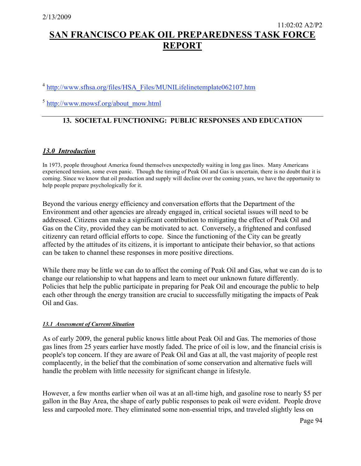<sup>4</sup> http://www.sfhsa.org/files/HSA\_Files/MUNILifelinetemplate062107.htm

<sup>5</sup> http://www.mowsf.org/about\_mow.html

### **13. SOCIETAL FUNCTIONING: PUBLIC RESPONSES AND EDUCATION**

### *13.0 Introduction*

In 1973, people throughout America found themselves unexpectedly waiting in long gas lines. Many Americans experienced tension, some even panic. Though the timing of Peak Oil and Gas is uncertain, there is no doubt that it is coming. Since we know that oil production and supply will decline over the coming years, we have the opportunity to help people prepare psychologically for it.

Beyond the various energy efficiency and conversation efforts that the Department of the Environment and other agencies are already engaged in, critical societal issues will need to be addressed. Citizens can make a significant contribution to mitigating the effect of Peak Oil and Gas on the City, provided they can be motivated to act. Conversely, a frightened and confused citizenry can retard official efforts to cope. Since the functioning of the City can be greatly affected by the attitudes of its citizens, it is important to anticipate their behavior, so that actions can be taken to channel these responses in more positive directions.

While there may be little we can do to affect the coming of Peak Oil and Gas, what we can do is to change our relationship to what happens and learn to meet our unknown future differently. Policies that help the public participate in preparing for Peak Oil and encourage the public to help each other through the energy transition are crucial to successfully mitigating the impacts of Peak Oil and Gas.

### *13.1 Assessment of Current Situation*

As of early 2009, the general public knows little about Peak Oil and Gas. The memories of those gas lines from 25 years earlier have mostly faded. The price of oil is low, and the financial crisis is people's top concern. If they are aware of Peak Oil and Gas at all, the vast majority of people rest complacently, in the belief that the combination of some conservation and alternative fuels will handle the problem with little necessity for significant change in lifestyle.

However, a few months earlier when oil was at an all-time high, and gasoline rose to nearly \$5 per gallon in the Bay Area, the shape of early public responses to peak oil were evident. People drove less and carpooled more. They eliminated some non-essential trips, and traveled slightly less on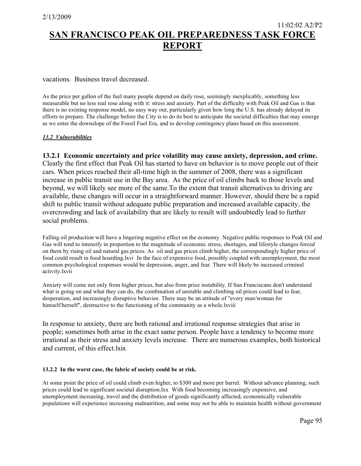#### vacations. Business travel decreased.

As the price per gallon of the fuel many people depend on daily rose, seemingly inexplicably, something less measurable but no less real rose along with it: stress and anxiety. Part of the difficulty with Peak Oil and Gas is that there is no existing response model, no easy way out, particularly given how long the U.S. has already delayed its efforts to prepare. The challenge before the City is to do its best to anticipate the societal difficulties that may emerge as we enter the downslope of the Fossil Fuel Era, and to develop contingency plans based on this assessment.

#### *13.2 Vulnerabilities*

**13.2.1 Economic uncertainty and price volatility may cause anxiety, depression, and crime.** Clearly the first effect that Peak Oil has started to have on behavior is to move people out of their cars. When prices reached their all-time high in the summer of 2008, there was a significant increase in public transit use in the Bay area. As the price of oil climbs back to those levels and beyond, we will likely see more of the same.To the extent that transit alternatives to driving are available, these changes will occur in a straightforward manner. However, should there be a rapid shift to public transit without adequate public preparation and increased available capacity, the overcrowding and lack of availability that are likely to result will undoubtedly lead to further social problems.

Falling oil production will have a lingering negative effect on the economy. Negative public responses to Peak Oil and Gas will tend to intensify in proportion to the magnitude of economic stress, shortages, and lifestyle changes forced on them by rising oil and natural gas prices. As oil and gas prices climb higher, the correspondingly higher price of food could result in food hoarding.lxvi In the face of expensive food, possibly coupled with unemployment, the most common psychological responses would be depression, anger, and fear. There will likely be increased criminal activity.lxvii

Anxiety will come not only from higher prices, but also from price instability. If San Franciscans don't understand what is going on and what they can do, the combination of unstable and climbing oil prices could lead to fear, desperation, and increasingly disruptive behavior. There may be an attitude of "every man/woman for himself/herself", destructive to the functioning of the community as a whole.lxviii

In response to anxiety, there are both rational and irrational response strategies that arise in people; sometimes both arise in the exact same person. People have a tendency to become more irrational as their stress and anxiety levels increase. There are numerous examples, both historical and current, of this effect.lxix

#### **13.2.2 In the worst case, the fabric of society could be at risk.**

At some point the price of oil could climb even higher, to \$300 and more per barrel. Without advance planning, such prices could lead to significant societal disruption.lxx With food becoming increasingly expensive, and unemployment increasing, travel and the distribution of goods significantly affected, economically vulnerable populations will experience increasing malnutrition, and some may not be able to maintain health without government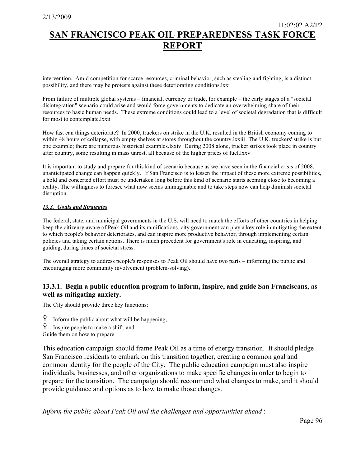intervention. Amid competition for scarce resources, criminal behavior, such as stealing and fighting, is a distinct possibility, and there may be protests against these deteriorating conditions.lxxi

From failure of multiple global systems – financial, currency or trade, for example – the early stages of a "societal disintegration" scenario could arise and would force governments to dedicate an overwhelming share of their resources to basic human needs. These extreme conditions could lead to a level of societal degradation that is difficult for most to contemplate.lxxii

How fast can things deteriorate? In 2000, truckers on strike in the U.K. resulted in the British economy coming to within 48 hours of collapse, with empty shelves at stores throughout the country.lxxiii The U.K. truckers' strike is but one example; there are numerous historical examples.lxxiv During 2008 alone, trucker strikes took place in country after country, some resulting in mass unrest, all because of the higher prices of fuel.lxxv

It is important to study and prepare for this kind of scenario because as we have seen in the financial crisis of 2008, unanticipated change can happen quickly. If San Francisco is to lessen the impact of these more extreme possibilities, a bold and concerted effort must be undertaken long before this kind of scenario starts seeming close to becoming a reality. The willingness to foresee what now seems unimaginable and to take steps now can help diminish societal disruption.

#### *13.3. Goals and Strategies*

The federal, state, and municipal governments in the U.S. will need to match the efforts of other countries in helping keep the citizenry aware of Peak Oil and its ramifications. city government can play a key role in mitigating the extent to which people's behavior deteriorates, and can inspire more productive behavior, through implementing certain policies and taking certain actions. There is much precedent for government's role in educating, inspiring, and guiding, during times of societal stress.

The overall strategy to address people's responses to Peak Oil should have two parts – informing the public and encouraging more community involvement (problem-solving).

### **13.3.1. Begin a public education program to inform, inspire, and guide San Franciscans, as well as mitigating anxiety.**

The City should provide three key functions:

- $\ddot{Y}$  Inform the public about what will be happening,
- $\ddot{Y}$  Inspire people to make a shift, and
- Guide them on how to prepare.

This education campaign should frame Peak Oil as a time of energy transition. It should pledge San Francisco residents to embark on this transition together, creating a common goal and common identity for the people of the City. The public education campaign must also inspire individuals, businesses, and other organizations to make specific changes in order to begin to prepare for the transition. The campaign should recommend what changes to make, and it should provide guidance and options as to how to make those changes.

*Inform the public about Peak Oil and the challenges and opportunities ahead* :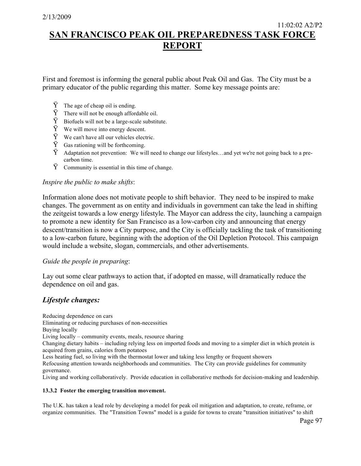First and foremost is informing the general public about Peak Oil and Gas. The City must be a primary educator of the public regarding this matter. Some key message points are:

- $\ddot{Y}$  The age of cheap oil is ending.
- $\ddot{Y}$  There will not be enough affordable oil.
- $\ddot{Y}$  Biofuels will not be a large-scale substitute.
- $\ddot{Y}$  We will move into energy descent.
- $\ddot{Y}$  We can't have all our vehicles electric.
- $\ddot{Y}$  Gas rationing will be forthcoming.
- $\ddot{Y}$  Adaptation not prevention: We will need to change our lifestyles...and yet we're not going back to a precarbon time.
- $\ddot{Y}$  Community is essential in this time of change.

### *Inspire the public to make shifts*:

Information alone does not motivate people to shift behavior. They need to be inspired to make changes. The government as on entity and individuals in government can take the lead in shifting the zeitgeist towards a low energy lifestyle. The Mayor can address the city, launching a campaign to promote a new identity for San Francisco as a low-carbon city and announcing that energy descent/transition is now a City purpose, and the City is officially tackling the task of transitioning to a low-carbon future, beginning with the adoption of the Oil Depletion Protocol. This campaign would include a website, slogan, commercials, and other advertisements.

### *Guide the people in preparing*:

Lay out some clear pathways to action that, if adopted en masse, will dramatically reduce the dependence on oil and gas.

### *Lifestyle changes:*

Reducing dependence on cars Eliminating or reducing purchases of non-necessities Buying locally Living locally – community events, meals, resource sharing Changing dietary habits – including relying less on imported foods and moving to a simpler diet in which protein is acquired from grains, calories from potatoes Less heating fuel, so living with the thermostat lower and taking less lengthy or frequent showers Refocusing attention towards neighborhoods and communities. The City can provide guidelines for community governance. Living and working collaboratively. Provide education in collaborative methods for decision-making and leadership.

#### **13.3.2 Foster the emerging transition movement.**

The U.K. has taken a lead role by developing a model for peak oil mitigation and adaptation, to create, reframe, or organize communities. The "Transition Towns" model is a guide for towns to create "transition initiatives" to shift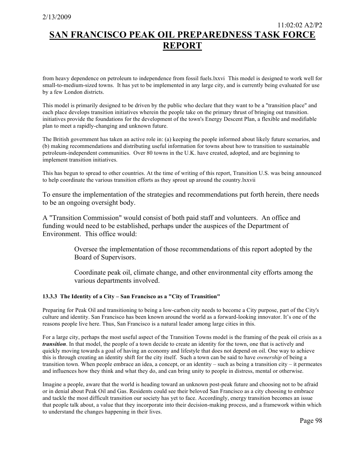from heavy dependence on petroleum to independence from fossil fuels.lxxvi This model is designed to work well for small-to-medium-sized towns. It has yet to be implemented in any large city, and is currently being evaluated for use by a few London districts.

This model is primarily designed to be driven by the public who declare that they want to be a "transition place" and each place develops transition initiatives wherein the people take on the primary thrust of bringing out transition. initiatives provide the foundations for the development of the town's Energy Descent Plan, a flexible and modifiable plan to meet a rapidly-changing and unknown future.

The British government has taken an active role in: (a) keeping the people informed about likely future scenarios, and (b) making recommendations and distributing useful information for towns about how to transition to sustainable petroleum-independent communities. Over 80 towns in the U.K. have created, adopted, and are beginning to implement transition initiatives.

This has begun to spread to other countries. At the time of writing of this report, Transition U.S. was being announced to help coordinate the various transition efforts as they sprout up around the country.lxxvii

To ensure the implementation of the strategies and recommendations put forth herein, there needs to be an ongoing oversight body.

A "Transition Commission" would consist of both paid staff and volunteers. An office and funding would need to be established, perhaps under the auspices of the Department of Environment. This office would:

> Oversee the implementation of those recommendations of this report adopted by the Board of Supervisors.

> Coordinate peak oil, climate change, and other environmental city efforts among the various departments involved.

#### **13.3.3 The Identity of a City – San Francisco as a "City of Transition"**

Preparing for Peak Oil and transitioning to being a low-carbon city needs to become a City purpose, part of the City's culture and identity. San Francisco has been known around the world as a forward-looking innovator. It's one of the reasons people live here. Thus, San Francisco is a natural leader among large cities in this.

For a large city, perhaps the most useful aspect of the Transition Towns model is the framing of the peak oil crisis as a *transition*. In that model, the people of a town decide to create an identity for the town, one that is actively and quickly moving towards a goal of having an economy and lifestyle that does not depend on oil. One way to achieve this is through creating an identity shift for the city itself. Such a town can be said to have *ownership* of being a transition town. When people embrace an idea, a concept, or an identity – such as being a transition city – it permeates and influences how they think and what they do, and can bring unity to people in distress, mental or otherwise.

Imagine a people, aware that the world is heading toward an unknown post-peak future and choosing not to be afraid or in denial about Peak Oil and Gas. Residents could see their beloved San Francisco as a city choosing to embrace and tackle the most difficult transition our society has yet to face. Accordingly, energy transition becomes an issue that people talk about, a value that they incorporate into their decision-making process, and a framework within which to understand the changes happening in their lives.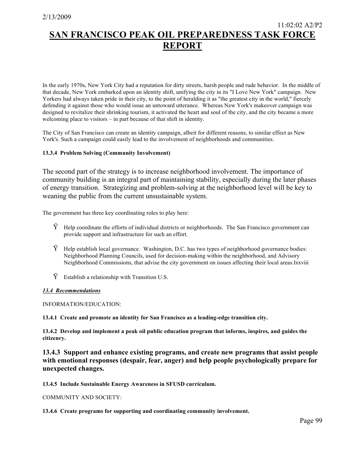In the early 1970s, New York City had a reputation for dirty streets, harsh people and rude behavior. In the middle of that decade, New York embarked upon an identity shift, unifying the city in its "I Love New York" campaign. New Yorkers had always taken pride in their city, to the point of heralding it as "the greatest city in the world," fiercely defending it against those who would issue an untoward utterance. Whereas New York's makeover campaign was designed to revitalize their shrinking tourism, it activated the heart and soul of the city, and the city became a more welcoming place to visitors – in part because of that shift in identity.

The City of San Francisco can create an identity campaign, albeit for different reasons, to similar effect as New York's. Such a campaign could easily lead to the involvement of neighborhoods and communities.

#### **13.3.4 Problem Solving (Community Involvement)**

The second part of the strategy is to increase neighborhood involvement. The importance of community building is an integral part of maintaining stability, especially during the later phases of energy transition. Strategizing and problem-solving at the neighborhood level will be key to weaning the public from the current unsustainable system.

The government has three key coordinating roles to play here:

- $\dot{Y}$  Help coordinate the efforts of individual districts or neighborhoods. The San Francisco government can provide support and infrastructure for such an effort.
- Ÿ Help establish local governance. Washington, D.C. has two types of neighborhood governance bodies: Neighborhood Planning Councils, used for decision-making within the neighborhood, and Advisory Neighborhood Commissions, that advise the city government on issues affecting their local areas.lxxviii
- $\dot{Y}$  Establish a relationship with Transition U.S.

#### *13.4 Recommendations*

INFORMATION/EDUCATION:

**13.4.1 Create and promote an identity for San Francisco as a leading-edge transition city.** 

**13.4.2 Develop and implement a peak oil public education program that informs, inspires, and guides the citizenry.**

**13.4.3 Support and enhance existing programs, and create new programs that assist people with emotional responses (despair, fear, anger) and help people psychologically prepare for unexpected changes.**

**13.4.5 Include Sustainable Energy Awareness in SFUSD curriculum.** 

COMMUNITY AND SOCIETY:

#### **13.4.6 Create programs for supporting and coordinating community involvement.**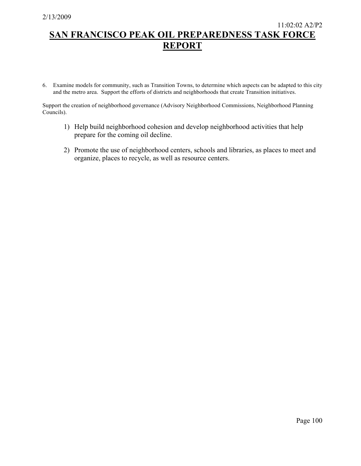6. Examine models for community, such as Transition Towns, to determine which aspects can be adapted to this city and the metro area. Support the efforts of districts and neighborhoods that create Transition initiatives.

Support the creation of neighborhood governance (Advisory Neighborhood Commissions, Neighborhood Planning Councils).

- 1) Help build neighborhood cohesion and develop neighborhood activities that help prepare for the coming oil decline.
- 2) Promote the use of neighborhood centers, schools and libraries, as places to meet and organize, places to recycle, as well as resource centers.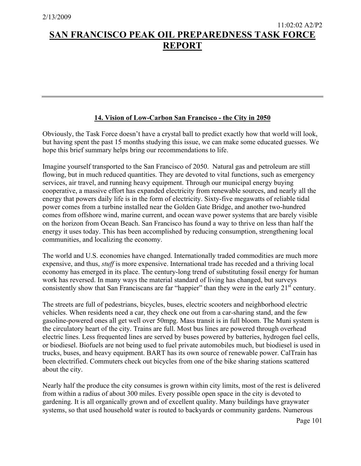### **14. Vision of Low-Carbon San Francisco - the City in 2050**

Obviously, the Task Force doesn't have a crystal ball to predict exactly how that world will look, but having spent the past 15 months studying this issue, we can make some educated guesses. We hope this brief summary helps bring our recommendations to life.

Imagine yourself transported to the San Francisco of 2050. Natural gas and petroleum are still flowing, but in much reduced quantities. They are devoted to vital functions, such as emergency services, air travel, and running heavy equipment. Through our municipal energy buying cooperative, a massive effort has expanded electricity from renewable sources, and nearly all the energy that powers daily life is in the form of electricity. Sixty-five megawatts of reliable tidal power comes from a turbine installed near the Golden Gate Bridge, and another two-hundred comes from offshore wind, marine current, and ocean wave power systems that are barely visible on the horizon from Ocean Beach. San Francisco has found a way to thrive on less than half the energy it uses today. This has been accomplished by reducing consumption, strengthening local communities, and localizing the economy.

The world and U.S. economies have changed. Internationally traded commodities are much more expensive, and thus, *stuff* is more expensive. International trade has receded and a thriving local economy has emerged in its place. The century-long trend of substituting fossil energy for human work has reversed. In many ways the material standard of living has changed, but surveys consistently show that San Franciscans are far "happier" than they were in the early 21<sup>st</sup> century.

The streets are full of pedestrians, bicycles, buses, electric scooters and neighborhood electric vehicles. When residents need a car, they check one out from a car-sharing stand, and the few gasoline-powered ones all get well over 50mpg. Mass transit is in full bloom. The Muni system is the circulatory heart of the city. Trains are full. Most bus lines are powered through overhead electric lines. Less frequented lines are served by buses powered by batteries, hydrogen fuel cells, or biodiesel. Biofuels are not being used to fuel private automobiles much, but biodiesel is used in trucks, buses, and heavy equipment. BART has its own source of renewable power. CalTrain has been electrified. Commuters check out bicycles from one of the bike sharing stations scattered about the city.

Nearly half the produce the city consumes is grown within city limits, most of the rest is delivered from within a radius of about 300 miles. Every possible open space in the city is devoted to gardening. It is all organically grown and of excellent quality. Many buildings have graywater systems, so that used household water is routed to backyards or community gardens. Numerous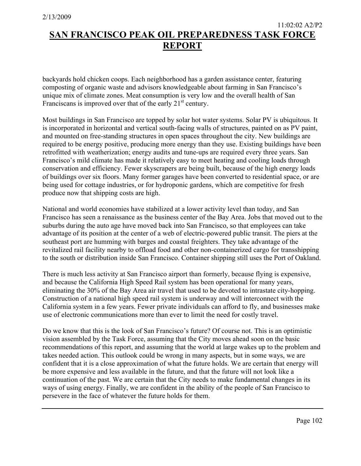backyards hold chicken coops. Each neighborhood has a garden assistance center, featuring composting of organic waste and advisors knowledgeable about farming in San Francisco's unique mix of climate zones. Meat consumption is very low and the overall health of San Franciscans is improved over that of the early  $21<sup>st</sup>$  century.

Most buildings in San Francisco are topped by solar hot water systems. Solar PV is ubiquitous. It is incorporated in horizontal and vertical south-facing walls of structures, painted on as PV paint, and mounted on free-standing structures in open spaces throughout the city. New buildings are required to be energy positive, producing more energy than they use. Existing buildings have been retrofitted with weatherization; energy audits and tune-ups are required every three years. San Francisco's mild climate has made it relatively easy to meet heating and cooling loads through conservation and efficiency. Fewer skyscrapers are being built, because of the high energy loads of buildings over six floors. Many former garages have been converted to residential space, or are being used for cottage industries, or for hydroponic gardens, which are competitive for fresh produce now that shipping costs are high.

National and world economies have stabilized at a lower activity level than today, and San Francisco has seen a renaissance as the business center of the Bay Area. Jobs that moved out to the suburbs during the auto age have moved back into San Francisco, so that employees can take advantage of its position at the center of a web of electric-powered public transit. The piers at the southeast port are humming with barges and coastal freighters. They take advantage of the revitalized rail facility nearby to offload food and other non-containerized cargo for transshipping to the south or distribution inside San Francisco. Container shipping still uses the Port of Oakland.

There is much less activity at San Francisco airport than formerly, because flying is expensive, and because the California High Speed Rail system has been operational for many years, eliminating the 30% of the Bay Area air travel that used to be devoted to intrastate city-hopping. Construction of a national high speed rail system is underway and will interconnect with the California system in a few years. Fewer private individuals can afford to fly, and businesses make use of electronic communications more than ever to limit the need for costly travel.

Do we know that this is the look of San Francisco's future? Of course not. This is an optimistic vision assembled by the Task Force, assuming that the City moves ahead soon on the basic recommendations of this report, and assuming that the world at large wakes up to the problem and takes needed action. This outlook could be wrong in many aspects, but in some ways, we are confident that it is a close approximation of what the future holds. We are certain that energy will be more expensive and less available in the future, and that the future will not look like a continuation of the past. We are certain that the City needs to make fundamental changes in its ways of using energy. Finally, we are confident in the ability of the people of San Francisco to persevere in the face of whatever the future holds for them.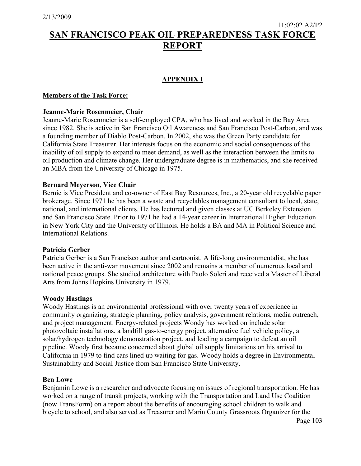### **APPENDIX I**

### **Members of the Task Force:**

### **Jeanne-Marie Rosenmeier, Chair**

Jeanne-Marie Rosenmeier is a self-employed CPA, who has lived and worked in the Bay Area since 1982. She is active in San Francisco Oil Awareness and San Francisco Post-Carbon, and was a founding member of Diablo Post-Carbon. In 2002, she was the Green Party candidate for California State Treasurer. Her interests focus on the economic and social consequences of the inability of oil supply to expand to meet demand, as well as the interaction between the limits to oil production and climate change. Her undergraduate degree is in mathematics, and she received an MBA from the University of Chicago in 1975.

### **Bernard Meyerson, Vice Chair**

Bernie is Vice President and co-owner of East Bay Resources, Inc., a 20-year old recyclable paper brokerage. Since 1971 he has been a waste and recyclables management consultant to local, state, national, and international clients. He has lectured and given classes at UC Berkeley Extension and San Francisco State. Prior to 1971 he had a 14-year career in International Higher Education in New York City and the University of Illinois. He holds a BA and MA in Political Science and International Relations.

### **Patricia Gerber**

Patricia Gerber is a San Francisco author and cartoonist. A life-long environmentalist, she has been active in the anti-war movement since 2002 and remains a member of numerous local and national peace groups. She studied architecture with Paolo Soleri and received a Master of Liberal Arts from Johns Hopkins University in 1979.

### **Woody Hastings**

Woody Hastings is an environmental professional with over twenty years of experience in community organizing, strategic planning, policy analysis, government relations, media outreach, and project management. Energy-related projects Woody has worked on include solar photovoltaic installations, a landfill gas-to-energy project, alternative fuel vehicle policy, a solar/hydrogen technology demonstration project, and leading a campaign to defeat an oil pipeline. Woody first became concerned about global oil supply limitations on his arrival to California in 1979 to find cars lined up waiting for gas. Woody holds a degree in Environmental Sustainability and Social Justice from San Francisco State University.

### **Ben Lowe**

Benjamin Lowe is a researcher and advocate focusing on issues of regional transportation. He has worked on a range of transit projects, working with the Transportation and Land Use Coalition (now TransForm) on a report about the benefits of encouraging school children to walk and bicycle to school, and also served as Treasurer and Marin County Grassroots Organizer for the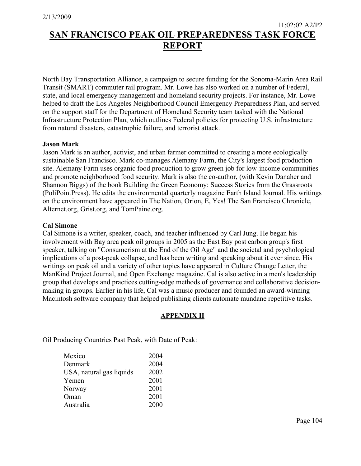North Bay Transportation Alliance, a campaign to secure funding for the Sonoma-Marin Area Rail Transit (SMART) commuter rail program. Mr. Lowe has also worked on a number of Federal, state, and local emergency management and homeland security projects. For instance, Mr. Lowe helped to draft the Los Angeles Neighborhood Council Emergency Preparedness Plan, and served on the support staff for the Department of Homeland Security team tasked with the National Infrastructure Protection Plan, which outlines Federal policies for protecting U.S. infrastructure from natural disasters, catastrophic failure, and terrorist attack.

### **Jason Mark**

Jason Mark is an author, activist, and urban farmer committed to creating a more ecologically sustainable San Francisco. Mark co-manages Alemany Farm, the City's largest food production site. Alemany Farm uses organic food production to grow green job for low-income communities and promote neighborhood food security. Mark is also the co-author, (with Kevin Danaher and Shannon Biggs) of the book Building the Green Economy: Success Stories from the Grassroots (PoliPointPress). He edits the environmental quarterly magazine Earth Island Journal. His writings on the environment have appeared in The Nation, Orion, E, Yes! The San Francisco Chronicle, Alternet.org, Grist.org, and TomPaine.org.

### **Cal Simone**

Cal Simone is a writer, speaker, coach, and teacher influenced by Carl Jung. He began his involvement with Bay area peak oil groups in 2005 as the East Bay post carbon group's first speaker, talking on "Consumerism at the End of the Oil Age" and the societal and psychological implications of a post-peak collapse, and has been writing and speaking about it ever since. His writings on peak oil and a variety of other topics have appeared in Culture Change Letter, the ManKind Project Journal, and Open Exchange magazine. Cal is also active in a men's leadership group that develops and practices cutting-edge methods of governance and collaborative decisionmaking in groups. Earlier in his life, Cal was a music producer and founded an award-winning Macintosh software company that helped publishing clients automate mundane repetitive tasks.

### **APPENDIX II**

Oil Producing Countries Past Peak, with Date of Peak:

| Mexico                   | 2004 |
|--------------------------|------|
| Denmark                  | 2004 |
| USA, natural gas liquids | 2002 |
| Yemen                    | 2001 |
| Norway                   | 2001 |
| Oman                     | 2001 |
| Australia                | 2000 |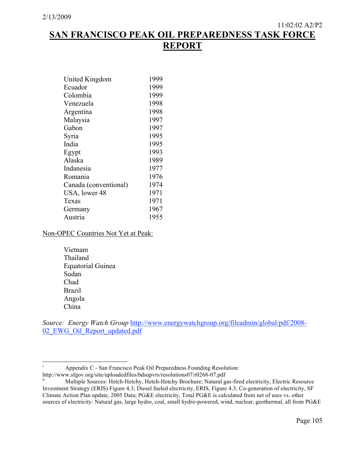| United Kingdom        | 1999 |
|-----------------------|------|
| Ecuador               | 1999 |
| Colombia              | 1999 |
| Venezuela             | 1998 |
| Argentina             | 1998 |
| Malaysia              | 1997 |
| Gabon                 | 1997 |
| Syria                 | 1995 |
| India                 | 1995 |
| Egypt                 | 1993 |
| Alaska                | 1989 |
| Indanesia             | 1977 |
| Romania               | 1976 |
| Canada (conventional) | 1974 |
| USA, lower 48         | 1971 |
| Texas                 | 1971 |
| Germany               | 1967 |
| Austria               | 1955 |

### Non-OPEC Countries Not Yet at Peak:

Vietnam Thailand Equatorial Guinea Sudan Chad Brazil Angola China

*Source: Energy Watch Group* http://www.energywatchgroup.org/fileadmin/global/pdf/2008- 02 EWG Oil Report updated.pdf

Appendix C - San Francisco Peak Oil Preparedness Founding Resolution:

http://www.sfgov.org/site/uploadedfiles/bdsupvrs/resolutions07/r0268-07.pdf<br>
Multiple Sources: Hetch-Hetchy, Hetch-Hetchy Brochure; Natural gas-fired electricity, Electric Resource Investment Strategy (ERIS) Figure 4.3; Diesel fueled electricity, ERIS, Figure 4.3; Co-generation of electricity, SF Climate Action Plan update, 2005 Data; PG&E electricity, Total PG&E is calculated from net of uses vs. other sources of electricity: Natural gas, large hydro, coal, small hydro-powered, wind, nuclear, geothermal, all from PG&E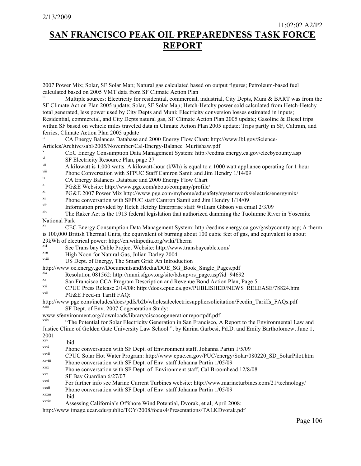$\overline{a}$ 

### **SAN FRANCISCO PEAK OIL PREPAREDNESS TASK FORCE REPORT**

CA Energy Balances Database and 2000 Energy Flow Chart: http://www.lbl.gov/Science-

- $V$  SF Electricity Resource Plan, page 27
- <sup>vi</sup> A kilowatt is 1,000 watts. A kilowatt-hour (kWh) is equal to a 1000 watt appliance operating for 1 hour
- 
- 
- 
- Phone Conversation with SFPUC Staff Camron Samii and Jim Hendry 1/14/09<br>
ix<br>
CA Energy Balances Database and 2000 Energy Flow Chart<br>
PG&E Website: http://www.pge.com/about/company/profile/<br>
PG&E 2007 Power Mix http://www.p
- 
- 
- The Raker Act is the 1913 federal legislation that authorized damming the Tuolumne River in Yosemite National Park
- xv CEC Energy Consumption Data Management System: http://ecdms.energy.ca.gov/gasbycounty.asp; A therm is 100,000 British Thermal Units, the equivalent of burning about 100 cubic feet of gas, and equivalent to about 29kWh of electrical power: http://en.wikipedia.org/wiki/Therm
- xvi See Trans bay Cable Project Website: http://www.transbaycable.com/
- <sup>xvii</sup> High Noon for Natural Gas, Julian Darley 2004<br>xviii High Noon to f Energy The Smert Crid: An Introd
- US Dept. of Energy, The Smart Grid: An Introduction
- http://www.oe.energy.gov/DocumentsandMedia/DOE\_SG\_Book\_Single\_Pages.pdf
- 
- 
- Resolution 081562: http://muni.sfgov.org/site/bdsupvrs\_page.asp?id=94692<br>
San Francisco CCA Program Description and Revenue Bond Action Plan, Page 5<br>
CPUC Press Release 2/14/08: http://docs.cpuc.ca.gov/PUBLISHED/NEWS\_RELEA
- http://www.pge.com/includes/docs/pdfs/b2b/wholesaleelectricsuppliersolicitation/Feedin\_Tariffs\_FAQs.pdf xxiii SF Dept. of Env. 2007 Cogeneration Study:
- www.sfenvironment.org/downloads/library/ciscocogenerationreportpdf.pdf<br>xxiv (The Detentiel for Selen Electricity Comenction in Sen Francisco, d
- "The Potential for Solar Electricity Generation in San Francisco, A Report to the Environmental Law and Justice Clinic of Golden Gate University Law School.", by Karina Garbesi, Pd.D. and Emily Bartholomew, June 1, 2001
- $\frac{xxv}{xxvi}$  ibid
- Phone conversation with SF Dept. of Environment staff, Johanna Partin 1/5/09
- xxvii CPUC Solar Hot Water Program: http://www.cpuc.ca.gov/PUC/energy/Solar/080220\_SD\_SolarPilot.htm<br>xxviii Phone convergetion with SE Dont, of Env. staff Johanna Bartin 1/05/00
- 
- 
- 
- Phone conversation with SF Dept. of Env. staff Johanna Partin 1/05/09<br>
Thone conversation with SF Dept. of Environment staff, Cal Broomhead 12/8/08<br>
SF Bay Guardian 6/27/07<br>
For further info see Marine Current Turbines web
- 
- 
- Assessing California's Offshore Wind Potential, Dvorak, et al, April 2008:
- http://www.image.ucar.edu/public/TOY/2008/focus4/Presentations/TALKDvorak.pdf

<sup>2007</sup> Power Mix; Solar, SF Solar Map; Natural gas calculated based on output figures; Petroleum-based fuel

Multiple sources: Electricity for residential, commercial, industrial, City Depts, Muni & BART was from the SF Climate Action Plan 2005 update; Solar, SF Solar Map; Hetch-Hetchy power sold calculated from Hetch-Hetchy total generated, less power used by City Depts and Muni; Electricity conversion losses estimated in inputs; Residential, commercial, and City Depts natural gas, SF Climate Action Plan 2005 update; Gasoline & Diesel trips within SF based on vehicle miles traveled data in Climate Action Plan 2005 update; Trips partly in SF, Caltrain, and ferries, Climate Action Plan 2005 update

Articles/Archive/sabl/2005/November/Cal-Energy-Balance\_Murtishaw.pdf<br>
CEC Energy Consumption Data Management System: http://ecdms.energy.ca.gov/elecbycounty.asp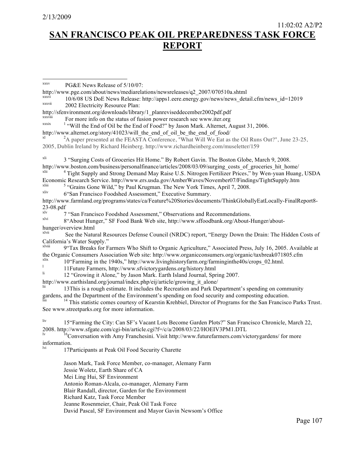11:02:02 A2/P2

# **SAN FRANCISCO PEAK OIL PREPAREDNESS TASK FORCE REPORT**

 $\overline{PGRF$  News Release of  $5/10/07$ 

| PUCCE News Release of 3/10/07:                                                                                          |
|-------------------------------------------------------------------------------------------------------------------------|
| http://www.pge.com/about/news/mediarelations/newsreleases/q2_2007/070510a.shtml                                         |
| xxxvi<br>10/6/08 US DoE News Release: http://apps1.eere.energy.gov/news/news detail.cfm/news id=12019                   |
| xxxvii<br>2002 Electricity Resource Plan:                                                                               |
| http://sfenvironment.org/downloads/library/1_planreviseddecember2002pdf.pdf                                             |
| xxxviii<br>For more info on the status of fusion power research see www.iter.org                                        |
| xxxix<br><sup>1</sup> "Will the End of Oil be the End of Food?" by Jason Mark. Alternet, August 31, 2006.               |
| http://www.alternet.org/story/41023/will the end of oil be the end of food/                                             |
| xl<br>${}^{2}$ A paper presented at the FEASTA Conference, "What Will We Eat as the Oil Runs Out?", June 23-25,         |
| 2005, Dublin Ireland by Richard Heinberg. http://www.richardheinberg.com/museletter/159                                 |
|                                                                                                                         |
| xli<br>3 "Surging Costs of Groceries Hit Home." By Robert Gavin. The Boston Globe, March 9, 2008.                       |
| http://www.boston.com/business/personalfinance/articles/2008/03/09/surging costs of groceries hit home/                 |
| xlii<br><sup>4</sup> Tight Supply and Strong Demand May Raise U.S. Nitrogen Fertilizer Prices," by Wen-yuan Huang, USDA |
| Economic Research Service. http://www.ers.usda.gov/AmberWaves/November07/Findings/TightSupply.htm                       |
| xliii<br><sup>5</sup> "Grains Gone Wild," by Paul Krugman. The New York Times, April 7, 2008.                           |
| xliv<br>6"San Francisco Foodshed Assessment," Executive Summary.                                                        |
| http://www.farmland.org/programs/states/ca/Feature%20Stories/documents/ThinkGloballyEatLocally-FinalReport8-            |
| 23-08.pdf                                                                                                               |
| xlv<br>7 "San Francisco Foodshed Assessment," Observations and Recommendations.                                         |
| xlvi                                                                                                                    |
| 8"About Hunger," SF Food Bank Web site, http://www.sffoodbank.org/About-Hunger/about-                                   |
| hunger/overview.html<br>xlvii                                                                                           |
| See the Natural Resources Defense Council (NRDC) report, "Energy Down the Drain: The Hidden Costs of                    |
| California's Water Supply."<br>xlviii                                                                                   |
| 9"Tax Breaks for Farmers Who Shift to Organic Agriculture," Associated Press, July 16, 2005. Available at               |
| the Organic Consumers Association Web site: http://www.organicconsumers.org/organic/taxbreak071805.cfm<br>xlix          |
| 10"Farming in the 1940s," http://www.livinghistoryfarm.org/farminginthe40s/crops 02.html.<br>1                          |
| 11Future Farmers, http://www.sfvictorygardens.org/history.html<br>li                                                    |
| 12 "Growing it Alone," by Jason Mark. Earth Island Journal, Spring 2007.                                                |
| http://www.earthisland.org/journal/index.php/eij/article/growing_it_alone/                                              |
| 13This is a rough estimate. It includes the Recreation and Park Department's spending on community                      |
| gardens, and the Department of the Environment's spending on food security and composting education.                    |
| This statistic comes courtesy of Kearstin Krehbiel, Director of Programs for the San Francisco Parks Trust.             |
| See www.streetparks.org for more information.                                                                           |
| liv                                                                                                                     |
| 15"Farming the City: Can SF's Vacant Lots Become Garden Plots?" San Francisco Chronicle, March 22,                      |
| 2008. http://www.sfgate.com/cgi-bin/article.cgi?f=/c/a/2008/03/22/HOEIV3PM1.DTL                                         |
| $^{16}$ Conversation with Amy Franchesini. Visit http://www.futurefarmers.com/victorygardens/ for more                  |
| information.                                                                                                            |
| 17Participants at Peak Oil Food Security Charette                                                                       |
|                                                                                                                         |
| Jason Mark, Task Force Member, co-manager, Alemany Farm                                                                 |
| Jessie Woletz, Earth Share of CA                                                                                        |
| Mei Ling Hui, SF Environment                                                                                            |
| Antonio Roman-Alcala, co-manager, Alemany Farm                                                                          |
| Blair Randall, director, Garden for the Environment                                                                     |
| Richard Katz, Task Force Member                                                                                         |
| Jeanne Rosenmeier, Chair, Peak Oil Task Force                                                                           |
| David Pascal, SF Environment and Mayor Gavin Newsom's Office                                                            |
| Page 107                                                                                                                |
|                                                                                                                         |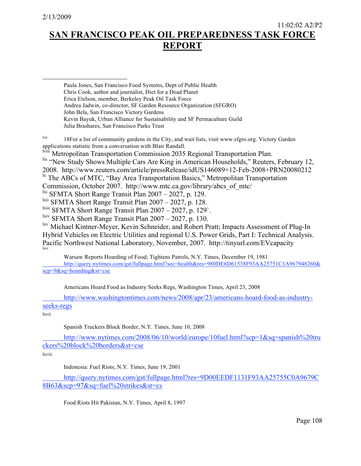$\overline{a}$ 

### **SAN FRANCISCO PEAK OIL PREPAREDNESS TASK FORCE REPORT**

Paula Jones, San Francisco Food Systems, Dept of Public Health Chris Cook, author and journalist, Diet for a Dead Planet Erica Etelson, member, Berkeley Peak Oil Task Force Andrea Jadwin, co-director, SF Garden Resource Organization (SFGRO) John Bela, San Francisco Victory Gardens Kevin Bayuk, Urban Alliance for Sustainability and SF Permaculture Guild Julia Brashares, San Francisco Parks Trust

lvii 18For a list of community gardens in the City, and wait lists, visit www.sfgro.org. Victory Garden applications statistic from a conversation with Blair Randall.

<sup>Iviii</sup> Metropolitan Transportation Commission 2035 Regional Transportation Plan.

lix "New Study Shows Multiple Cars Are King in American Households," Reuters, February 12,

2008. http://www.reuters.com/article/pressRelease/idUS146089+12-Feb-2008+PRN20080212

<sup>1x</sup> The ABCs of MTC, "Bay Area Transportation Basics," Metropolitan Transportation

Commission, October 2007. http://www.mtc.ca.gov/library/abcs\_of\_mtc/

<sup>lxi</sup> SFMTA Short Range Transit Plan  $2007 - 2027$ , p. 129.

<sup>lxii</sup> SFMTA Short Range Transit Plan  $2007 - 2027$ , p. 128.

<sup>lxiii</sup> SFMTA Short Range Transit Plan  $2007 - 2027$ , p. 129`.

lxiv SFMTA Short Range Transit Plan 2007 – 2027, p. 130.

<sup>lxv</sup> Michael Kintner-Meyer, Kevin Schneider, and Robert Pratt; Impacts Assessment of Plug-In Hybrid Vehicles on Electric Utilities and regional U.S. Power Grids, Part I: Technical Analysis. Pacific Northwest National Laboratory, November, 2007. http://tinyurl.com/EVcapacity lxvi

Warsaw Reports Hoarding of Food; Tightens Patrols, N.Y. Times, December 19, 1981

http://query.nytimes.com/gst/fullpage.html?sec=health&res=980DE6D61538F93AA25751C1A967948260& scp=9&sq=hoarding&st=cse

Americans Hoard Food as Industry Seeks Regs, Washington Times, April 23, 2008

http://www.washingtontimes.com/news/2008/apr/23/americans-hoard-food-as-industryseeks-regs

lxvii

Spanish Truckers Block Border, N.Y. Times, June 10, 2008

http://www.nytimes.com/2008/06/10/world/europe/10fuel.html?scp=1&sq=spanish%20tru ckers%20block%20borders&st=cse

lxviii

Indonesia: Fuel Riots, N.Y. Times, June 19, 2001

http://query.nytimes.com/gst/fullpage.html?res=9D00EEDF1131F93AA25755C0A9679C 8B63&scp=97&sq=fuel%20strikes&st=cs

Food Riots Hit Pakistan, N.Y. Times, April 8, 1997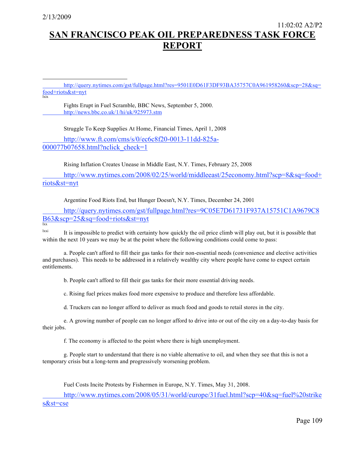$\overline{a}$ 

## **SAN FRANCISCO PEAK OIL PREPAREDNESS TASK FORCE REPORT**

http://query.nytimes.com/gst/fullpage.html?res=9501E0D61F3DF93BA35757C0A961958260&scp=28&sq= food+riots&st=nyt lxix

Fights Erupt in Fuel Scramble, BBC News, September 5, 2000. http://news.bbc.co.uk/1/hi/uk/925973.stm

Struggle To Keep Supplies At Home, Financial Times, April 1, 2008

http://www.ft.com/cms/s/0/ec6c8f20-0013-11dd-825a-000077b07658.html?nclick\_check=1

Rising Inflation Creates Unease in Middle East, N.Y. Times, February 25, 2008

http://www.nytimes.com/2008/02/25/world/middleeast/25economy.html?scp=8&sq=food+ riots&st=nyt

Argentine Food Riots End, but Hunger Doesn't, N.Y. Times, December 24, 2001

http://query.nytimes.com/gst/fullpage.html?res=9C05E7D61731F937A15751C1A9679C8 B63&scp=25&sq=food+riots&st=nyt lxx

 $\frac{dx}{dx}$  It is impossible to predict with certainty how quickly the oil price climb will play out, but it is possible that within the next 10 years we may be at the point where the following conditions could come to pass:

a. People can't afford to fill their gas tanks for their non-essential needs (convenience and elective activities and purchases). This needs to be addressed in a relatively wealthy city where people have come to expect certain entitlements.

b. People can't afford to fill their gas tanks for their more essential driving needs.

c. Rising fuel prices makes food more expensive to produce and therefore less affordable.

d. Truckers can no longer afford to deliver as much food and goods to retail stores in the city.

e. A growing number of people can no longer afford to drive into or out of the city on a day-to-day basis for their jobs.

f. The economy is affected to the point where there is high unemployment.

g. People start to understand that there is no viable alternative to oil, and when they see that this is not a temporary crisis but a long-term and progressively worsening problem.

Fuel Costs Incite Protests by Fishermen in Europe, N.Y. Times, May 31, 2008.

http://www.nytimes.com/2008/05/31/world/europe/31fuel.html?scp=40&sq=fuel%20strike

s&st=cse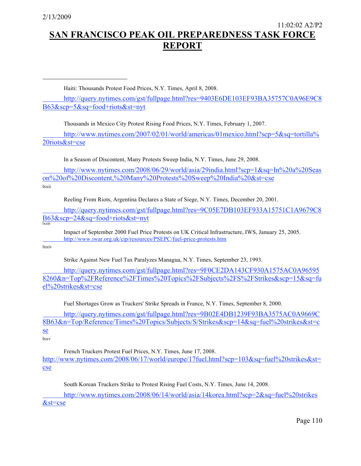$\overline{a}$ 

## **SAN FRANCISCO PEAK OIL PREPAREDNESS TASK FORCE REPORT**

Haiti: Thousands Protest Food Prices, N.Y. Times, April 8, 2008.

http://query.nytimes.com/gst/fullpage.html?res=9403E6DE103EF93BA35757C0A96E9C8 B63&scp=5&sq=food+riots&st=nyt

Thousands in Mexico City Protest Rising Food Prices, N.Y. Times, February 1, 2007.

http://www.nytimes.com/2007/02/01/world/americas/01mexico.html?scp=5&sq=tortilla% 20riots&st=cse

In a Season of Discontent, Many Protests Sweep India, N.Y. Times, June 29, 2008.

http://www.nytimes.com/2008/06/29/world/asia/29india.html?scp=1&sq=In%20a%20Seas on%20of%20Discontent,%20Many%20Protests%20Sweep%20India%20&st=cse lxxii

Reeling From Riots, Argentina Declares a State of Siege, N.Y. Times, December 20, 2001.

http://query.nytimes.com/gst/fullpage.html?res=9C05E7DB103EF933A15751C1A9679C8 B63&scp=24&sq=food+riots&st=nyt

lxxiii

Impact of September 2000 Fuel Price Protests on UK Critical Infrastructure, IWS, January 25, 2005. http://www.iwar.org.uk/cip/resources/PSEPC/fuel-price-protests.htm

lxxiv

Strike Against New Fuel Tax Paralyzes Managua, N.Y. Times, September 23, 1993.

http://query.nytimes.com/gst/fullpage.html?res=9F0CE2DA143CF930A1575AC0A96595 8260&n=Top%2FReference%2FTimes%20Topics%2FSubjects%2FS%2FStrikes&scp=15&sq=fu el%20strikes&st=cse

Fuel Shortages Grow as Truckers' Strike Spreads in France, N.Y. Times, September 8, 2000.

http://query.nytimes.com/gst/fullpage.html?res=9B02E4DB1239F93BA3575AC0A9669C 8B63&n=Top/Reference/Times%20Topics/Subjects/S/Strikes&scp=14&sq=fuel%20strikes&st=c se

lxxv

French Truckers Protest Fuel Prices, N.Y. Times, June 17, 2008. http://www.nytimes.com/2008/06/17/world/europe/17fuel.html?scp=103&sq=fuel%20strikes&st= cse

South Korean Truckers Strike to Protest Rising Fuel Costs, N.Y. Times, June 14, 2008.

http://www.nytimes.com/2008/06/14/world/asia/14korea.html?scp=2&sq=fuel%20strikes &st=cse